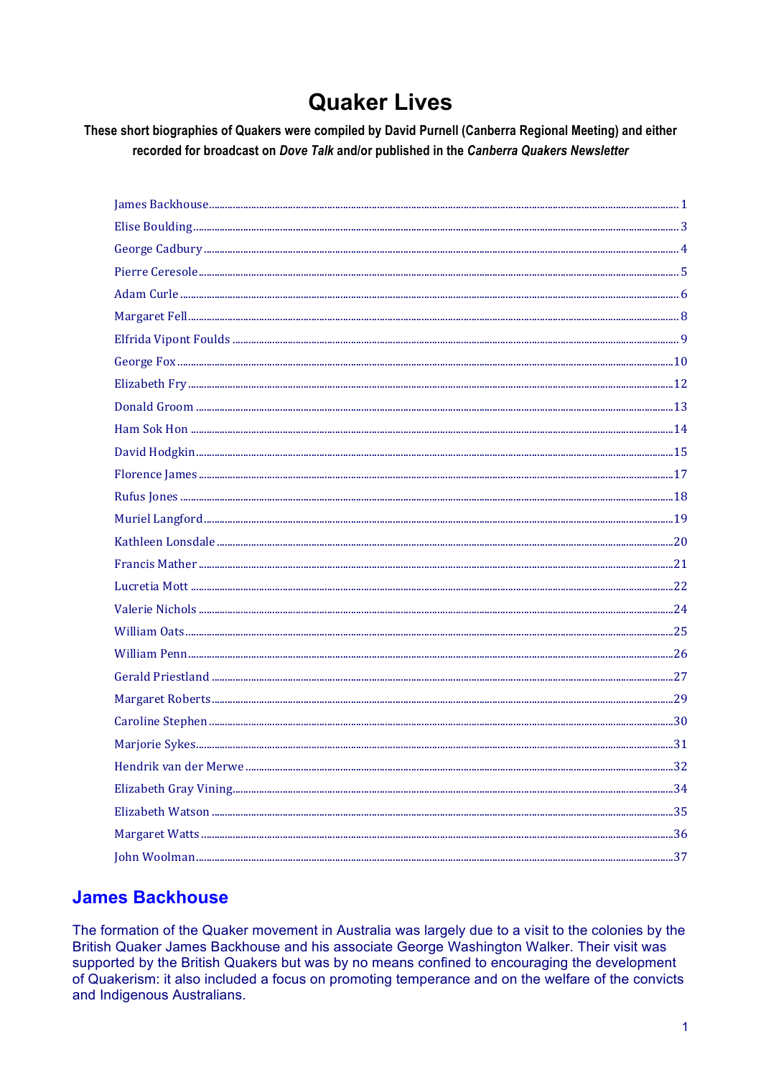# **Quaker Lives**

These short biographies of Quakers were compiled by David Purnell (Canberra Regional Meeting) and either recorded for broadcast on Dove Talk and/or published in the Canberra Quakers Newsletter

# **James Backhouse**

The formation of the Quaker movement in Australia was largely due to a visit to the colonies by the British Quaker James Backhouse and his associate George Washington Walker. Their visit was supported by the British Quakers but was by no means confined to encouraging the development of Quakerism: it also included a focus on promoting temperance and on the welfare of the convicts and Indigenous Australians.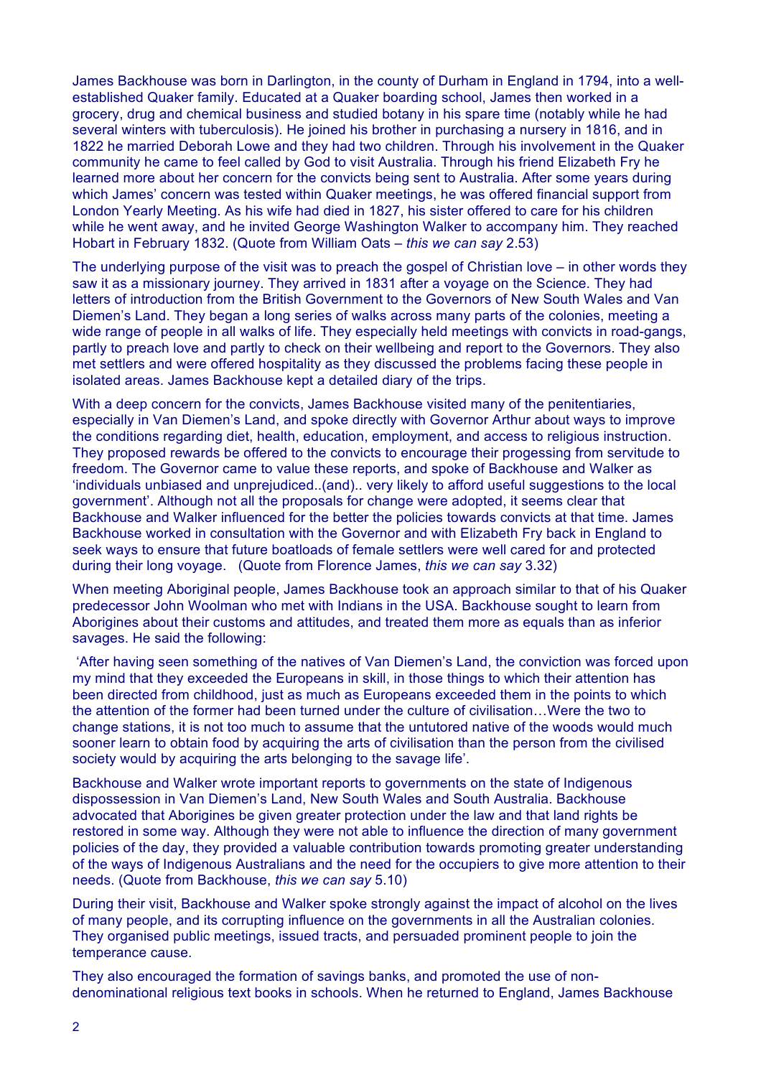James Backhouse was born in Darlington, in the county of Durham in England in 1794, into a wellestablished Quaker family. Educated at a Quaker boarding school, James then worked in a grocery, drug and chemical business and studied botany in his spare time (notably while he had several winters with tuberculosis). He joined his brother in purchasing a nursery in 1816, and in 1822 he married Deborah Lowe and they had two children. Through his involvement in the Quaker community he came to feel called by God to visit Australia. Through his friend Elizabeth Fry he learned more about her concern for the convicts being sent to Australia. After some years during which James' concern was tested within Quaker meetings, he was offered financial support from London Yearly Meeting. As his wife had died in 1827, his sister offered to care for his children while he went away, and he invited George Washington Walker to accompany him. They reached Hobart in February 1832. (Quote from William Oats *– this we can say* 2.53)

The underlying purpose of the visit was to preach the gospel of Christian love – in other words they saw it as a missionary journey. They arrived in 1831 after a voyage on the Science. They had letters of introduction from the British Government to the Governors of New South Wales and Van Diemen's Land. They began a long series of walks across many parts of the colonies, meeting a wide range of people in all walks of life. They especially held meetings with convicts in road-gangs, partly to preach love and partly to check on their wellbeing and report to the Governors. They also met settlers and were offered hospitality as they discussed the problems facing these people in isolated areas. James Backhouse kept a detailed diary of the trips.

With a deep concern for the convicts, James Backhouse visited many of the penitentiaries, especially in Van Diemen's Land, and spoke directly with Governor Arthur about ways to improve the conditions regarding diet, health, education, employment, and access to religious instruction. They proposed rewards be offered to the convicts to encourage their progessing from servitude to freedom. The Governor came to value these reports, and spoke of Backhouse and Walker as 'individuals unbiased and unprejudiced..(and).. very likely to afford useful suggestions to the local government'. Although not all the proposals for change were adopted, it seems clear that Backhouse and Walker influenced for the better the policies towards convicts at that time. James Backhouse worked in consultation with the Governor and with Elizabeth Fry back in England to seek ways to ensure that future boatloads of female settlers were well cared for and protected during their long voyage. (Quote from Florence James, *this we can say* 3.32)

When meeting Aboriginal people, James Backhouse took an approach similar to that of his Quaker predecessor John Woolman who met with Indians in the USA. Backhouse sought to learn from Aborigines about their customs and attitudes, and treated them more as equals than as inferior savages. He said the following:

'After having seen something of the natives of Van Diemen's Land, the conviction was forced upon my mind that they exceeded the Europeans in skill, in those things to which their attention has been directed from childhood, just as much as Europeans exceeded them in the points to which the attention of the former had been turned under the culture of civilisation…Were the two to change stations, it is not too much to assume that the untutored native of the woods would much sooner learn to obtain food by acquiring the arts of civilisation than the person from the civilised society would by acquiring the arts belonging to the savage life'.

Backhouse and Walker wrote important reports to governments on the state of Indigenous dispossession in Van Diemen's Land, New South Wales and South Australia. Backhouse advocated that Aborigines be given greater protection under the law and that land rights be restored in some way. Although they were not able to influence the direction of many government policies of the day, they provided a valuable contribution towards promoting greater understanding of the ways of Indigenous Australians and the need for the occupiers to give more attention to their needs. (Quote from Backhouse, *this we can say* 5.10)

During their visit, Backhouse and Walker spoke strongly against the impact of alcohol on the lives of many people, and its corrupting influence on the governments in all the Australian colonies. They organised public meetings, issued tracts, and persuaded prominent people to join the temperance cause.

They also encouraged the formation of savings banks, and promoted the use of nondenominational religious text books in schools. When he returned to England, James Backhouse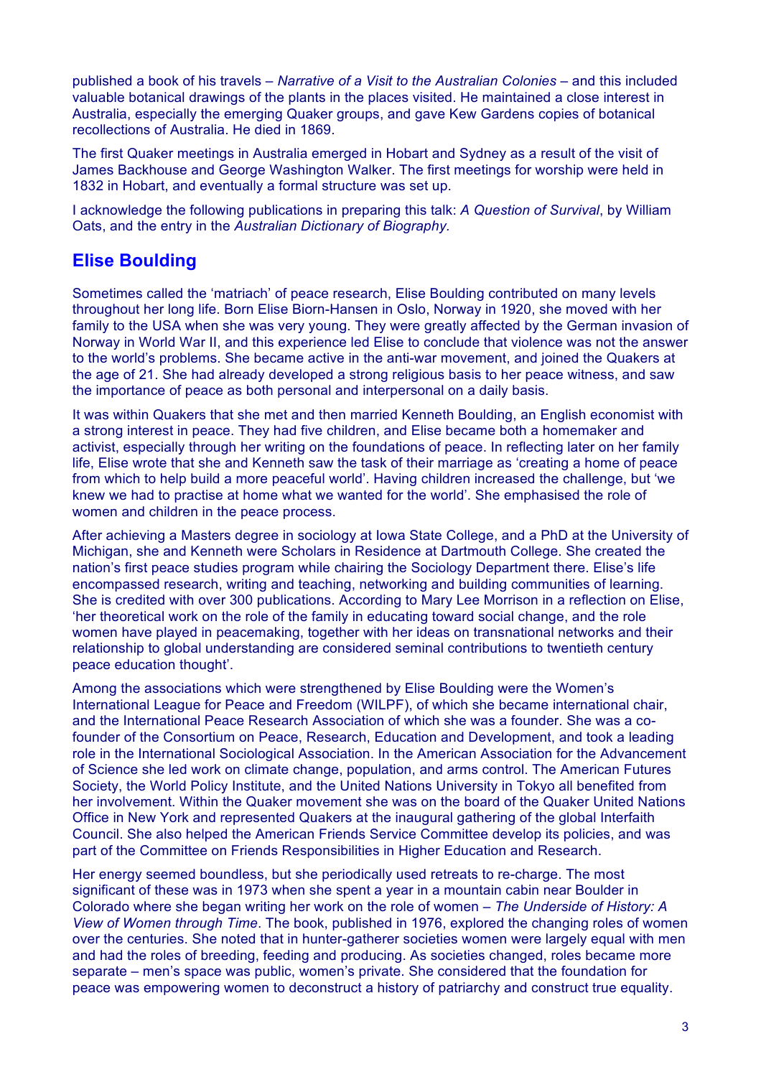published a book of his travels – *Narrative of a Visit to the Australian Colonies* – and this included valuable botanical drawings of the plants in the places visited. He maintained a close interest in Australia, especially the emerging Quaker groups, and gave Kew Gardens copies of botanical recollections of Australia. He died in 1869.

The first Quaker meetings in Australia emerged in Hobart and Sydney as a result of the visit of James Backhouse and George Washington Walker. The first meetings for worship were held in 1832 in Hobart, and eventually a formal structure was set up.

I acknowledge the following publications in preparing this talk: *A Question of Survival*, by William Oats, and the entry in the *Australian Dictionary of Biography.*

# **Elise Boulding**

Sometimes called the 'matriach' of peace research, Elise Boulding contributed on many levels throughout her long life. Born Elise Biorn-Hansen in Oslo, Norway in 1920, she moved with her family to the USA when she was very young. They were greatly affected by the German invasion of Norway in World War II, and this experience led Elise to conclude that violence was not the answer to the world's problems. She became active in the anti-war movement, and joined the Quakers at the age of 21. She had already developed a strong religious basis to her peace witness, and saw the importance of peace as both personal and interpersonal on a daily basis.

It was within Quakers that she met and then married Kenneth Boulding, an English economist with a strong interest in peace. They had five children, and Elise became both a homemaker and activist, especially through her writing on the foundations of peace. In reflecting later on her family life, Elise wrote that she and Kenneth saw the task of their marriage as 'creating a home of peace from which to help build a more peaceful world'. Having children increased the challenge, but 'we knew we had to practise at home what we wanted for the world'. She emphasised the role of women and children in the peace process.

After achieving a Masters degree in sociology at Iowa State College, and a PhD at the University of Michigan, she and Kenneth were Scholars in Residence at Dartmouth College. She created the nation's first peace studies program while chairing the Sociology Department there. Elise's life encompassed research, writing and teaching, networking and building communities of learning. She is credited with over 300 publications. According to Mary Lee Morrison in a reflection on Elise, 'her theoretical work on the role of the family in educating toward social change, and the role women have played in peacemaking, together with her ideas on transnational networks and their relationship to global understanding are considered seminal contributions to twentieth century peace education thought'.

Among the associations which were strengthened by Elise Boulding were the Women's International League for Peace and Freedom (WILPF), of which she became international chair, and the International Peace Research Association of which she was a founder. She was a cofounder of the Consortium on Peace, Research, Education and Development, and took a leading role in the International Sociological Association. In the American Association for the Advancement of Science she led work on climate change, population, and arms control. The American Futures Society, the World Policy Institute, and the United Nations University in Tokyo all benefited from her involvement. Within the Quaker movement she was on the board of the Quaker United Nations Office in New York and represented Quakers at the inaugural gathering of the global Interfaith Council. She also helped the American Friends Service Committee develop its policies, and was part of the Committee on Friends Responsibilities in Higher Education and Research.

Her energy seemed boundless, but she periodically used retreats to re-charge. The most significant of these was in 1973 when she spent a year in a mountain cabin near Boulder in Colorado where she began writing her work on the role of women – *The Underside of History: A View of Women through Time*. The book, published in 1976, explored the changing roles of women over the centuries. She noted that in hunter-gatherer societies women were largely equal with men and had the roles of breeding, feeding and producing. As societies changed, roles became more separate – men's space was public, women's private. She considered that the foundation for peace was empowering women to deconstruct a history of patriarchy and construct true equality.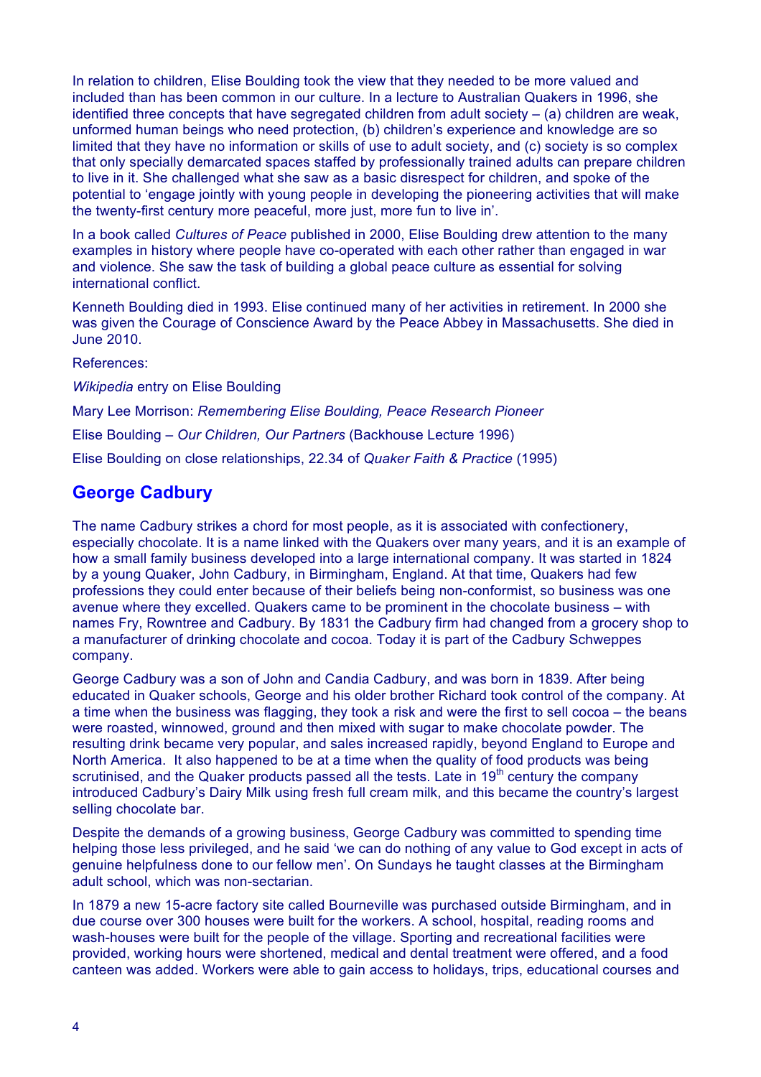In relation to children, Elise Boulding took the view that they needed to be more valued and included than has been common in our culture. In a lecture to Australian Quakers in 1996, she identified three concepts that have segregated children from adult society  $-$  (a) children are weak, unformed human beings who need protection, (b) children's experience and knowledge are so limited that they have no information or skills of use to adult society, and (c) society is so complex that only specially demarcated spaces staffed by professionally trained adults can prepare children to live in it. She challenged what she saw as a basic disrespect for children, and spoke of the potential to 'engage jointly with young people in developing the pioneering activities that will make the twenty-first century more peaceful, more just, more fun to live in'.

In a book called *Cultures of Peace* published in 2000, Elise Boulding drew attention to the many examples in history where people have co-operated with each other rather than engaged in war and violence. She saw the task of building a global peace culture as essential for solving international conflict.

Kenneth Boulding died in 1993. Elise continued many of her activities in retirement. In 2000 she was given the Courage of Conscience Award by the Peace Abbey in Massachusetts. She died in June 2010.

References:

*Wikipedia* entry on Elise Boulding

Mary Lee Morrison: *Remembering Elise Boulding, Peace Research Pioneer* Elise Boulding – *Our Children, Our Partners* (Backhouse Lecture 1996) Elise Boulding on close relationships, 22.34 of *Quaker Faith & Practice* (1995)

# **George Cadbury**

The name Cadbury strikes a chord for most people, as it is associated with confectionery, especially chocolate. It is a name linked with the Quakers over many years, and it is an example of how a small family business developed into a large international company. It was started in 1824 by a young Quaker, John Cadbury, in Birmingham, England. At that time, Quakers had few professions they could enter because of their beliefs being non-conformist, so business was one avenue where they excelled. Quakers came to be prominent in the chocolate business – with names Fry, Rowntree and Cadbury. By 1831 the Cadbury firm had changed from a grocery shop to a manufacturer of drinking chocolate and cocoa. Today it is part of the Cadbury Schweppes company.

George Cadbury was a son of John and Candia Cadbury, and was born in 1839. After being educated in Quaker schools, George and his older brother Richard took control of the company. At a time when the business was flagging, they took a risk and were the first to sell cocoa – the beans were roasted, winnowed, ground and then mixed with sugar to make chocolate powder. The resulting drink became very popular, and sales increased rapidly, beyond England to Europe and North America. It also happened to be at a time when the quality of food products was being scrutinised, and the Quaker products passed all the tests. Late in  $19<sup>th</sup>$  century the company introduced Cadbury's Dairy Milk using fresh full cream milk, and this became the country's largest selling chocolate bar.

Despite the demands of a growing business, George Cadbury was committed to spending time helping those less privileged, and he said 'we can do nothing of any value to God except in acts of genuine helpfulness done to our fellow men'. On Sundays he taught classes at the Birmingham adult school, which was non-sectarian.

In 1879 a new 15-acre factory site called Bourneville was purchased outside Birmingham, and in due course over 300 houses were built for the workers. A school, hospital, reading rooms and wash-houses were built for the people of the village. Sporting and recreational facilities were provided, working hours were shortened, medical and dental treatment were offered, and a food canteen was added. Workers were able to gain access to holidays, trips, educational courses and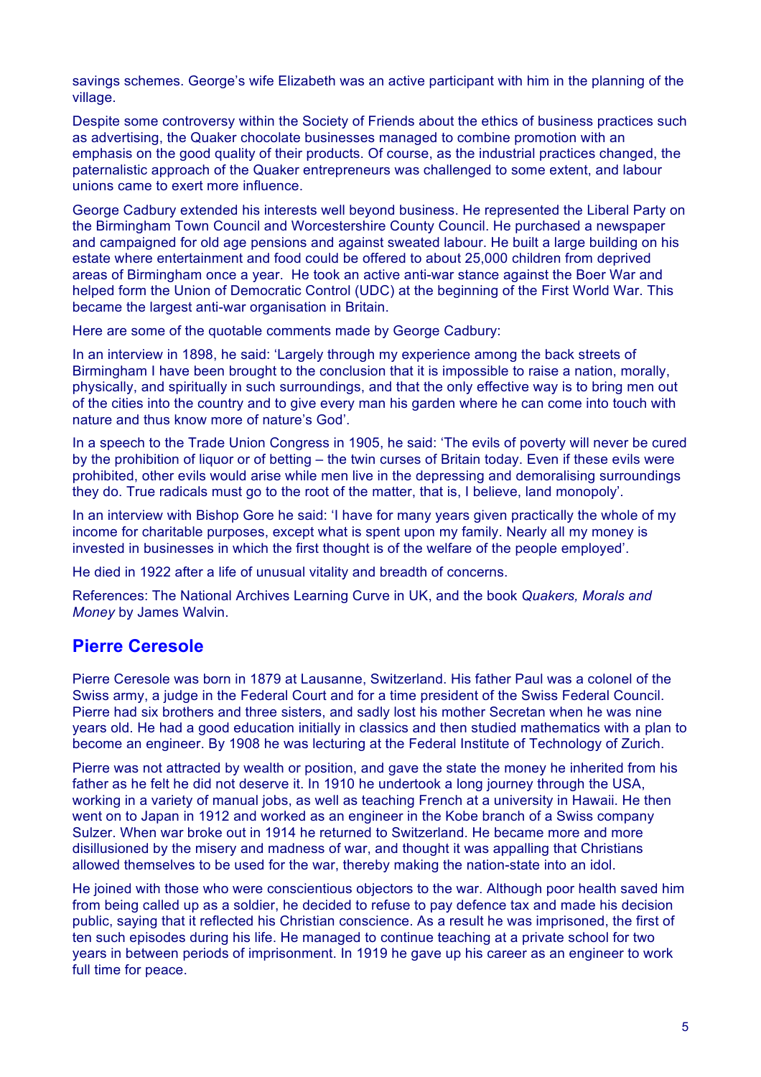savings schemes. George's wife Elizabeth was an active participant with him in the planning of the village.

Despite some controversy within the Society of Friends about the ethics of business practices such as advertising, the Quaker chocolate businesses managed to combine promotion with an emphasis on the good quality of their products. Of course, as the industrial practices changed, the paternalistic approach of the Quaker entrepreneurs was challenged to some extent, and labour unions came to exert more influence.

George Cadbury extended his interests well beyond business. He represented the Liberal Party on the Birmingham Town Council and Worcestershire County Council. He purchased a newspaper and campaigned for old age pensions and against sweated labour. He built a large building on his estate where entertainment and food could be offered to about 25,000 children from deprived areas of Birmingham once a year. He took an active anti-war stance against the Boer War and helped form the Union of Democratic Control (UDC) at the beginning of the First World War. This became the largest anti-war organisation in Britain.

Here are some of the quotable comments made by George Cadbury:

In an interview in 1898, he said: 'Largely through my experience among the back streets of Birmingham I have been brought to the conclusion that it is impossible to raise a nation, morally, physically, and spiritually in such surroundings, and that the only effective way is to bring men out of the cities into the country and to give every man his garden where he can come into touch with nature and thus know more of nature's God'.

In a speech to the Trade Union Congress in 1905, he said: 'The evils of poverty will never be cured by the prohibition of liquor or of betting – the twin curses of Britain today. Even if these evils were prohibited, other evils would arise while men live in the depressing and demoralising surroundings they do. True radicals must go to the root of the matter, that is, I believe, land monopoly'.

In an interview with Bishop Gore he said: 'I have for many years given practically the whole of my income for charitable purposes, except what is spent upon my family. Nearly all my money is invested in businesses in which the first thought is of the welfare of the people employed'.

He died in 1922 after a life of unusual vitality and breadth of concerns.

References: The National Archives Learning Curve in UK, and the book *Quakers, Morals and Money* by James Walvin.

#### **Pierre Ceresole**

Pierre Ceresole was born in 1879 at Lausanne, Switzerland. His father Paul was a colonel of the Swiss army, a judge in the Federal Court and for a time president of the Swiss Federal Council. Pierre had six brothers and three sisters, and sadly lost his mother Secretan when he was nine years old. He had a good education initially in classics and then studied mathematics with a plan to become an engineer. By 1908 he was lecturing at the Federal Institute of Technology of Zurich.

Pierre was not attracted by wealth or position, and gave the state the money he inherited from his father as he felt he did not deserve it. In 1910 he undertook a long journey through the USA, working in a variety of manual jobs, as well as teaching French at a university in Hawaii. He then went on to Japan in 1912 and worked as an engineer in the Kobe branch of a Swiss company Sulzer. When war broke out in 1914 he returned to Switzerland. He became more and more disillusioned by the misery and madness of war, and thought it was appalling that Christians allowed themselves to be used for the war, thereby making the nation-state into an idol.

He joined with those who were conscientious objectors to the war. Although poor health saved him from being called up as a soldier, he decided to refuse to pay defence tax and made his decision public, saying that it reflected his Christian conscience. As a result he was imprisoned, the first of ten such episodes during his life. He managed to continue teaching at a private school for two years in between periods of imprisonment. In 1919 he gave up his career as an engineer to work full time for peace.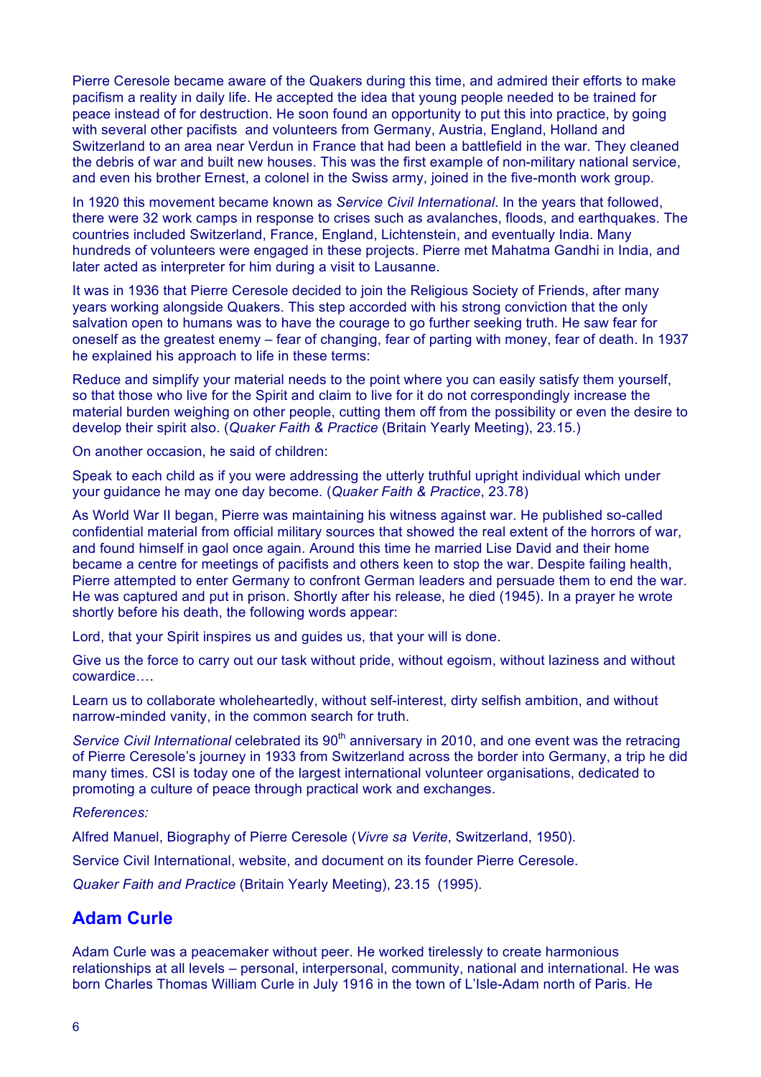Pierre Ceresole became aware of the Quakers during this time, and admired their efforts to make pacifism a reality in daily life. He accepted the idea that young people needed to be trained for peace instead of for destruction. He soon found an opportunity to put this into practice, by going with several other pacifists and volunteers from Germany, Austria, England, Holland and Switzerland to an area near Verdun in France that had been a battlefield in the war. They cleaned the debris of war and built new houses. This was the first example of non-military national service, and even his brother Ernest, a colonel in the Swiss army, joined in the five-month work group.

In 1920 this movement became known as *Service Civil International*. In the years that followed, there were 32 work camps in response to crises such as avalanches, floods, and earthquakes. The countries included Switzerland, France, England, Lichtenstein, and eventually India. Many hundreds of volunteers were engaged in these projects. Pierre met Mahatma Gandhi in India, and later acted as interpreter for him during a visit to Lausanne.

It was in 1936 that Pierre Ceresole decided to join the Religious Society of Friends, after many years working alongside Quakers. This step accorded with his strong conviction that the only salvation open to humans was to have the courage to go further seeking truth. He saw fear for oneself as the greatest enemy – fear of changing, fear of parting with money, fear of death. In 1937 he explained his approach to life in these terms:

Reduce and simplify your material needs to the point where you can easily satisfy them yourself, so that those who live for the Spirit and claim to live for it do not correspondingly increase the material burden weighing on other people, cutting them off from the possibility or even the desire to develop their spirit also. (*Quaker Faith & Practice* (Britain Yearly Meeting), 23.15.)

On another occasion, he said of children:

Speak to each child as if you were addressing the utterly truthful upright individual which under your guidance he may one day become. (*Quaker Faith & Practice*, 23.78)

As World War II began, Pierre was maintaining his witness against war. He published so-called confidential material from official military sources that showed the real extent of the horrors of war, and found himself in gaol once again. Around this time he married Lise David and their home became a centre for meetings of pacifists and others keen to stop the war. Despite failing health, Pierre attempted to enter Germany to confront German leaders and persuade them to end the war. He was captured and put in prison. Shortly after his release, he died (1945). In a prayer he wrote shortly before his death, the following words appear:

Lord, that your Spirit inspires us and guides us, that your will is done.

Give us the force to carry out our task without pride, without egoism, without laziness and without cowardice….

Learn us to collaborate wholeheartedly, without self-interest, dirty selfish ambition, and without narrow-minded vanity, in the common search for truth.

*Service Civil International* celebrated its 90<sup>th</sup> anniversary in 2010, and one event was the retracing of Pierre Ceresole's journey in 1933 from Switzerland across the border into Germany, a trip he did many times. CSI is today one of the largest international volunteer organisations, dedicated to promoting a culture of peace through practical work and exchanges.

*References:*

Alfred Manuel, Biography of Pierre Ceresole (*Vivre sa Verite*, Switzerland, 1950).

Service Civil International, website, and document on its founder Pierre Ceresole.

*Quaker Faith and Practice* (Britain Yearly Meeting), 23.15 (1995).

### **Adam Curle**

Adam Curle was a peacemaker without peer. He worked tirelessly to create harmonious relationships at all levels – personal, interpersonal, community, national and international. He was born Charles Thomas William Curle in July 1916 in the town of L'Isle-Adam north of Paris. He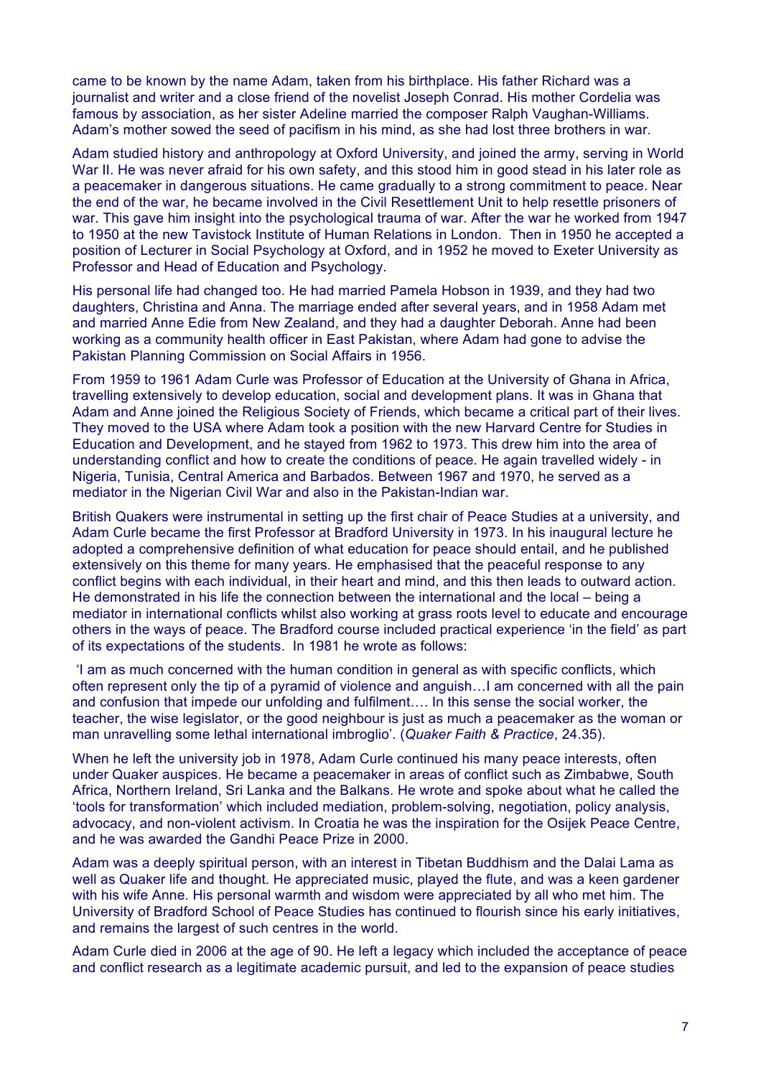came to be known by the name Adam, taken from his birthplace. His father Richard was a journalist and writer and a close friend of the novelist Joseph Conrad. His mother Cordelia was famous by association, as her sister Adeline married the composer Ralph Vaughan-Williams. Adam's mother sowed the seed of pacifism in his mind, as she had lost three brothers in war.

Adam studied history and anthropology at Oxford University, and joined the army, serving in World War II. He was never afraid for his own safety, and this stood him in good stead in his later role as a peacemaker in dangerous situations. He came gradually to a strong commitment to peace. Near the end of the war, he became involved in the Civil Resettlement Unit to help resettle prisoners of war. This gave him insight into the psychological trauma of war. After the war he worked from 1947 to 1950 at the new Tavistock Institute of Human Relations in London. Then in 1950 he accepted a position of Lecturer in Social Psychology at Oxford, and in 1952 he moved to Exeter University as Professor and Head of Education and Psychology.

His personal life had changed too. He had married Pamela Hobson in 1939, and they had two daughters, Christina and Anna. The marriage ended after several years, and in 1958 Adam met and married Anne Edie from New Zealand, and they had a daughter Deborah. Anne had been working as a community health officer in East Pakistan, where Adam had gone to advise the Pakistan Planning Commission on Social Affairs in 1956.

From 1959 to 1961 Adam Curle was Professor of Education at the University of Ghana in Africa, travelling extensively to develop education, social and development plans. It was in Ghana that Adam and Anne joined the Religious Society of Friends, which became a critical part of their lives. They moved to the USA where Adam took a position with the new Harvard Centre for Studies in Education and Development, and he stayed from 1962 to 1973. This drew him into the area of understanding conflict and how to create the conditions of peace. He again travelled widely - in Nigeria, Tunisia, Central America and Barbados. Between 1967 and 1970, he served as a mediator in the Nigerian Civil War and also in the Pakistan-Indian war.

British Quakers were instrumental in setting up the first chair of Peace Studies at a university, and Adam Curle became the first Professor at Bradford University in 1973. In his inaugural lecture he adopted a comprehensive definition of what education for peace should entail, and he published extensively on this theme for many years. He emphasised that the peaceful response to any conflict begins with each individual, in their heart and mind, and this then leads to outward action. He demonstrated in his life the connection between the international and the local – being a mediator in international conflicts whilst also working at grass roots level to educate and encourage others in the ways of peace. The Bradford course included practical experience 'in the field' as part of its expectations of the students. In 1981 he wrote as follows:

'I am as much concerned with the human condition in general as with specific conflicts, which often represent only the tip of a pyramid of violence and anguish…I am concerned with all the pain and confusion that impede our unfolding and fulfilment…. In this sense the social worker, the teacher, the wise legislator, or the good neighbour is just as much a peacemaker as the woman or man unravelling some lethal international imbroglio'. (*Quaker Faith & Practice*, 24.35).

When he left the university job in 1978, Adam Curle continued his many peace interests, often under Quaker auspices. He became a peacemaker in areas of conflict such as Zimbabwe, South Africa, Northern Ireland, Sri Lanka and the Balkans. He wrote and spoke about what he called the 'tools for transformation' which included mediation, problem-solving, negotiation, policy analysis, advocacy, and non-violent activism. In Croatia he was the inspiration for the Osijek Peace Centre, and he was awarded the Gandhi Peace Prize in 2000.

Adam was a deeply spiritual person, with an interest in Tibetan Buddhism and the Dalai Lama as well as Quaker life and thought. He appreciated music, played the flute, and was a keen gardener with his wife Anne. His personal warmth and wisdom were appreciated by all who met him. The University of Bradford School of Peace Studies has continued to flourish since his early initiatives, and remains the largest of such centres in the world.

Adam Curle died in 2006 at the age of 90. He left a legacy which included the acceptance of peace and conflict research as a legitimate academic pursuit, and led to the expansion of peace studies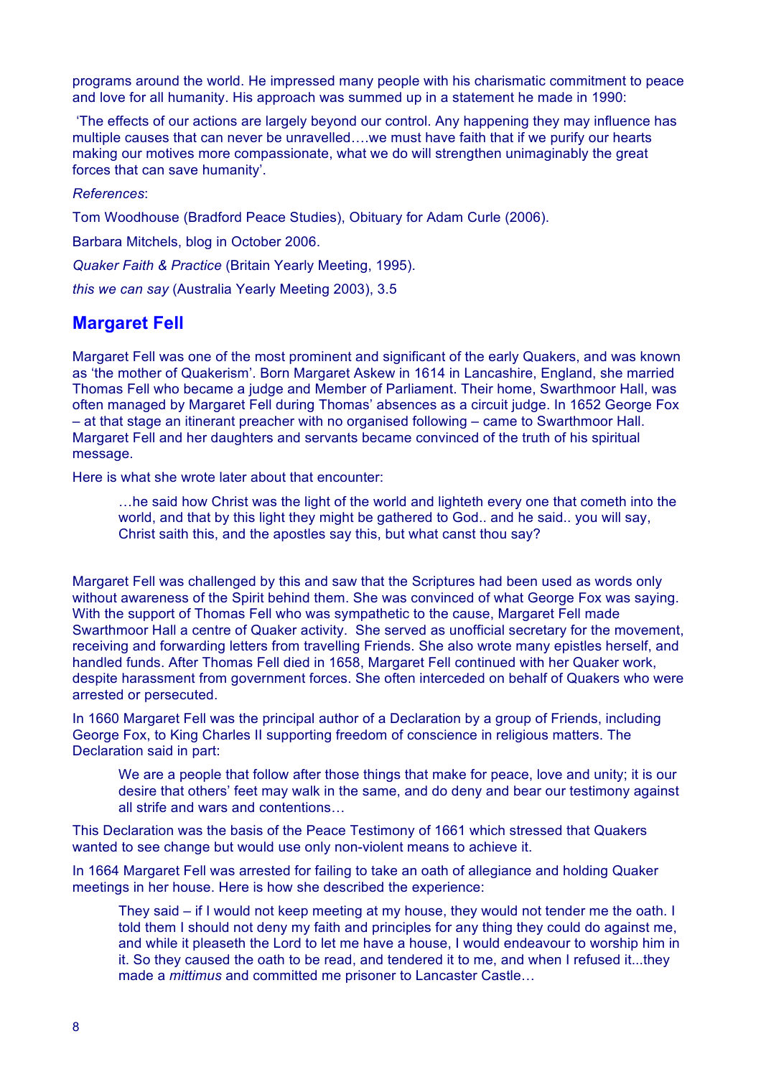programs around the world. He impressed many people with his charismatic commitment to peace and love for all humanity. His approach was summed up in a statement he made in 1990:

'The effects of our actions are largely beyond our control. Any happening they may influence has multiple causes that can never be unravelled….we must have faith that if we purify our hearts making our motives more compassionate, what we do will strengthen unimaginably the great forces that can save humanity'.

*References*:

Tom Woodhouse (Bradford Peace Studies), Obituary for Adam Curle (2006).

Barbara Mitchels, blog in October 2006.

*Quaker Faith & Practice* (Britain Yearly Meeting, 1995).

*this we can say* (Australia Yearly Meeting 2003), 3.5

### **Margaret Fell**

Margaret Fell was one of the most prominent and significant of the early Quakers, and was known as 'the mother of Quakerism'. Born Margaret Askew in 1614 in Lancashire, England, she married Thomas Fell who became a judge and Member of Parliament. Their home, Swarthmoor Hall, was often managed by Margaret Fell during Thomas' absences as a circuit judge. In 1652 George Fox – at that stage an itinerant preacher with no organised following – came to Swarthmoor Hall. Margaret Fell and her daughters and servants became convinced of the truth of his spiritual message.

Here is what she wrote later about that encounter:

…he said how Christ was the light of the world and lighteth every one that cometh into the world, and that by this light they might be gathered to God.. and he said.. you will say, Christ saith this, and the apostles say this, but what canst thou say?

Margaret Fell was challenged by this and saw that the Scriptures had been used as words only without awareness of the Spirit behind them. She was convinced of what George Fox was saying. With the support of Thomas Fell who was sympathetic to the cause, Margaret Fell made Swarthmoor Hall a centre of Quaker activity. She served as unofficial secretary for the movement, receiving and forwarding letters from travelling Friends. She also wrote many epistles herself, and handled funds. After Thomas Fell died in 1658, Margaret Fell continued with her Quaker work, despite harassment from government forces. She often interceded on behalf of Quakers who were arrested or persecuted.

In 1660 Margaret Fell was the principal author of a Declaration by a group of Friends, including George Fox, to King Charles II supporting freedom of conscience in religious matters. The Declaration said in part:

We are a people that follow after those things that make for peace, love and unity; it is our desire that others' feet may walk in the same, and do deny and bear our testimony against all strife and wars and contentions…

This Declaration was the basis of the Peace Testimony of 1661 which stressed that Quakers wanted to see change but would use only non-violent means to achieve it.

In 1664 Margaret Fell was arrested for failing to take an oath of allegiance and holding Quaker meetings in her house. Here is how she described the experience:

They said – if I would not keep meeting at my house, they would not tender me the oath. I told them I should not deny my faith and principles for any thing they could do against me, and while it pleaseth the Lord to let me have a house, I would endeavour to worship him in it. So they caused the oath to be read, and tendered it to me, and when I refused it...they made a *mittimus* and committed me prisoner to Lancaster Castle…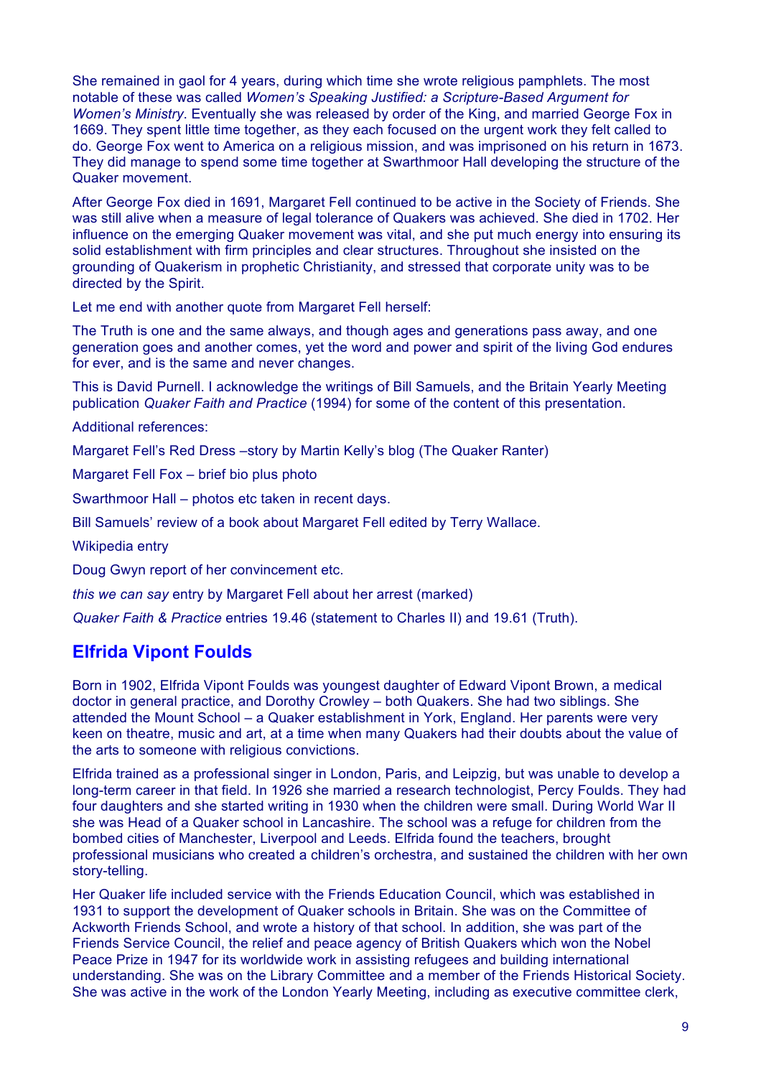She remained in gaol for 4 years, during which time she wrote religious pamphlets. The most notable of these was called *Women's Speaking Justified: a Scripture-Based Argument for Women's Ministry*. Eventually she was released by order of the King, and married George Fox in 1669. They spent little time together, as they each focused on the urgent work they felt called to do. George Fox went to America on a religious mission, and was imprisoned on his return in 1673. They did manage to spend some time together at Swarthmoor Hall developing the structure of the Quaker movement.

After George Fox died in 1691, Margaret Fell continued to be active in the Society of Friends. She was still alive when a measure of legal tolerance of Quakers was achieved. She died in 1702. Her influence on the emerging Quaker movement was vital, and she put much energy into ensuring its solid establishment with firm principles and clear structures. Throughout she insisted on the grounding of Quakerism in prophetic Christianity, and stressed that corporate unity was to be directed by the Spirit.

Let me end with another quote from Margaret Fell herself:

The Truth is one and the same always, and though ages and generations pass away, and one generation goes and another comes, yet the word and power and spirit of the living God endures for ever, and is the same and never changes.

This is David Purnell. I acknowledge the writings of Bill Samuels, and the Britain Yearly Meeting publication *Quaker Faith and Practice* (1994) for some of the content of this presentation.

Additional references:

Margaret Fell's Red Dress –story by Martin Kelly's blog (The Quaker Ranter)

Margaret Fell Fox – brief bio plus photo

Swarthmoor Hall – photos etc taken in recent days.

Bill Samuels' review of a book about Margaret Fell edited by Terry Wallace.

Wikipedia entry

Doug Gwyn report of her convincement etc.

*this we can say* entry by Margaret Fell about her arrest (marked)

*Quaker Faith & Practice* entries 19.46 (statement to Charles II) and 19.61 (Truth).

#### **Elfrida Vipont Foulds**

Born in 1902, Elfrida Vipont Foulds was youngest daughter of Edward Vipont Brown, a medical doctor in general practice, and Dorothy Crowley – both Quakers. She had two siblings. She attended the Mount School – a Quaker establishment in York, England. Her parents were very keen on theatre, music and art, at a time when many Quakers had their doubts about the value of the arts to someone with religious convictions.

Elfrida trained as a professional singer in London, Paris, and Leipzig, but was unable to develop a long-term career in that field. In 1926 she married a research technologist, Percy Foulds. They had four daughters and she started writing in 1930 when the children were small. During World War II she was Head of a Quaker school in Lancashire. The school was a refuge for children from the bombed cities of Manchester, Liverpool and Leeds. Elfrida found the teachers, brought professional musicians who created a children's orchestra, and sustained the children with her own story-telling.

Her Quaker life included service with the Friends Education Council, which was established in 1931 to support the development of Quaker schools in Britain. She was on the Committee of Ackworth Friends School, and wrote a history of that school. In addition, she was part of the Friends Service Council, the relief and peace agency of British Quakers which won the Nobel Peace Prize in 1947 for its worldwide work in assisting refugees and building international understanding. She was on the Library Committee and a member of the Friends Historical Society. She was active in the work of the London Yearly Meeting, including as executive committee clerk,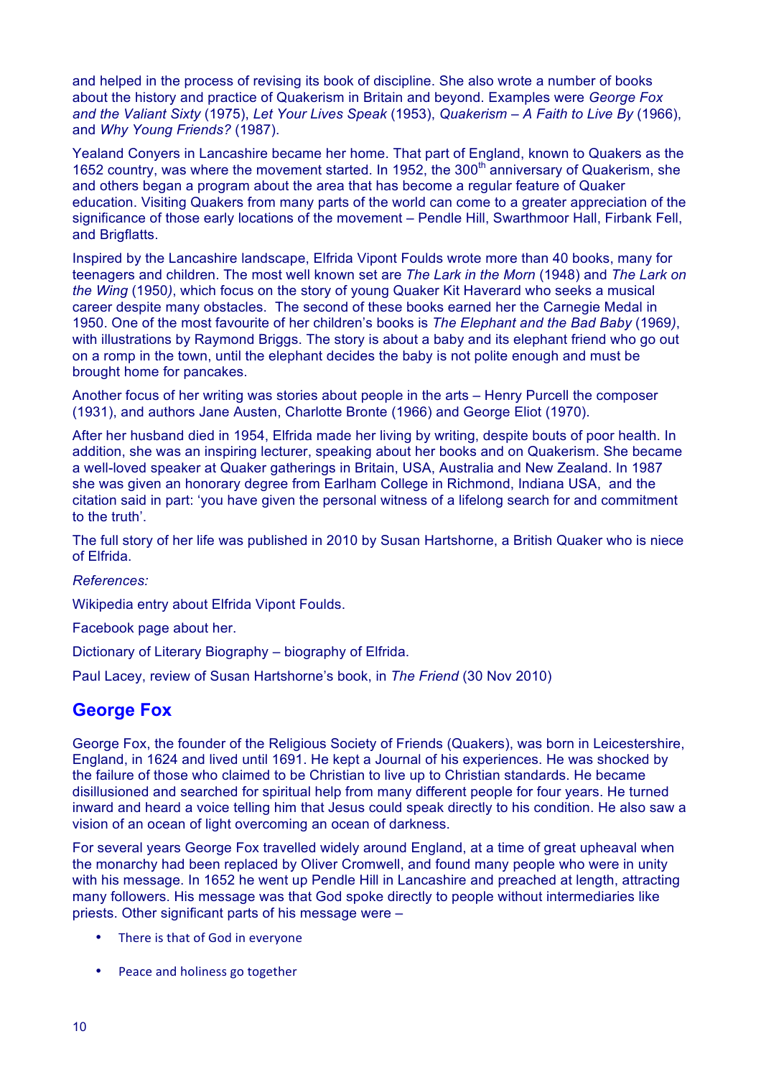and helped in the process of revising its book of discipline. She also wrote a number of books about the history and practice of Quakerism in Britain and beyond. Examples were *George Fox and the Valiant Sixty* (1975), *Let Your Lives Speak* (1953), *Quakerism – A Faith to Live By* (1966), and *Why Young Friends?* (1987).

Yealand Conyers in Lancashire became her home. That part of England, known to Quakers as the 1652 country, was where the movement started. In 1952, the  $300<sup>th</sup>$  anniversary of Quakerism, she and others began a program about the area that has become a regular feature of Quaker education. Visiting Quakers from many parts of the world can come to a greater appreciation of the significance of those early locations of the movement – Pendle Hill, Swarthmoor Hall, Firbank Fell, and Brigflatts.

Inspired by the Lancashire landscape, Elfrida Vipont Foulds wrote more than 40 books, many for teenagers and children. The most well known set are *The Lark in the Morn* (1948) and *The Lark on the Wing* (1950*)*, which focus on the story of young Quaker Kit Haverard who seeks a musical career despite many obstacles. The second of these books earned her the Carnegie Medal in 1950. One of the most favourite of her children's books is *The Elephant and the Bad Baby* (1969*)*, with illustrations by Raymond Briggs. The story is about a baby and its elephant friend who go out on a romp in the town, until the elephant decides the baby is not polite enough and must be brought home for pancakes.

Another focus of her writing was stories about people in the arts – Henry Purcell the composer (1931), and authors Jane Austen, Charlotte Bronte (1966) and George Eliot (1970).

After her husband died in 1954, Elfrida made her living by writing, despite bouts of poor health. In addition, she was an inspiring lecturer, speaking about her books and on Quakerism. She became a well-loved speaker at Quaker gatherings in Britain, USA, Australia and New Zealand. In 1987 she was given an honorary degree from Earlham College in Richmond, Indiana USA, and the citation said in part: 'you have given the personal witness of a lifelong search for and commitment to the truth'.

The full story of her life was published in 2010 by Susan Hartshorne, a British Quaker who is niece of Elfrida.

#### *References:*

Wikipedia entry about Elfrida Vipont Foulds.

Facebook page about her.

Dictionary of Literary Biography – biography of Elfrida.

Paul Lacey, review of Susan Hartshorne's book, in *The Friend* (30 Nov 2010)

# **George Fox**

George Fox, the founder of the Religious Society of Friends (Quakers), was born in Leicestershire, England, in 1624 and lived until 1691. He kept a Journal of his experiences. He was shocked by the failure of those who claimed to be Christian to live up to Christian standards. He became disillusioned and searched for spiritual help from many different people for four years. He turned inward and heard a voice telling him that Jesus could speak directly to his condition. He also saw a vision of an ocean of light overcoming an ocean of darkness.

For several years George Fox travelled widely around England, at a time of great upheaval when the monarchy had been replaced by Oliver Cromwell, and found many people who were in unity with his message. In 1652 he went up Pendle Hill in Lancashire and preached at length, attracting many followers. His message was that God spoke directly to people without intermediaries like priests. Other significant parts of his message were –

- There is that of God in everyone
- Peace and holiness go together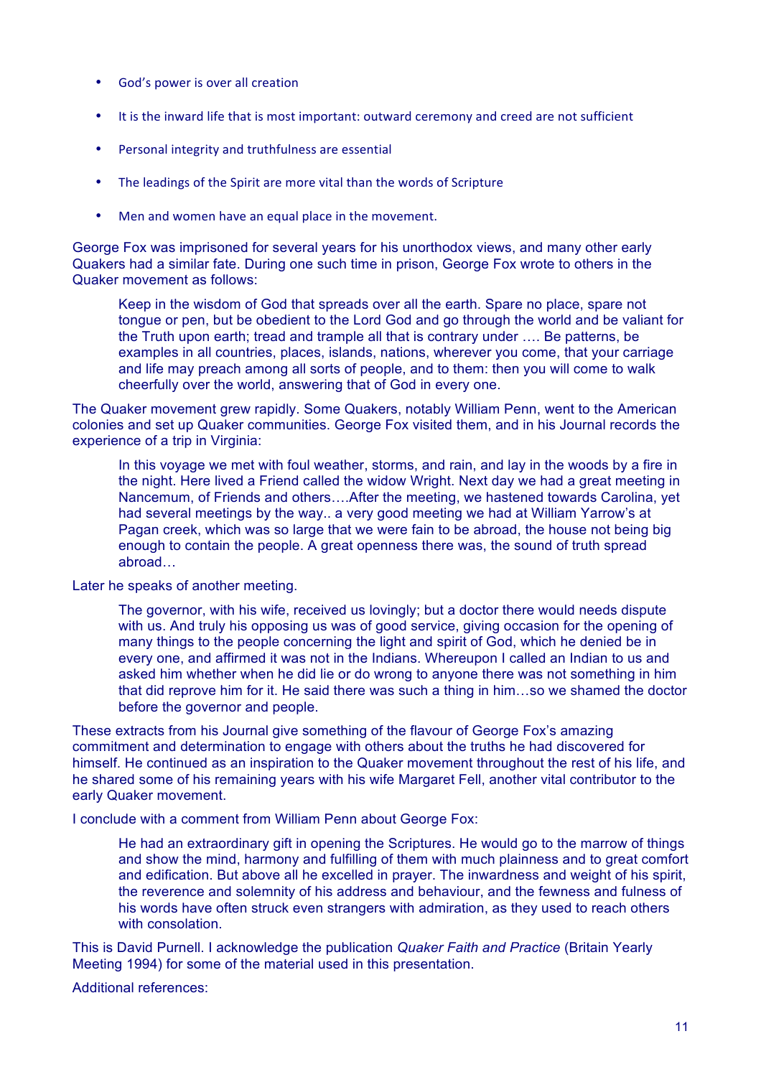- God's power is over all creation
- It is the inward life that is most important: outward ceremony and creed are not sufficient
- Personal integrity and truthfulness are essential
- The leadings of the Spirit are more vital than the words of Scripture
- Men and women have an equal place in the movement.

George Fox was imprisoned for several years for his unorthodox views, and many other early Quakers had a similar fate. During one such time in prison, George Fox wrote to others in the Quaker movement as follows:

Keep in the wisdom of God that spreads over all the earth. Spare no place, spare not tongue or pen, but be obedient to the Lord God and go through the world and be valiant for the Truth upon earth; tread and trample all that is contrary under …. Be patterns, be examples in all countries, places, islands, nations, wherever you come, that your carriage and life may preach among all sorts of people, and to them: then you will come to walk cheerfully over the world, answering that of God in every one.

The Quaker movement grew rapidly. Some Quakers, notably William Penn, went to the American colonies and set up Quaker communities. George Fox visited them, and in his Journal records the experience of a trip in Virginia:

In this voyage we met with foul weather, storms, and rain, and lay in the woods by a fire in the night. Here lived a Friend called the widow Wright. Next day we had a great meeting in Nancemum, of Friends and others….After the meeting, we hastened towards Carolina, yet had several meetings by the way.. a very good meeting we had at William Yarrow's at Pagan creek, which was so large that we were fain to be abroad, the house not being big enough to contain the people. A great openness there was, the sound of truth spread abroad…

Later he speaks of another meeting.

The governor, with his wife, received us lovingly; but a doctor there would needs dispute with us. And truly his opposing us was of good service, giving occasion for the opening of many things to the people concerning the light and spirit of God, which he denied be in every one, and affirmed it was not in the Indians. Whereupon I called an Indian to us and asked him whether when he did lie or do wrong to anyone there was not something in him that did reprove him for it. He said there was such a thing in him…so we shamed the doctor before the governor and people.

These extracts from his Journal give something of the flavour of George Fox's amazing commitment and determination to engage with others about the truths he had discovered for himself. He continued as an inspiration to the Quaker movement throughout the rest of his life, and he shared some of his remaining years with his wife Margaret Fell, another vital contributor to the early Quaker movement.

I conclude with a comment from William Penn about George Fox:

He had an extraordinary gift in opening the Scriptures. He would go to the marrow of things and show the mind, harmony and fulfilling of them with much plainness and to great comfort and edification. But above all he excelled in prayer. The inwardness and weight of his spirit, the reverence and solemnity of his address and behaviour, and the fewness and fulness of his words have often struck even strangers with admiration, as they used to reach others with consolation

This is David Purnell. I acknowledge the publication *Quaker Faith and Practice* (Britain Yearly Meeting 1994) for some of the material used in this presentation.

Additional references: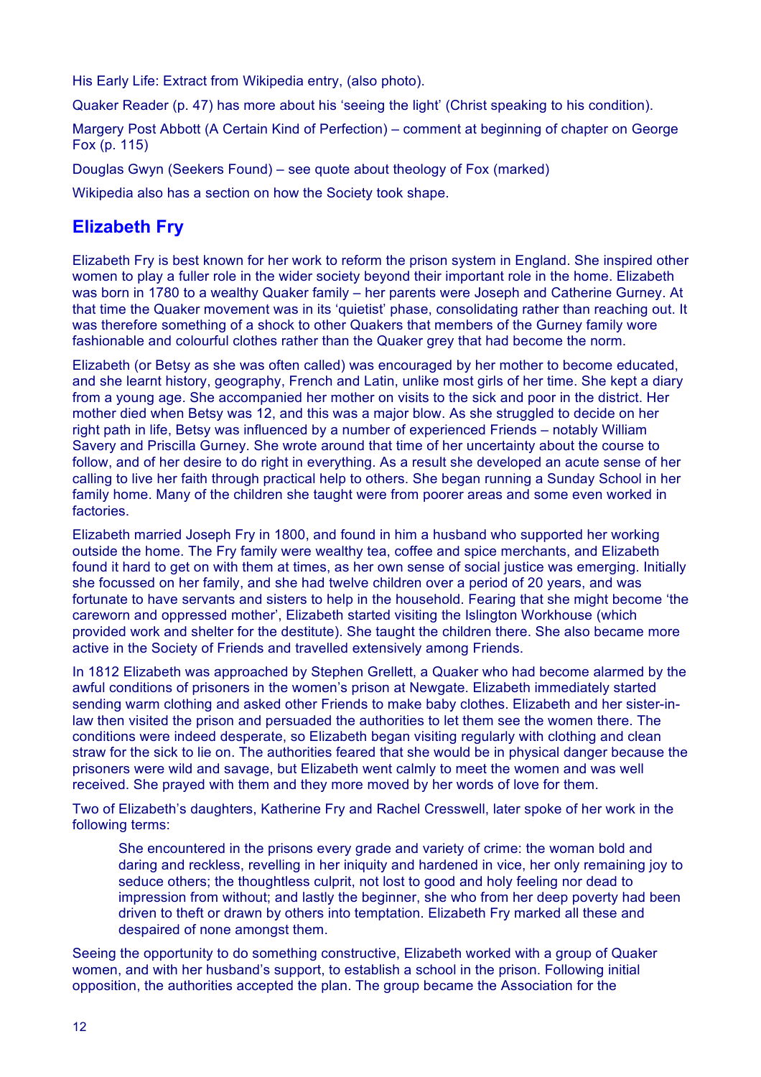His Early Life: Extract from Wikipedia entry, (also photo).

Quaker Reader (p. 47) has more about his 'seeing the light' (Christ speaking to his condition).

Margery Post Abbott (A Certain Kind of Perfection) – comment at beginning of chapter on George Fox (p. 115)

Douglas Gwyn (Seekers Found) – see quote about theology of Fox (marked)

Wikipedia also has a section on how the Society took shape.

# **Elizabeth Fry**

Elizabeth Fry is best known for her work to reform the prison system in England. She inspired other women to play a fuller role in the wider society beyond their important role in the home. Elizabeth was born in 1780 to a wealthy Quaker family – her parents were Joseph and Catherine Gurney. At that time the Quaker movement was in its 'quietist' phase, consolidating rather than reaching out. It was therefore something of a shock to other Quakers that members of the Gurney family wore fashionable and colourful clothes rather than the Quaker grey that had become the norm.

Elizabeth (or Betsy as she was often called) was encouraged by her mother to become educated, and she learnt history, geography, French and Latin, unlike most girls of her time. She kept a diary from a young age. She accompanied her mother on visits to the sick and poor in the district. Her mother died when Betsy was 12, and this was a major blow. As she struggled to decide on her right path in life, Betsy was influenced by a number of experienced Friends – notably William Savery and Priscilla Gurney. She wrote around that time of her uncertainty about the course to follow, and of her desire to do right in everything. As a result she developed an acute sense of her calling to live her faith through practical help to others. She began running a Sunday School in her family home. Many of the children she taught were from poorer areas and some even worked in factories.

Elizabeth married Joseph Fry in 1800, and found in him a husband who supported her working outside the home. The Fry family were wealthy tea, coffee and spice merchants, and Elizabeth found it hard to get on with them at times, as her own sense of social justice was emerging. Initially she focussed on her family, and she had twelve children over a period of 20 years, and was fortunate to have servants and sisters to help in the household. Fearing that she might become 'the careworn and oppressed mother', Elizabeth started visiting the Islington Workhouse (which provided work and shelter for the destitute). She taught the children there. She also became more active in the Society of Friends and travelled extensively among Friends.

In 1812 Elizabeth was approached by Stephen Grellett, a Quaker who had become alarmed by the awful conditions of prisoners in the women's prison at Newgate. Elizabeth immediately started sending warm clothing and asked other Friends to make baby clothes. Elizabeth and her sister-inlaw then visited the prison and persuaded the authorities to let them see the women there. The conditions were indeed desperate, so Elizabeth began visiting regularly with clothing and clean straw for the sick to lie on. The authorities feared that she would be in physical danger because the prisoners were wild and savage, but Elizabeth went calmly to meet the women and was well received. She prayed with them and they more moved by her words of love for them.

Two of Elizabeth's daughters, Katherine Fry and Rachel Cresswell, later spoke of her work in the following terms:

She encountered in the prisons every grade and variety of crime: the woman bold and daring and reckless, revelling in her iniquity and hardened in vice, her only remaining joy to seduce others; the thoughtless culprit, not lost to good and holy feeling nor dead to impression from without; and lastly the beginner, she who from her deep poverty had been driven to theft or drawn by others into temptation. Elizabeth Fry marked all these and despaired of none amongst them.

Seeing the opportunity to do something constructive, Elizabeth worked with a group of Quaker women, and with her husband's support, to establish a school in the prison. Following initial opposition, the authorities accepted the plan. The group became the Association for the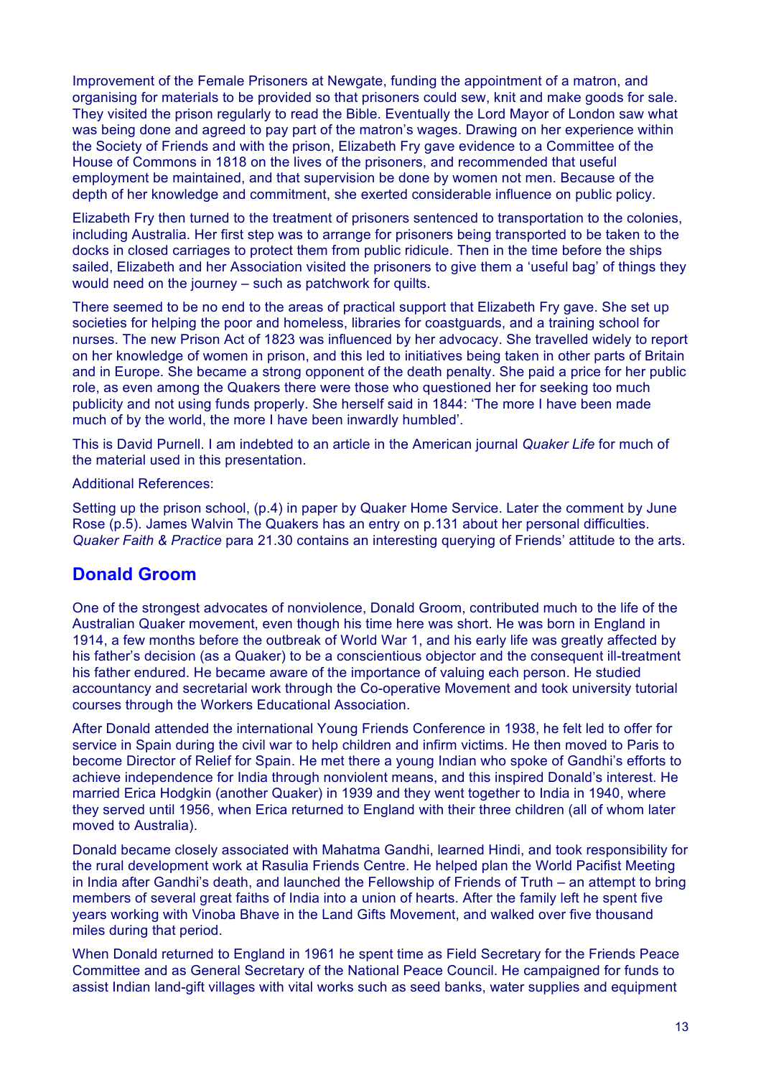Improvement of the Female Prisoners at Newgate, funding the appointment of a matron, and organising for materials to be provided so that prisoners could sew, knit and make goods for sale. They visited the prison regularly to read the Bible. Eventually the Lord Mayor of London saw what was being done and agreed to pay part of the matron's wages. Drawing on her experience within the Society of Friends and with the prison, Elizabeth Fry gave evidence to a Committee of the House of Commons in 1818 on the lives of the prisoners, and recommended that useful employment be maintained, and that supervision be done by women not men. Because of the depth of her knowledge and commitment, she exerted considerable influence on public policy.

Elizabeth Fry then turned to the treatment of prisoners sentenced to transportation to the colonies, including Australia. Her first step was to arrange for prisoners being transported to be taken to the docks in closed carriages to protect them from public ridicule. Then in the time before the ships sailed, Elizabeth and her Association visited the prisoners to give them a 'useful bag' of things they would need on the journey – such as patchwork for quilts.

There seemed to be no end to the areas of practical support that Elizabeth Fry gave. She set up societies for helping the poor and homeless, libraries for coastguards, and a training school for nurses. The new Prison Act of 1823 was influenced by her advocacy. She travelled widely to report on her knowledge of women in prison, and this led to initiatives being taken in other parts of Britain and in Europe. She became a strong opponent of the death penalty. She paid a price for her public role, as even among the Quakers there were those who questioned her for seeking too much publicity and not using funds properly. She herself said in 1844: 'The more I have been made much of by the world, the more I have been inwardly humbled'.

This is David Purnell. I am indebted to an article in the American journal *Quaker Life* for much of the material used in this presentation.

Additional References:

Setting up the prison school, (p.4) in paper by Quaker Home Service. Later the comment by June Rose (p.5). James Walvin The Quakers has an entry on p.131 about her personal difficulties. *Quaker Faith & Practice* para 21.30 contains an interesting querying of Friends' attitude to the arts.

#### **Donald Groom**

One of the strongest advocates of nonviolence, Donald Groom, contributed much to the life of the Australian Quaker movement, even though his time here was short. He was born in England in 1914, a few months before the outbreak of World War 1, and his early life was greatly affected by his father's decision (as a Quaker) to be a conscientious objector and the consequent ill-treatment his father endured. He became aware of the importance of valuing each person. He studied accountancy and secretarial work through the Co-operative Movement and took university tutorial courses through the Workers Educational Association.

After Donald attended the international Young Friends Conference in 1938, he felt led to offer for service in Spain during the civil war to help children and infirm victims. He then moved to Paris to become Director of Relief for Spain. He met there a young Indian who spoke of Gandhi's efforts to achieve independence for India through nonviolent means, and this inspired Donald's interest. He married Erica Hodgkin (another Quaker) in 1939 and they went together to India in 1940, where they served until 1956, when Erica returned to England with their three children (all of whom later moved to Australia).

Donald became closely associated with Mahatma Gandhi, learned Hindi, and took responsibility for the rural development work at Rasulia Friends Centre. He helped plan the World Pacifist Meeting in India after Gandhi's death, and launched the Fellowship of Friends of Truth – an attempt to bring members of several great faiths of India into a union of hearts. After the family left he spent five years working with Vinoba Bhave in the Land Gifts Movement, and walked over five thousand miles during that period.

When Donald returned to England in 1961 he spent time as Field Secretary for the Friends Peace Committee and as General Secretary of the National Peace Council. He campaigned for funds to assist Indian land-gift villages with vital works such as seed banks, water supplies and equipment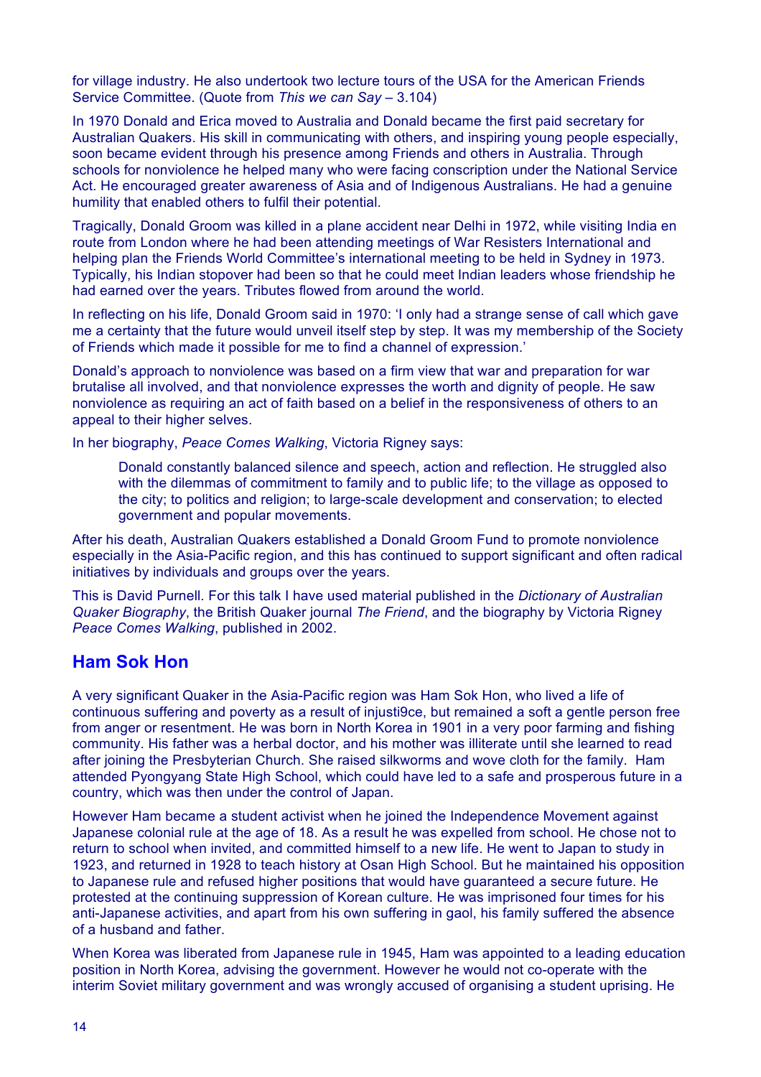for village industry. He also undertook two lecture tours of the USA for the American Friends Service Committee. (Quote from *This we can Say* – 3.104)

In 1970 Donald and Erica moved to Australia and Donald became the first paid secretary for Australian Quakers. His skill in communicating with others, and inspiring young people especially, soon became evident through his presence among Friends and others in Australia. Through schools for nonviolence he helped many who were facing conscription under the National Service Act. He encouraged greater awareness of Asia and of Indigenous Australians. He had a genuine humility that enabled others to fulfil their potential.

Tragically, Donald Groom was killed in a plane accident near Delhi in 1972, while visiting India en route from London where he had been attending meetings of War Resisters International and helping plan the Friends World Committee's international meeting to be held in Sydney in 1973. Typically, his Indian stopover had been so that he could meet Indian leaders whose friendship he had earned over the years. Tributes flowed from around the world.

In reflecting on his life, Donald Groom said in 1970: 'I only had a strange sense of call which gave me a certainty that the future would unveil itself step by step. It was my membership of the Society of Friends which made it possible for me to find a channel of expression.'

Donald's approach to nonviolence was based on a firm view that war and preparation for war brutalise all involved, and that nonviolence expresses the worth and dignity of people. He saw nonviolence as requiring an act of faith based on a belief in the responsiveness of others to an appeal to their higher selves.

In her biography, *Peace Comes Walking*, Victoria Rigney says:

Donald constantly balanced silence and speech, action and reflection. He struggled also with the dilemmas of commitment to family and to public life; to the village as opposed to the city; to politics and religion; to large-scale development and conservation; to elected government and popular movements.

After his death, Australian Quakers established a Donald Groom Fund to promote nonviolence especially in the Asia-Pacific region, and this has continued to support significant and often radical initiatives by individuals and groups over the years.

This is David Purnell. For this talk I have used material published in the *Dictionary of Australian Quaker Biography*, the British Quaker journal *The Friend*, and the biography by Victoria Rigney *Peace Comes Walking*, published in 2002.

#### **Ham Sok Hon**

A very significant Quaker in the Asia-Pacific region was Ham Sok Hon, who lived a life of continuous suffering and poverty as a result of injusti9ce, but remained a soft a gentle person free from anger or resentment. He was born in North Korea in 1901 in a very poor farming and fishing community. His father was a herbal doctor, and his mother was illiterate until she learned to read after joining the Presbyterian Church. She raised silkworms and wove cloth for the family. Ham attended Pyongyang State High School, which could have led to a safe and prosperous future in a country, which was then under the control of Japan.

However Ham became a student activist when he joined the Independence Movement against Japanese colonial rule at the age of 18. As a result he was expelled from school. He chose not to return to school when invited, and committed himself to a new life. He went to Japan to study in 1923, and returned in 1928 to teach history at Osan High School. But he maintained his opposition to Japanese rule and refused higher positions that would have guaranteed a secure future. He protested at the continuing suppression of Korean culture. He was imprisoned four times for his anti-Japanese activities, and apart from his own suffering in gaol, his family suffered the absence of a husband and father.

When Korea was liberated from Japanese rule in 1945, Ham was appointed to a leading education position in North Korea, advising the government. However he would not co-operate with the interim Soviet military government and was wrongly accused of organising a student uprising. He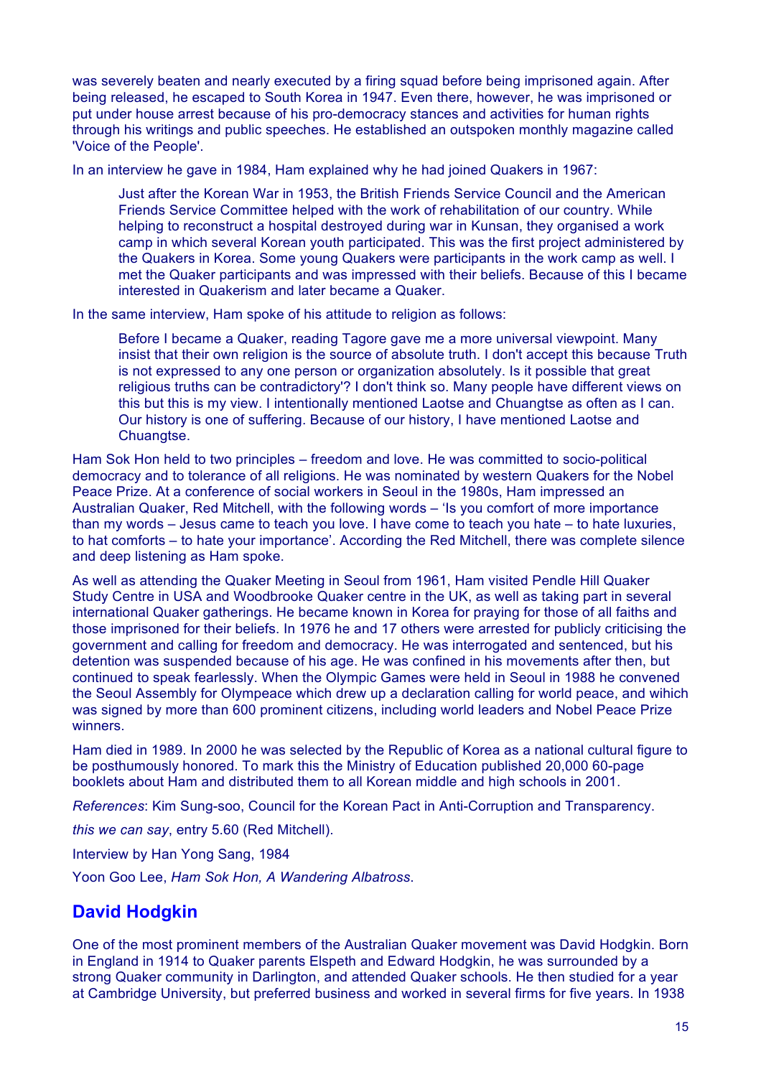was severely beaten and nearly executed by a firing squad before being imprisoned again. After being released, he escaped to South Korea in 1947. Even there, however, he was imprisoned or put under house arrest because of his pro-democracy stances and activities for human rights through his writings and public speeches. He established an outspoken monthly magazine called 'Voice of the People'.

In an interview he gave in 1984, Ham explained why he had joined Quakers in 1967:

Just after the Korean War in 1953, the British Friends Service Council and the American Friends Service Committee helped with the work of rehabilitation of our country. While helping to reconstruct a hospital destroyed during war in Kunsan, they organised a work camp in which several Korean youth participated. This was the first project administered by the Quakers in Korea. Some young Quakers were participants in the work camp as well. I met the Quaker participants and was impressed with their beliefs. Because of this I became interested in Quakerism and later became a Quaker.

In the same interview, Ham spoke of his attitude to religion as follows:

Before I became a Quaker, reading Tagore gave me a more universal viewpoint. Many insist that their own religion is the source of absolute truth. I don't accept this because Truth is not expressed to any one person or organization absolutely. Is it possible that great religious truths can be contradictory'? I don't think so. Many people have different views on this but this is my view. I intentionally mentioned Laotse and Chuangtse as often as I can. Our history is one of suffering. Because of our history, I have mentioned Laotse and Chuangtse.

Ham Sok Hon held to two principles – freedom and love. He was committed to socio-political democracy and to tolerance of all religions. He was nominated by western Quakers for the Nobel Peace Prize. At a conference of social workers in Seoul in the 1980s, Ham impressed an Australian Quaker, Red Mitchell, with the following words – 'Is you comfort of more importance than my words – Jesus came to teach you love. I have come to teach you hate – to hate luxuries, to hat comforts – to hate your importance'. According the Red Mitchell, there was complete silence and deep listening as Ham spoke.

As well as attending the Quaker Meeting in Seoul from 1961, Ham visited Pendle Hill Quaker Study Centre in USA and Woodbrooke Quaker centre in the UK, as well as taking part in several international Quaker gatherings. He became known in Korea for praying for those of all faiths and those imprisoned for their beliefs. In 1976 he and 17 others were arrested for publicly criticising the government and calling for freedom and democracy. He was interrogated and sentenced, but his detention was suspended because of his age. He was confined in his movements after then, but continued to speak fearlessly. When the Olympic Games were held in Seoul in 1988 he convened the Seoul Assembly for Olympeace which drew up a declaration calling for world peace, and wihich was signed by more than 600 prominent citizens, including world leaders and Nobel Peace Prize winners.

Ham died in 1989. In 2000 he was selected by the Republic of Korea as a national cultural figure to be posthumously honored. To mark this the Ministry of Education published 20,000 60-page booklets about Ham and distributed them to all Korean middle and high schools in 2001.

*References*: Kim Sung-soo, Council for the Korean Pact in Anti-Corruption and Transparency.

*this we can say*, entry 5.60 (Red Mitchell).

Interview by Han Yong Sang, 1984

Yoon Goo Lee, *Ham Sok Hon, A Wandering Albatross*.

# **David Hodgkin**

One of the most prominent members of the Australian Quaker movement was David Hodgkin. Born in England in 1914 to Quaker parents Elspeth and Edward Hodgkin, he was surrounded by a strong Quaker community in Darlington, and attended Quaker schools. He then studied for a year at Cambridge University, but preferred business and worked in several firms for five years. In 1938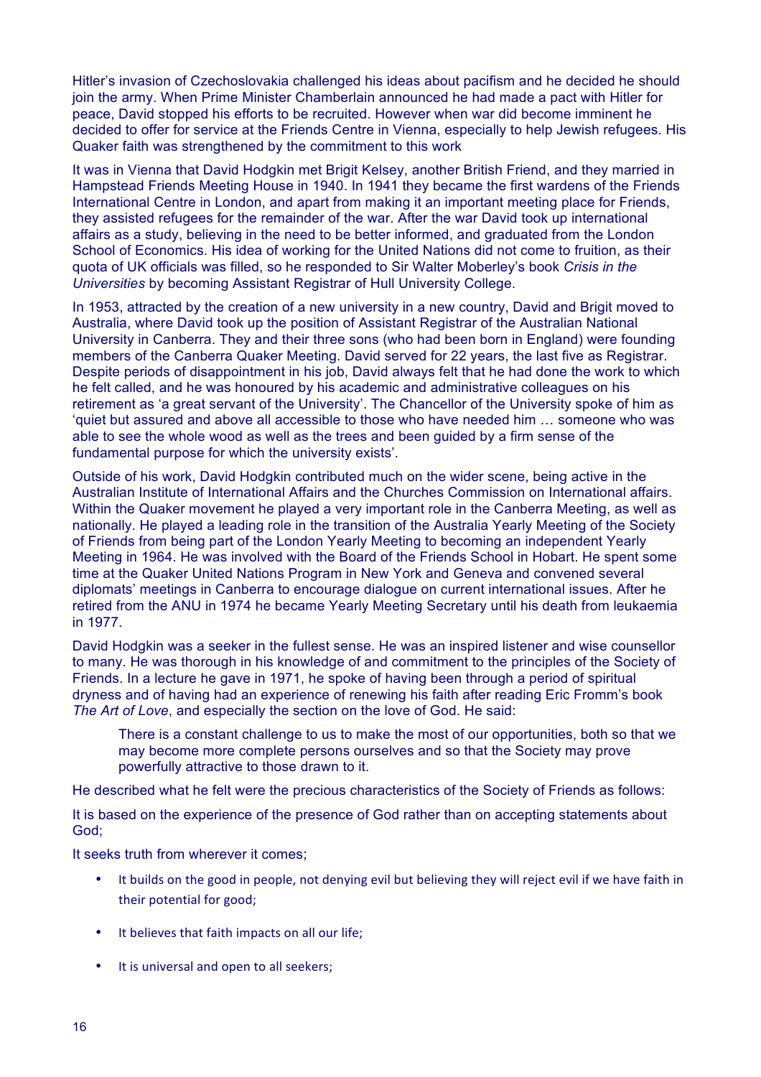Hitler's invasion of Czechoslovakia challenged his ideas about pacifism and he decided he should join the army. When Prime Minister Chamberlain announced he had made a pact with Hitler for peace, David stopped his efforts to be recruited. However when war did become imminent he decided to offer for service at the Friends Centre in Vienna, especially to help Jewish refugees. His Quaker faith was strengthened by the commitment to this work

It was in Vienna that David Hodgkin met Brigit Kelsey, another British Friend, and they married in Hampstead Friends Meeting House in 1940. In 1941 they became the first wardens of the Friends International Centre in London, and apart from making it an important meeting place for Friends, they assisted refugees for the remainder of the war. After the war David took up international affairs as a study, believing in the need to be better informed, and graduated from the London School of Economics. His idea of working for the United Nations did not come to fruition, as their quota of UK officials was filled, so he responded to Sir Walter Moberley's book *Crisis in the Universities* by becoming Assistant Registrar of Hull University College.

In 1953, attracted by the creation of a new university in a new country, David and Brigit moved to Australia, where David took up the position of Assistant Registrar of the Australian National University in Canberra. They and their three sons (who had been born in England) were founding members of the Canberra Quaker Meeting. David served for 22 years, the last five as Registrar. Despite periods of disappointment in his job, David always felt that he had done the work to which he felt called, and he was honoured by his academic and administrative colleagues on his retirement as 'a great servant of the University'. The Chancellor of the University spoke of him as 'quiet but assured and above all accessible to those who have needed him … someone who was able to see the whole wood as well as the trees and been guided by a firm sense of the fundamental purpose for which the university exists'.

Outside of his work, David Hodgkin contributed much on the wider scene, being active in the Australian Institute of International Affairs and the Churches Commission on International affairs. Within the Quaker movement he played a very important role in the Canberra Meeting, as well as nationally. He played a leading role in the transition of the Australia Yearly Meeting of the Society of Friends from being part of the London Yearly Meeting to becoming an independent Yearly Meeting in 1964. He was involved with the Board of the Friends School in Hobart. He spent some time at the Quaker United Nations Program in New York and Geneva and convened several diplomats' meetings in Canberra to encourage dialogue on current international issues. After he retired from the ANU in 1974 he became Yearly Meeting Secretary until his death from leukaemia in 1977.

David Hodgkin was a seeker in the fullest sense. He was an inspired listener and wise counsellor to many. He was thorough in his knowledge of and commitment to the principles of the Society of Friends. In a lecture he gave in 1971, he spoke of having been through a period of spiritual dryness and of having had an experience of renewing his faith after reading Eric Fromm's book *The Art of Love*, and especially the section on the love of God. He said:

There is a constant challenge to us to make the most of our opportunities, both so that we may become more complete persons ourselves and so that the Society may prove powerfully attractive to those drawn to it.

He described what he felt were the precious characteristics of the Society of Friends as follows:

It is based on the experience of the presence of God rather than on accepting statements about God;

It seeks truth from wherever it comes;

- It builds on the good in people, not denying evil but believing they will reject evil if we have faith in their potential for good;
- It believes that faith impacts on all our life;
- It is universal and open to all seekers;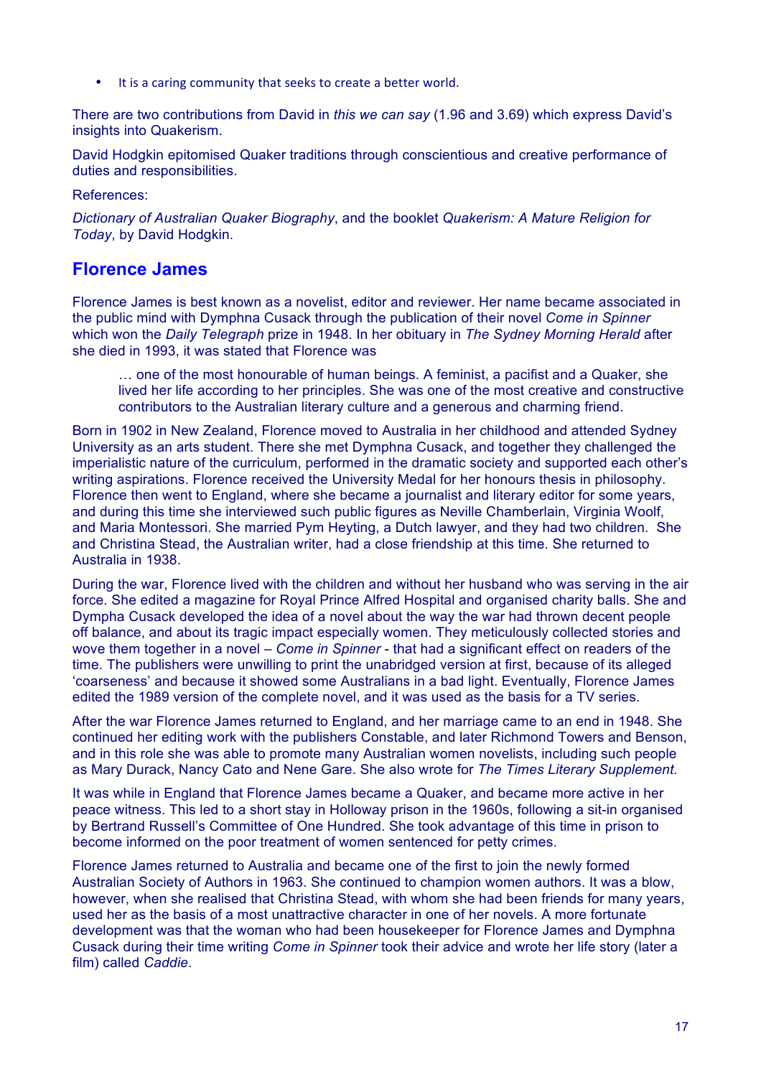It is a caring community that seeks to create a better world.

There are two contributions from David in *this we can say* (1.96 and 3.69) which express David's insights into Quakerism.

David Hodgkin epitomised Quaker traditions through conscientious and creative performance of duties and responsibilities.

References:

*Dictionary of Australian Quaker Biography*, and the booklet *Quakerism: A Mature Religion for Today*, by David Hodgkin.

### **Florence James**

Florence James is best known as a novelist, editor and reviewer. Her name became associated in the public mind with Dymphna Cusack through the publication of their novel *Come in Spinner* which won the *Daily Telegraph* prize in 1948. In her obituary in *The Sydney Morning Herald* after she died in 1993, it was stated that Florence was

… one of the most honourable of human beings. A feminist, a pacifist and a Quaker, she lived her life according to her principles. She was one of the most creative and constructive contributors to the Australian literary culture and a generous and charming friend.

Born in 1902 in New Zealand, Florence moved to Australia in her childhood and attended Sydney University as an arts student. There she met Dymphna Cusack, and together they challenged the imperialistic nature of the curriculum, performed in the dramatic society and supported each other's writing aspirations. Florence received the University Medal for her honours thesis in philosophy. Florence then went to England, where she became a journalist and literary editor for some years, and during this time she interviewed such public figures as Neville Chamberlain, Virginia Woolf, and Maria Montessori. She married Pym Heyting, a Dutch lawyer, and they had two children. She and Christina Stead, the Australian writer, had a close friendship at this time. She returned to Australia in 1938.

During the war, Florence lived with the children and without her husband who was serving in the air force. She edited a magazine for Royal Prince Alfred Hospital and organised charity balls. She and Dympha Cusack developed the idea of a novel about the way the war had thrown decent people off balance, and about its tragic impact especially women. They meticulously collected stories and wove them together in a novel – *Come in Spinner* - that had a significant effect on readers of the time. The publishers were unwilling to print the unabridged version at first, because of its alleged 'coarseness' and because it showed some Australians in a bad light. Eventually, Florence James edited the 1989 version of the complete novel, and it was used as the basis for a TV series.

After the war Florence James returned to England, and her marriage came to an end in 1948. She continued her editing work with the publishers Constable, and later Richmond Towers and Benson, and in this role she was able to promote many Australian women novelists, including such people as Mary Durack, Nancy Cato and Nene Gare. She also wrote for *The Times Literary Supplement.*

It was while in England that Florence James became a Quaker, and became more active in her peace witness. This led to a short stay in Holloway prison in the 1960s, following a sit-in organised by Bertrand Russell's Committee of One Hundred. She took advantage of this time in prison to become informed on the poor treatment of women sentenced for petty crimes.

Florence James returned to Australia and became one of the first to join the newly formed Australian Society of Authors in 1963. She continued to champion women authors. It was a blow, however, when she realised that Christina Stead, with whom she had been friends for many years, used her as the basis of a most unattractive character in one of her novels. A more fortunate development was that the woman who had been housekeeper for Florence James and Dymphna Cusack during their time writing *Come in Spinner* took their advice and wrote her life story (later a film) called *Caddie*.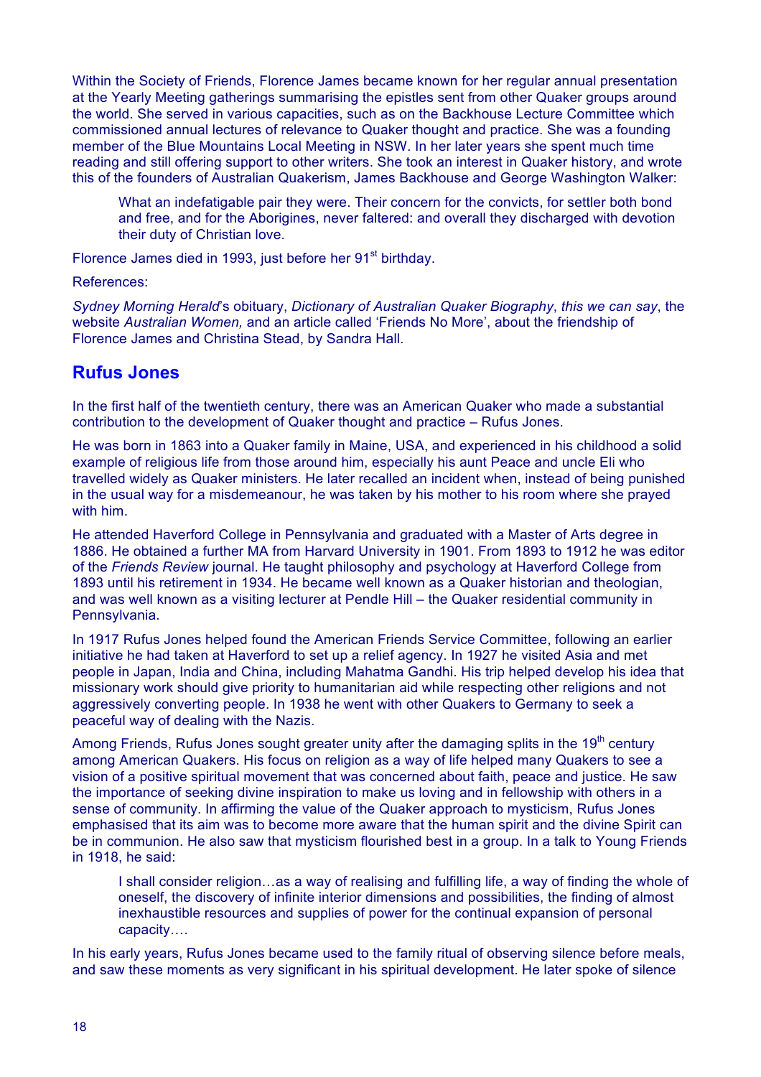Within the Society of Friends, Florence James became known for her regular annual presentation at the Yearly Meeting gatherings summarising the epistles sent from other Quaker groups around the world. She served in various capacities, such as on the Backhouse Lecture Committee which commissioned annual lectures of relevance to Quaker thought and practice. She was a founding member of the Blue Mountains Local Meeting in NSW. In her later years she spent much time reading and still offering support to other writers. She took an interest in Quaker history, and wrote this of the founders of Australian Quakerism, James Backhouse and George Washington Walker:

What an indefatigable pair they were. Their concern for the convicts, for settler both bond and free, and for the Aborigines, never faltered: and overall they discharged with devotion their duty of Christian love.

Florence James died in 1993, just before her 91<sup>st</sup> birthday.

References:

*Sydney Morning Herald*'s obituary, *Dictionary of Australian Quaker Biography*, *this we can say*, the website *Australian Women,* and an article called 'Friends No More', about the friendship of Florence James and Christina Stead, by Sandra Hall.

# **Rufus Jones**

In the first half of the twentieth century, there was an American Quaker who made a substantial contribution to the development of Quaker thought and practice – Rufus Jones.

He was born in 1863 into a Quaker family in Maine, USA, and experienced in his childhood a solid example of religious life from those around him, especially his aunt Peace and uncle Eli who travelled widely as Quaker ministers. He later recalled an incident when, instead of being punished in the usual way for a misdemeanour, he was taken by his mother to his room where she prayed with him.

He attended Haverford College in Pennsylvania and graduated with a Master of Arts degree in 1886. He obtained a further MA from Harvard University in 1901. From 1893 to 1912 he was editor of the *Friends Review* journal. He taught philosophy and psychology at Haverford College from 1893 until his retirement in 1934. He became well known as a Quaker historian and theologian, and was well known as a visiting lecturer at Pendle Hill – the Quaker residential community in Pennsylvania.

In 1917 Rufus Jones helped found the American Friends Service Committee, following an earlier initiative he had taken at Haverford to set up a relief agency. In 1927 he visited Asia and met people in Japan, India and China, including Mahatma Gandhi. His trip helped develop his idea that missionary work should give priority to humanitarian aid while respecting other religions and not aggressively converting people. In 1938 he went with other Quakers to Germany to seek a peaceful way of dealing with the Nazis.

Among Friends, Rufus Jones sought greater unity after the damaging splits in the 19<sup>th</sup> century among American Quakers. His focus on religion as a way of life helped many Quakers to see a vision of a positive spiritual movement that was concerned about faith, peace and justice. He saw the importance of seeking divine inspiration to make us loving and in fellowship with others in a sense of community. In affirming the value of the Quaker approach to mysticism, Rufus Jones emphasised that its aim was to become more aware that the human spirit and the divine Spirit can be in communion. He also saw that mysticism flourished best in a group. In a talk to Young Friends in 1918, he said:

I shall consider religion…as a way of realising and fulfilling life, a way of finding the whole of oneself, the discovery of infinite interior dimensions and possibilities, the finding of almost inexhaustible resources and supplies of power for the continual expansion of personal capacity….

In his early years, Rufus Jones became used to the family ritual of observing silence before meals, and saw these moments as very significant in his spiritual development. He later spoke of silence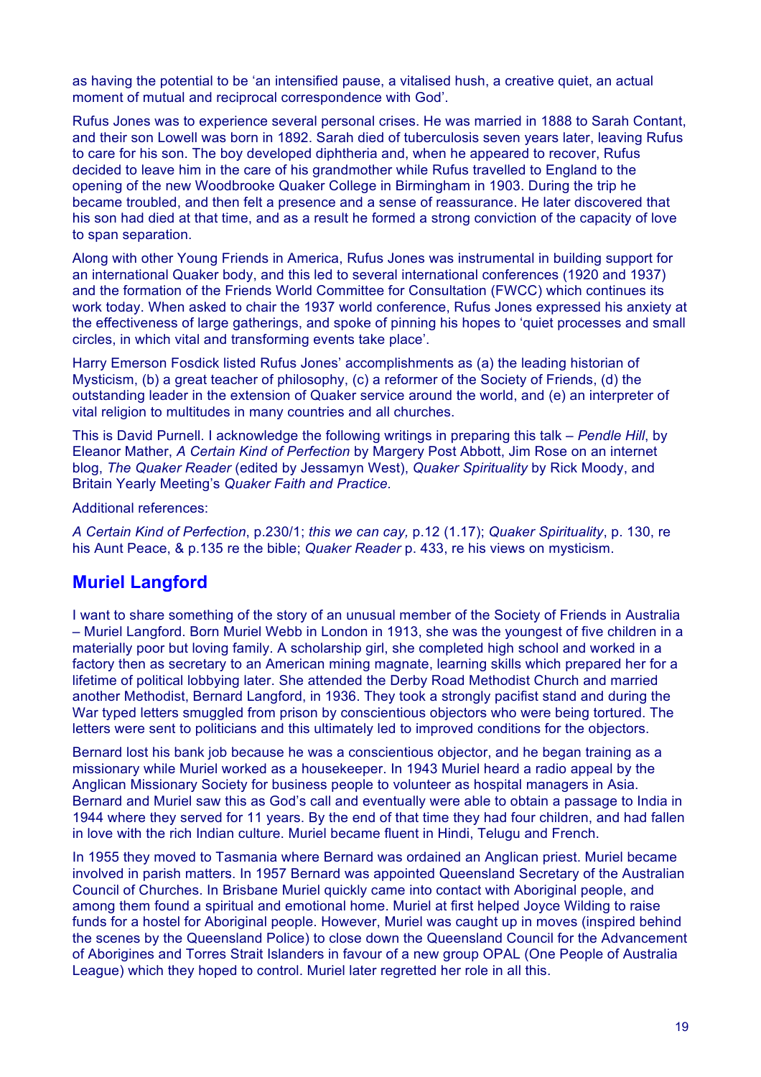as having the potential to be 'an intensified pause, a vitalised hush, a creative quiet, an actual moment of mutual and reciprocal correspondence with God'.

Rufus Jones was to experience several personal crises. He was married in 1888 to Sarah Contant, and their son Lowell was born in 1892. Sarah died of tuberculosis seven years later, leaving Rufus to care for his son. The boy developed diphtheria and, when he appeared to recover, Rufus decided to leave him in the care of his grandmother while Rufus travelled to England to the opening of the new Woodbrooke Quaker College in Birmingham in 1903. During the trip he became troubled, and then felt a presence and a sense of reassurance. He later discovered that his son had died at that time, and as a result he formed a strong conviction of the capacity of love to span separation.

Along with other Young Friends in America, Rufus Jones was instrumental in building support for an international Quaker body, and this led to several international conferences (1920 and 1937) and the formation of the Friends World Committee for Consultation (FWCC) which continues its work today. When asked to chair the 1937 world conference, Rufus Jones expressed his anxiety at the effectiveness of large gatherings, and spoke of pinning his hopes to 'quiet processes and small circles, in which vital and transforming events take place'.

Harry Emerson Fosdick listed Rufus Jones' accomplishments as (a) the leading historian of Mysticism, (b) a great teacher of philosophy, (c) a reformer of the Society of Friends, (d) the outstanding leader in the extension of Quaker service around the world, and (e) an interpreter of vital religion to multitudes in many countries and all churches.

This is David Purnell. I acknowledge the following writings in preparing this talk – *Pendle Hill*, by Eleanor Mather, *A Certain Kind of Perfection* by Margery Post Abbott, Jim Rose on an internet blog, *The Quaker Reader* (edited by Jessamyn West), *Quaker Spirituality* by Rick Moody, and Britain Yearly Meeting's *Quaker Faith and Practice.*

#### Additional references:

*A Certain Kind of Perfection*, p.230/1; *this we can cay,* p.12 (1.17); *Quaker Spirituality*, p. 130, re his Aunt Peace, & p.135 re the bible; *Quaker Reader* p. 433, re his views on mysticism.

#### **Muriel Langford**

I want to share something of the story of an unusual member of the Society of Friends in Australia – Muriel Langford. Born Muriel Webb in London in 1913, she was the youngest of five children in a materially poor but loving family. A scholarship girl, she completed high school and worked in a factory then as secretary to an American mining magnate, learning skills which prepared her for a lifetime of political lobbying later. She attended the Derby Road Methodist Church and married another Methodist, Bernard Langford, in 1936. They took a strongly pacifist stand and during the War typed letters smuggled from prison by conscientious objectors who were being tortured. The letters were sent to politicians and this ultimately led to improved conditions for the objectors.

Bernard lost his bank job because he was a conscientious objector, and he began training as a missionary while Muriel worked as a housekeeper. In 1943 Muriel heard a radio appeal by the Anglican Missionary Society for business people to volunteer as hospital managers in Asia. Bernard and Muriel saw this as God's call and eventually were able to obtain a passage to India in 1944 where they served for 11 years. By the end of that time they had four children, and had fallen in love with the rich Indian culture. Muriel became fluent in Hindi, Telugu and French.

In 1955 they moved to Tasmania where Bernard was ordained an Anglican priest. Muriel became involved in parish matters. In 1957 Bernard was appointed Queensland Secretary of the Australian Council of Churches. In Brisbane Muriel quickly came into contact with Aboriginal people, and among them found a spiritual and emotional home. Muriel at first helped Joyce Wilding to raise funds for a hostel for Aboriginal people. However, Muriel was caught up in moves (inspired behind the scenes by the Queensland Police) to close down the Queensland Council for the Advancement of Aborigines and Torres Strait Islanders in favour of a new group OPAL (One People of Australia League) which they hoped to control. Muriel later regretted her role in all this.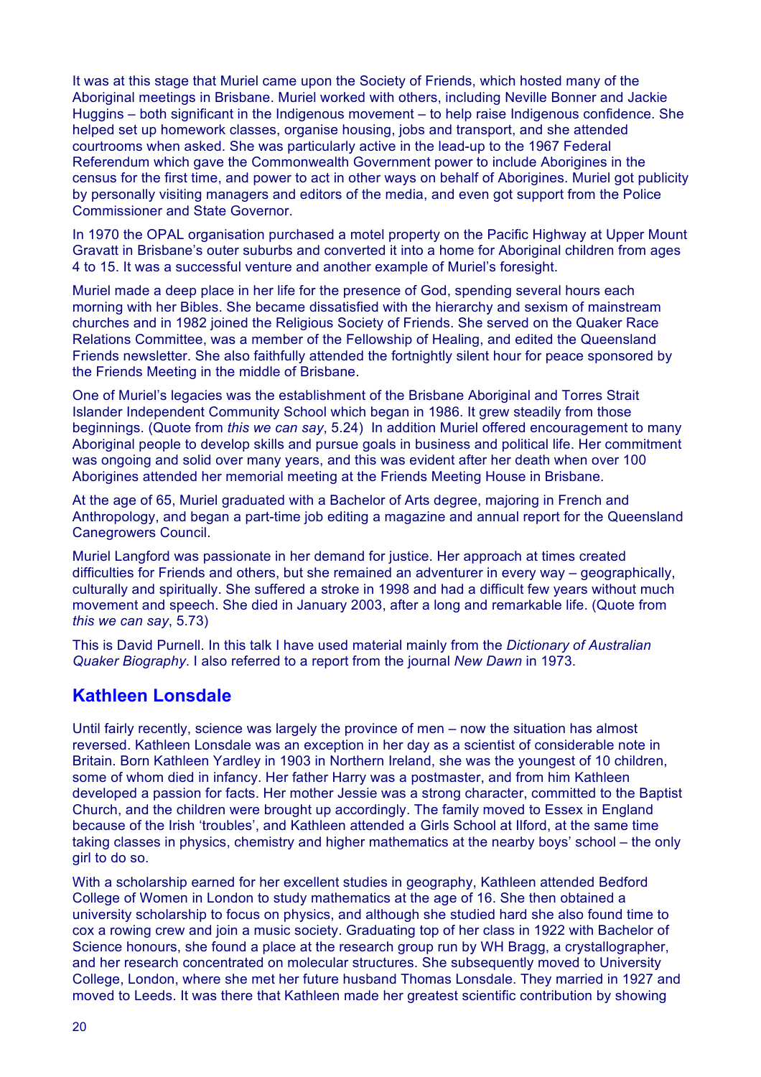It was at this stage that Muriel came upon the Society of Friends, which hosted many of the Aboriginal meetings in Brisbane. Muriel worked with others, including Neville Bonner and Jackie Huggins – both significant in the Indigenous movement – to help raise Indigenous confidence. She helped set up homework classes, organise housing, jobs and transport, and she attended courtrooms when asked. She was particularly active in the lead-up to the 1967 Federal Referendum which gave the Commonwealth Government power to include Aborigines in the census for the first time, and power to act in other ways on behalf of Aborigines. Muriel got publicity by personally visiting managers and editors of the media, and even got support from the Police Commissioner and State Governor.

In 1970 the OPAL organisation purchased a motel property on the Pacific Highway at Upper Mount Gravatt in Brisbane's outer suburbs and converted it into a home for Aboriginal children from ages 4 to 15. It was a successful venture and another example of Muriel's foresight.

Muriel made a deep place in her life for the presence of God, spending several hours each morning with her Bibles. She became dissatisfied with the hierarchy and sexism of mainstream churches and in 1982 joined the Religious Society of Friends. She served on the Quaker Race Relations Committee, was a member of the Fellowship of Healing, and edited the Queensland Friends newsletter. She also faithfully attended the fortnightly silent hour for peace sponsored by the Friends Meeting in the middle of Brisbane.

One of Muriel's legacies was the establishment of the Brisbane Aboriginal and Torres Strait Islander Independent Community School which began in 1986. It grew steadily from those beginnings. (Quote from *this we can say*, 5.24) In addition Muriel offered encouragement to many Aboriginal people to develop skills and pursue goals in business and political life. Her commitment was ongoing and solid over many years, and this was evident after her death when over 100 Aborigines attended her memorial meeting at the Friends Meeting House in Brisbane.

At the age of 65, Muriel graduated with a Bachelor of Arts degree, majoring in French and Anthropology, and began a part-time job editing a magazine and annual report for the Queensland Canegrowers Council.

Muriel Langford was passionate in her demand for justice. Her approach at times created difficulties for Friends and others, but she remained an adventurer in every way – geographically, culturally and spiritually. She suffered a stroke in 1998 and had a difficult few years without much movement and speech. She died in January 2003, after a long and remarkable life. (Quote from *this we can say*, 5.73)

This is David Purnell. In this talk I have used material mainly from the *Dictionary of Australian Quaker Biography*. I also referred to a report from the journal *New Dawn* in 1973.

# **Kathleen Lonsdale**

Until fairly recently, science was largely the province of men – now the situation has almost reversed. Kathleen Lonsdale was an exception in her day as a scientist of considerable note in Britain. Born Kathleen Yardley in 1903 in Northern Ireland, she was the youngest of 10 children, some of whom died in infancy. Her father Harry was a postmaster, and from him Kathleen developed a passion for facts. Her mother Jessie was a strong character, committed to the Baptist Church, and the children were brought up accordingly. The family moved to Essex in England because of the Irish 'troubles', and Kathleen attended a Girls School at Ilford, at the same time taking classes in physics, chemistry and higher mathematics at the nearby boys' school – the only girl to do so.

With a scholarship earned for her excellent studies in geography, Kathleen attended Bedford College of Women in London to study mathematics at the age of 16. She then obtained a university scholarship to focus on physics, and although she studied hard she also found time to cox a rowing crew and join a music society. Graduating top of her class in 1922 with Bachelor of Science honours, she found a place at the research group run by WH Bragg, a crystallographer, and her research concentrated on molecular structures. She subsequently moved to University College, London, where she met her future husband Thomas Lonsdale. They married in 1927 and moved to Leeds. It was there that Kathleen made her greatest scientific contribution by showing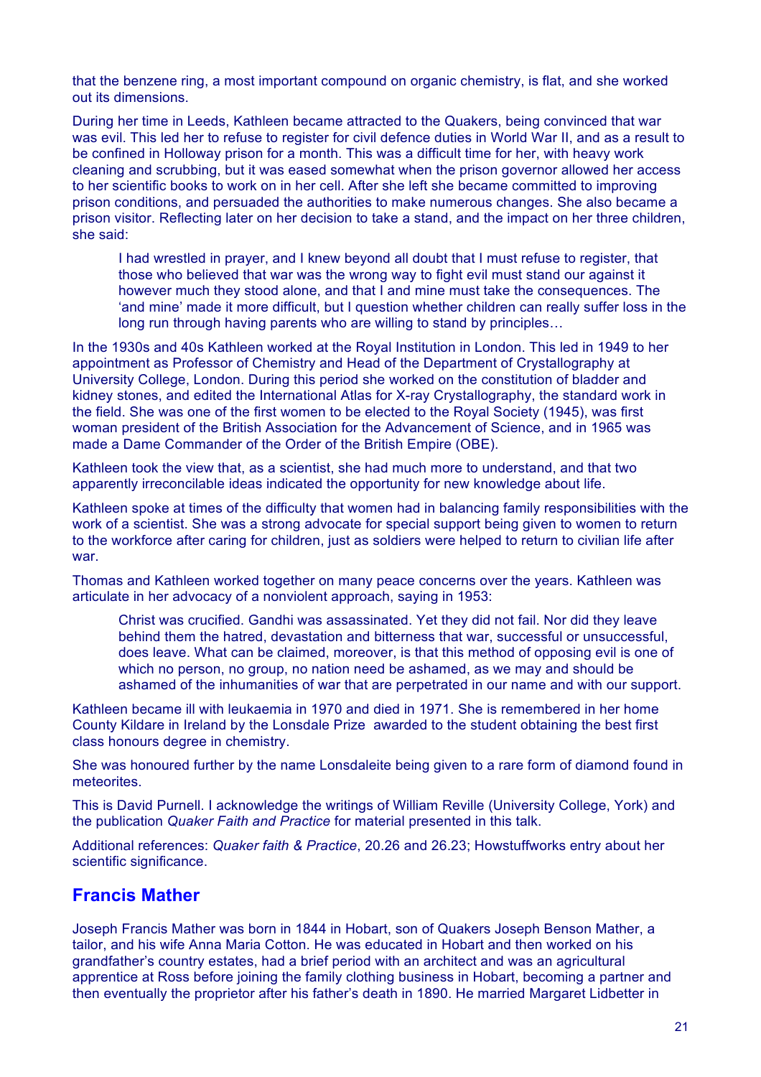that the benzene ring, a most important compound on organic chemistry, is flat, and she worked out its dimensions.

During her time in Leeds, Kathleen became attracted to the Quakers, being convinced that war was evil. This led her to refuse to register for civil defence duties in World War II, and as a result to be confined in Holloway prison for a month. This was a difficult time for her, with heavy work cleaning and scrubbing, but it was eased somewhat when the prison governor allowed her access to her scientific books to work on in her cell. After she left she became committed to improving prison conditions, and persuaded the authorities to make numerous changes. She also became a prison visitor. Reflecting later on her decision to take a stand, and the impact on her three children, she said:

I had wrestled in prayer, and I knew beyond all doubt that I must refuse to register, that those who believed that war was the wrong way to fight evil must stand our against it however much they stood alone, and that I and mine must take the consequences. The 'and mine' made it more difficult, but I question whether children can really suffer loss in the long run through having parents who are willing to stand by principles…

In the 1930s and 40s Kathleen worked at the Royal Institution in London. This led in 1949 to her appointment as Professor of Chemistry and Head of the Department of Crystallography at University College, London. During this period she worked on the constitution of bladder and kidney stones, and edited the International Atlas for X-ray Crystallography, the standard work in the field. She was one of the first women to be elected to the Royal Society (1945), was first woman president of the British Association for the Advancement of Science, and in 1965 was made a Dame Commander of the Order of the British Empire (OBE).

Kathleen took the view that, as a scientist, she had much more to understand, and that two apparently irreconcilable ideas indicated the opportunity for new knowledge about life.

Kathleen spoke at times of the difficulty that women had in balancing family responsibilities with the work of a scientist. She was a strong advocate for special support being given to women to return to the workforce after caring for children, just as soldiers were helped to return to civilian life after war.

Thomas and Kathleen worked together on many peace concerns over the years. Kathleen was articulate in her advocacy of a nonviolent approach, saying in 1953:

Christ was crucified. Gandhi was assassinated. Yet they did not fail. Nor did they leave behind them the hatred, devastation and bitterness that war, successful or unsuccessful, does leave. What can be claimed, moreover, is that this method of opposing evil is one of which no person, no group, no nation need be ashamed, as we may and should be ashamed of the inhumanities of war that are perpetrated in our name and with our support.

Kathleen became ill with leukaemia in 1970 and died in 1971. She is remembered in her home County Kildare in Ireland by the Lonsdale Prize awarded to the student obtaining the best first class honours degree in chemistry.

She was honoured further by the name Lonsdaleite being given to a rare form of diamond found in meteorites.

This is David Purnell. I acknowledge the writings of William Reville (University College, York) and the publication *Quaker Faith and Practice* for material presented in this talk.

Additional references: *Quaker faith & Practice*, 20.26 and 26.23; Howstuffworks entry about her scientific significance.

#### **Francis Mather**

Joseph Francis Mather was born in 1844 in Hobart, son of Quakers Joseph Benson Mather, a tailor, and his wife Anna Maria Cotton. He was educated in Hobart and then worked on his grandfather's country estates, had a brief period with an architect and was an agricultural apprentice at Ross before joining the family clothing business in Hobart, becoming a partner and then eventually the proprietor after his father's death in 1890. He married Margaret Lidbetter in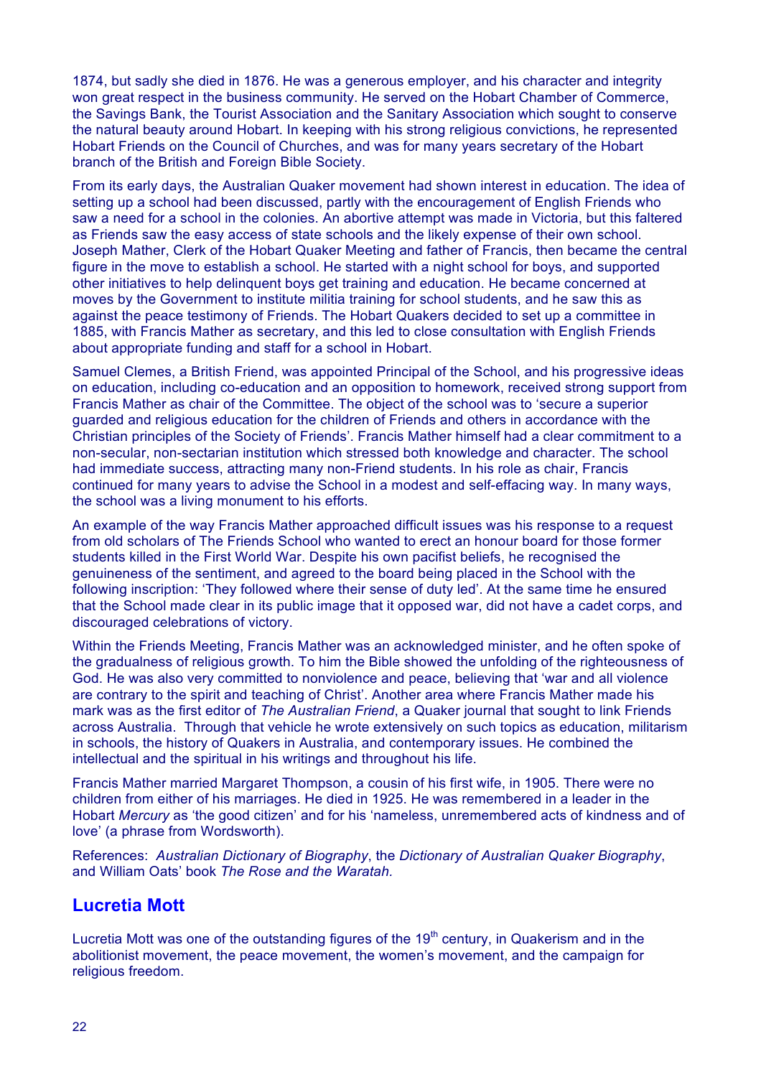1874, but sadly she died in 1876. He was a generous employer, and his character and integrity won great respect in the business community. He served on the Hobart Chamber of Commerce, the Savings Bank, the Tourist Association and the Sanitary Association which sought to conserve the natural beauty around Hobart. In keeping with his strong religious convictions, he represented Hobart Friends on the Council of Churches, and was for many years secretary of the Hobart branch of the British and Foreign Bible Society.

From its early days, the Australian Quaker movement had shown interest in education. The idea of setting up a school had been discussed, partly with the encouragement of English Friends who saw a need for a school in the colonies. An abortive attempt was made in Victoria, but this faltered as Friends saw the easy access of state schools and the likely expense of their own school. Joseph Mather, Clerk of the Hobart Quaker Meeting and father of Francis, then became the central figure in the move to establish a school. He started with a night school for boys, and supported other initiatives to help delinquent boys get training and education. He became concerned at moves by the Government to institute militia training for school students, and he saw this as against the peace testimony of Friends. The Hobart Quakers decided to set up a committee in 1885, with Francis Mather as secretary, and this led to close consultation with English Friends about appropriate funding and staff for a school in Hobart.

Samuel Clemes, a British Friend, was appointed Principal of the School, and his progressive ideas on education, including co-education and an opposition to homework, received strong support from Francis Mather as chair of the Committee. The object of the school was to 'secure a superior guarded and religious education for the children of Friends and others in accordance with the Christian principles of the Society of Friends'. Francis Mather himself had a clear commitment to a non-secular, non-sectarian institution which stressed both knowledge and character. The school had immediate success, attracting many non-Friend students. In his role as chair, Francis continued for many years to advise the School in a modest and self-effacing way. In many ways, the school was a living monument to his efforts.

An example of the way Francis Mather approached difficult issues was his response to a request from old scholars of The Friends School who wanted to erect an honour board for those former students killed in the First World War. Despite his own pacifist beliefs, he recognised the genuineness of the sentiment, and agreed to the board being placed in the School with the following inscription: 'They followed where their sense of duty led'. At the same time he ensured that the School made clear in its public image that it opposed war, did not have a cadet corps, and discouraged celebrations of victory.

Within the Friends Meeting, Francis Mather was an acknowledged minister, and he often spoke of the gradualness of religious growth. To him the Bible showed the unfolding of the righteousness of God. He was also very committed to nonviolence and peace, believing that 'war and all violence are contrary to the spirit and teaching of Christ'. Another area where Francis Mather made his mark was as the first editor of *The Australian Friend*, a Quaker journal that sought to link Friends across Australia. Through that vehicle he wrote extensively on such topics as education, militarism in schools, the history of Quakers in Australia, and contemporary issues. He combined the intellectual and the spiritual in his writings and throughout his life.

Francis Mather married Margaret Thompson, a cousin of his first wife, in 1905. There were no children from either of his marriages. He died in 1925. He was remembered in a leader in the Hobart *Mercury* as 'the good citizen' and for his 'nameless, unremembered acts of kindness and of love' (a phrase from Wordsworth).

References: *Australian Dictionary of Biography*, the *Dictionary of Australian Quaker Biography*, and William Oats' book *The Rose and the Waratah.* 

#### **Lucretia Mott**

Lucretia Mott was one of the outstanding figures of the  $19<sup>th</sup>$  century, in Quakerism and in the abolitionist movement, the peace movement, the women's movement, and the campaign for religious freedom.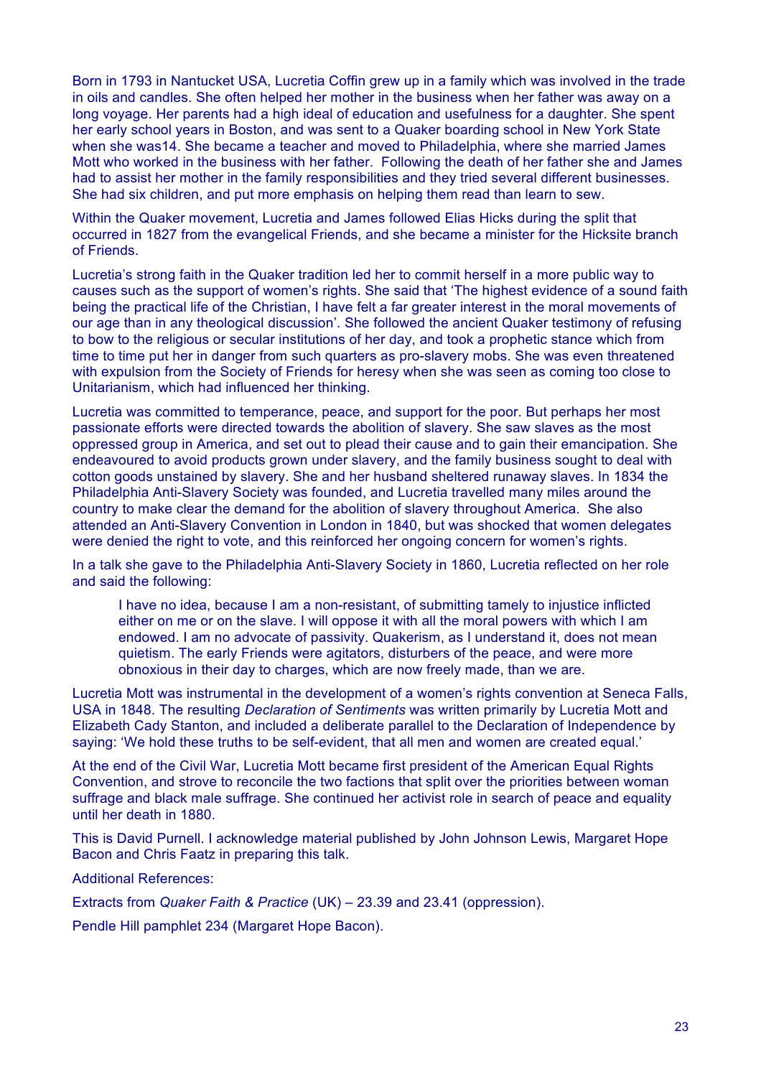Born in 1793 in Nantucket USA, Lucretia Coffin grew up in a family which was involved in the trade in oils and candles. She often helped her mother in the business when her father was away on a long voyage. Her parents had a high ideal of education and usefulness for a daughter. She spent her early school years in Boston, and was sent to a Quaker boarding school in New York State when she was14. She became a teacher and moved to Philadelphia, where she married James Mott who worked in the business with her father. Following the death of her father she and James had to assist her mother in the family responsibilities and they tried several different businesses. She had six children, and put more emphasis on helping them read than learn to sew.

Within the Quaker movement, Lucretia and James followed Elias Hicks during the split that occurred in 1827 from the evangelical Friends, and she became a minister for the Hicksite branch of Friends.

Lucretia's strong faith in the Quaker tradition led her to commit herself in a more public way to causes such as the support of women's rights. She said that 'The highest evidence of a sound faith being the practical life of the Christian, I have felt a far greater interest in the moral movements of our age than in any theological discussion'. She followed the ancient Quaker testimony of refusing to bow to the religious or secular institutions of her day, and took a prophetic stance which from time to time put her in danger from such quarters as pro-slavery mobs. She was even threatened with expulsion from the Society of Friends for heresy when she was seen as coming too close to Unitarianism, which had influenced her thinking.

Lucretia was committed to temperance, peace, and support for the poor. But perhaps her most passionate efforts were directed towards the abolition of slavery. She saw slaves as the most oppressed group in America, and set out to plead their cause and to gain their emancipation. She endeavoured to avoid products grown under slavery, and the family business sought to deal with cotton goods unstained by slavery. She and her husband sheltered runaway slaves. In 1834 the Philadelphia Anti-Slavery Society was founded, and Lucretia travelled many miles around the country to make clear the demand for the abolition of slavery throughout America. She also attended an Anti-Slavery Convention in London in 1840, but was shocked that women delegates were denied the right to vote, and this reinforced her ongoing concern for women's rights.

In a talk she gave to the Philadelphia Anti-Slavery Society in 1860, Lucretia reflected on her role and said the following:

I have no idea, because I am a non-resistant, of submitting tamely to injustice inflicted either on me or on the slave. I will oppose it with all the moral powers with which I am endowed. I am no advocate of passivity. Quakerism, as I understand it, does not mean quietism. The early Friends were agitators, disturbers of the peace, and were more obnoxious in their day to charges, which are now freely made, than we are.

Lucretia Mott was instrumental in the development of a women's rights convention at Seneca Falls, USA in 1848. The resulting *Declaration of Sentiments* was written primarily by Lucretia Mott and Elizabeth Cady Stanton, and included a deliberate parallel to the Declaration of Independence by saying: 'We hold these truths to be self-evident, that all men and women are created equal.'

At the end of the Civil War, Lucretia Mott became first president of the American Equal Rights Convention, and strove to reconcile the two factions that split over the priorities between woman suffrage and black male suffrage. She continued her activist role in search of peace and equality until her death in 1880.

This is David Purnell. I acknowledge material published by John Johnson Lewis, Margaret Hope Bacon and Chris Faatz in preparing this talk.

Additional References:

Extracts from *Quaker Faith & Practice* (UK) – 23.39 and 23.41 (oppression).

Pendle Hill pamphlet 234 (Margaret Hope Bacon).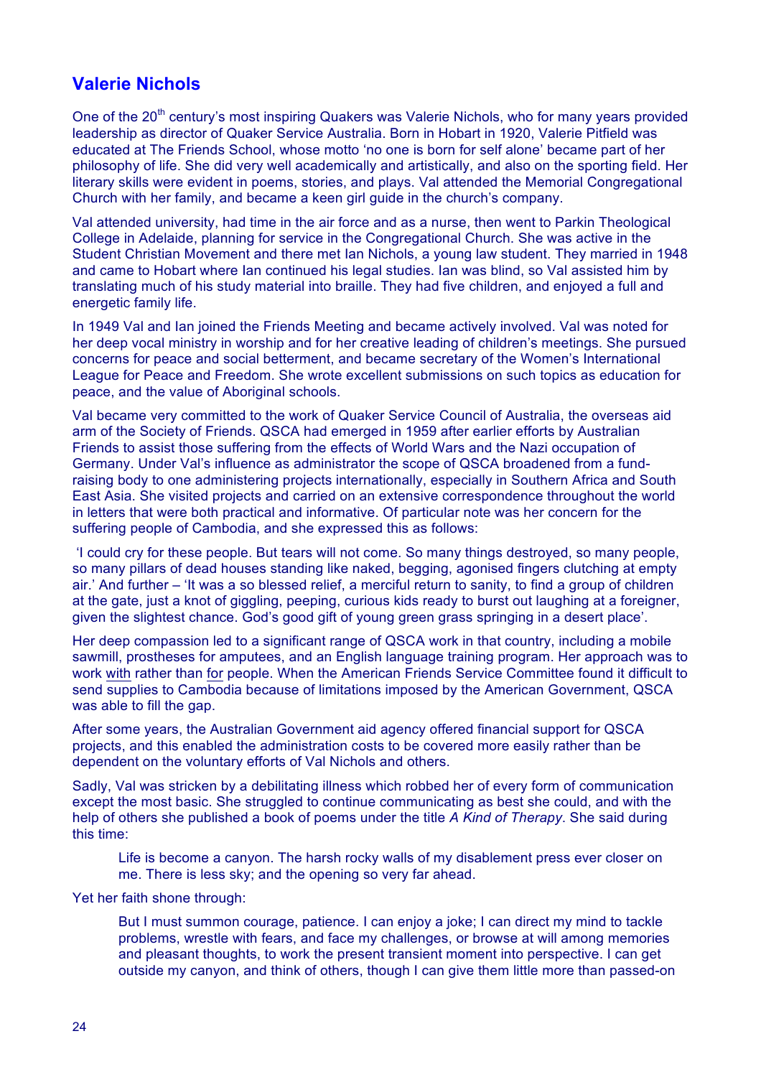# **Valerie Nichols**

One of the 20<sup>th</sup> century's most inspiring Quakers was Valerie Nichols, who for many years provided leadership as director of Quaker Service Australia. Born in Hobart in 1920, Valerie Pitfield was educated at The Friends School, whose motto 'no one is born for self alone' became part of her philosophy of life. She did very well academically and artistically, and also on the sporting field. Her literary skills were evident in poems, stories, and plays. Val attended the Memorial Congregational Church with her family, and became a keen girl guide in the church's company.

Val attended university, had time in the air force and as a nurse, then went to Parkin Theological College in Adelaide, planning for service in the Congregational Church. She was active in the Student Christian Movement and there met Ian Nichols, a young law student. They married in 1948 and came to Hobart where Ian continued his legal studies. Ian was blind, so Val assisted him by translating much of his study material into braille. They had five children, and enjoyed a full and energetic family life.

In 1949 Val and Ian joined the Friends Meeting and became actively involved. Val was noted for her deep vocal ministry in worship and for her creative leading of children's meetings. She pursued concerns for peace and social betterment, and became secretary of the Women's International League for Peace and Freedom. She wrote excellent submissions on such topics as education for peace, and the value of Aboriginal schools.

Val became very committed to the work of Quaker Service Council of Australia, the overseas aid arm of the Society of Friends. QSCA had emerged in 1959 after earlier efforts by Australian Friends to assist those suffering from the effects of World Wars and the Nazi occupation of Germany. Under Val's influence as administrator the scope of QSCA broadened from a fundraising body to one administering projects internationally, especially in Southern Africa and South East Asia. She visited projects and carried on an extensive correspondence throughout the world in letters that were both practical and informative. Of particular note was her concern for the suffering people of Cambodia, and she expressed this as follows:

'I could cry for these people. But tears will not come. So many things destroyed, so many people, so many pillars of dead houses standing like naked, begging, agonised fingers clutching at empty air.' And further – 'It was a so blessed relief, a merciful return to sanity, to find a group of children at the gate, just a knot of giggling, peeping, curious kids ready to burst out laughing at a foreigner, given the slightest chance. God's good gift of young green grass springing in a desert place'.

Her deep compassion led to a significant range of QSCA work in that country, including a mobile sawmill, prostheses for amputees, and an English language training program. Her approach was to work with rather than for people. When the American Friends Service Committee found it difficult to send supplies to Cambodia because of limitations imposed by the American Government, QSCA was able to fill the gap.

After some years, the Australian Government aid agency offered financial support for QSCA projects, and this enabled the administration costs to be covered more easily rather than be dependent on the voluntary efforts of Val Nichols and others.

Sadly, Val was stricken by a debilitating illness which robbed her of every form of communication except the most basic. She struggled to continue communicating as best she could, and with the help of others she published a book of poems under the title *A Kind of Therapy*. She said during this time:

Life is become a canyon. The harsh rocky walls of my disablement press ever closer on me. There is less sky; and the opening so very far ahead.

Yet her faith shone through:

But I must summon courage, patience. I can enjoy a joke; I can direct my mind to tackle problems, wrestle with fears, and face my challenges, or browse at will among memories and pleasant thoughts, to work the present transient moment into perspective. I can get outside my canyon, and think of others, though I can give them little more than passed-on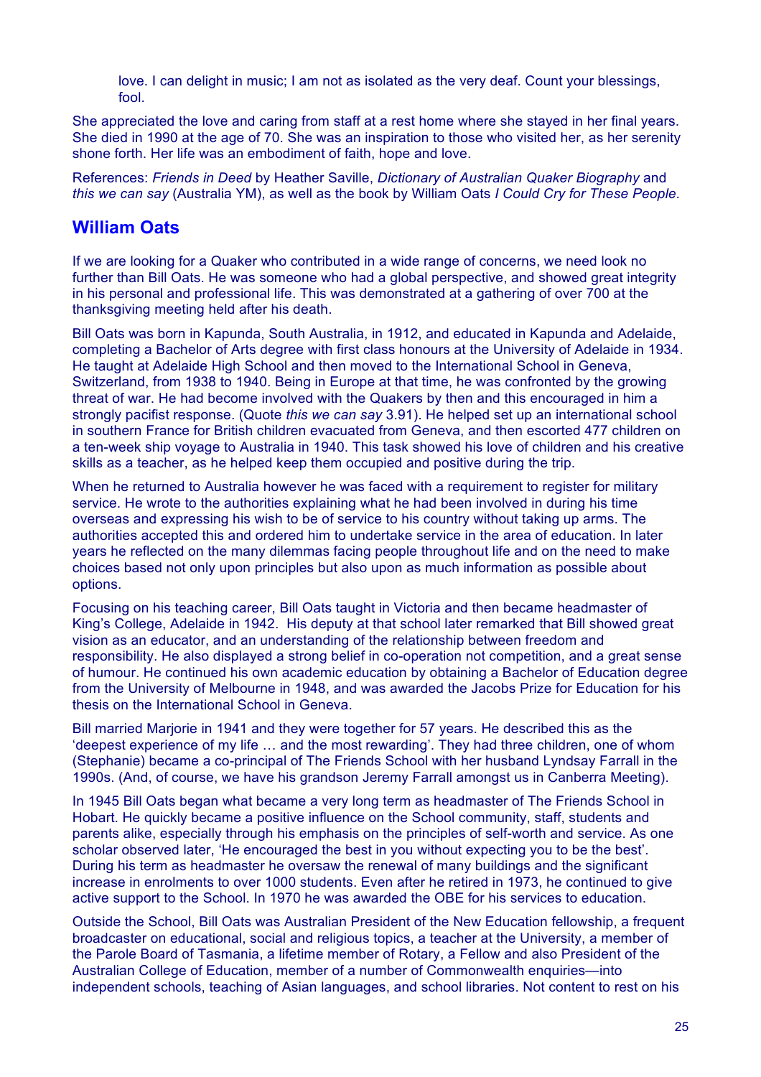love. I can delight in music; I am not as isolated as the very deaf. Count your blessings, fool.

She appreciated the love and caring from staff at a rest home where she stayed in her final years. She died in 1990 at the age of 70. She was an inspiration to those who visited her, as her serenity shone forth. Her life was an embodiment of faith, hope and love.

References: *Friends in Deed* by Heather Saville, *Dictionary of Australian Quaker Biography* and *this we can say* (Australia YM), as well as the book by William Oats *I Could Cry for These People*.

### **William Oats**

If we are looking for a Quaker who contributed in a wide range of concerns, we need look no further than Bill Oats. He was someone who had a global perspective, and showed great integrity in his personal and professional life. This was demonstrated at a gathering of over 700 at the thanksgiving meeting held after his death.

Bill Oats was born in Kapunda, South Australia, in 1912, and educated in Kapunda and Adelaide, completing a Bachelor of Arts degree with first class honours at the University of Adelaide in 1934. He taught at Adelaide High School and then moved to the International School in Geneva, Switzerland, from 1938 to 1940. Being in Europe at that time, he was confronted by the growing threat of war. He had become involved with the Quakers by then and this encouraged in him a strongly pacifist response. (Quote *this we can say* 3.91). He helped set up an international school in southern France for British children evacuated from Geneva, and then escorted 477 children on a ten-week ship voyage to Australia in 1940. This task showed his love of children and his creative skills as a teacher, as he helped keep them occupied and positive during the trip.

When he returned to Australia however he was faced with a requirement to register for military service. He wrote to the authorities explaining what he had been involved in during his time overseas and expressing his wish to be of service to his country without taking up arms. The authorities accepted this and ordered him to undertake service in the area of education. In later years he reflected on the many dilemmas facing people throughout life and on the need to make choices based not only upon principles but also upon as much information as possible about options.

Focusing on his teaching career, Bill Oats taught in Victoria and then became headmaster of King's College, Adelaide in 1942. His deputy at that school later remarked that Bill showed great vision as an educator, and an understanding of the relationship between freedom and responsibility. He also displayed a strong belief in co-operation not competition, and a great sense of humour. He continued his own academic education by obtaining a Bachelor of Education degree from the University of Melbourne in 1948, and was awarded the Jacobs Prize for Education for his thesis on the International School in Geneva.

Bill married Marjorie in 1941 and they were together for 57 years. He described this as the 'deepest experience of my life … and the most rewarding'. They had three children, one of whom (Stephanie) became a co-principal of The Friends School with her husband Lyndsay Farrall in the 1990s. (And, of course, we have his grandson Jeremy Farrall amongst us in Canberra Meeting).

In 1945 Bill Oats began what became a very long term as headmaster of The Friends School in Hobart. He quickly became a positive influence on the School community, staff, students and parents alike, especially through his emphasis on the principles of self-worth and service. As one scholar observed later, 'He encouraged the best in you without expecting you to be the best'. During his term as headmaster he oversaw the renewal of many buildings and the significant increase in enrolments to over 1000 students. Even after he retired in 1973, he continued to give active support to the School. In 1970 he was awarded the OBE for his services to education.

Outside the School, Bill Oats was Australian President of the New Education fellowship, a frequent broadcaster on educational, social and religious topics, a teacher at the University, a member of the Parole Board of Tasmania, a lifetime member of Rotary, a Fellow and also President of the Australian College of Education, member of a number of Commonwealth enquiries—into independent schools, teaching of Asian languages, and school libraries. Not content to rest on his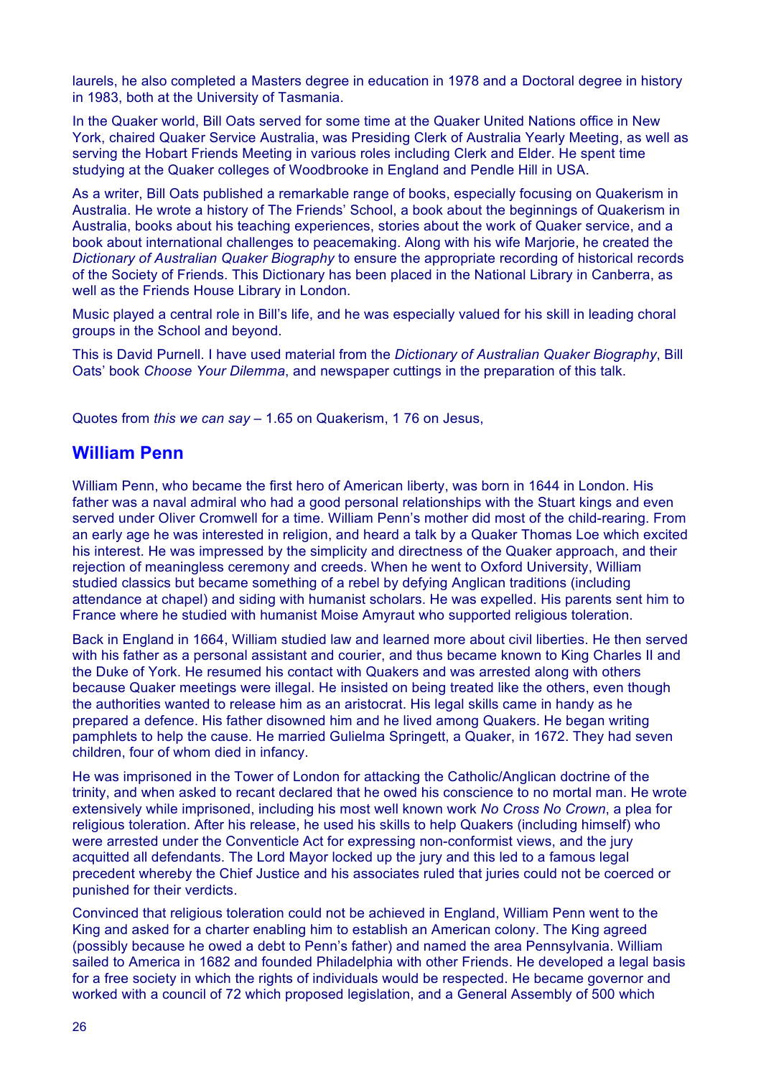laurels, he also completed a Masters degree in education in 1978 and a Doctoral degree in history in 1983, both at the University of Tasmania.

In the Quaker world, Bill Oats served for some time at the Quaker United Nations office in New York, chaired Quaker Service Australia, was Presiding Clerk of Australia Yearly Meeting, as well as serving the Hobart Friends Meeting in various roles including Clerk and Elder. He spent time studying at the Quaker colleges of Woodbrooke in England and Pendle Hill in USA.

As a writer, Bill Oats published a remarkable range of books, especially focusing on Quakerism in Australia. He wrote a history of The Friends' School, a book about the beginnings of Quakerism in Australia, books about his teaching experiences, stories about the work of Quaker service, and a book about international challenges to peacemaking. Along with his wife Marjorie, he created the *Dictionary of Australian Quaker Biography* to ensure the appropriate recording of historical records of the Society of Friends. This Dictionary has been placed in the National Library in Canberra, as well as the Friends House Library in London.

Music played a central role in Bill's life, and he was especially valued for his skill in leading choral groups in the School and beyond.

This is David Purnell. I have used material from the *Dictionary of Australian Quaker Biography*, Bill Oats' book *Choose Your Dilemma*, and newspaper cuttings in the preparation of this talk.

Quotes from *this we can say* – 1.65 on Quakerism, 1 76 on Jesus,

#### **William Penn**

William Penn, who became the first hero of American liberty, was born in 1644 in London. His father was a naval admiral who had a good personal relationships with the Stuart kings and even served under Oliver Cromwell for a time. William Penn's mother did most of the child-rearing. From an early age he was interested in religion, and heard a talk by a Quaker Thomas Loe which excited his interest. He was impressed by the simplicity and directness of the Quaker approach, and their rejection of meaningless ceremony and creeds. When he went to Oxford University, William studied classics but became something of a rebel by defying Anglican traditions (including attendance at chapel) and siding with humanist scholars. He was expelled. His parents sent him to France where he studied with humanist Moise Amyraut who supported religious toleration.

Back in England in 1664, William studied law and learned more about civil liberties. He then served with his father as a personal assistant and courier, and thus became known to King Charles II and the Duke of York. He resumed his contact with Quakers and was arrested along with others because Quaker meetings were illegal. He insisted on being treated like the others, even though the authorities wanted to release him as an aristocrat. His legal skills came in handy as he prepared a defence. His father disowned him and he lived among Quakers. He began writing pamphlets to help the cause. He married Gulielma Springett, a Quaker, in 1672. They had seven children, four of whom died in infancy.

He was imprisoned in the Tower of London for attacking the Catholic/Anglican doctrine of the trinity, and when asked to recant declared that he owed his conscience to no mortal man. He wrote extensively while imprisoned, including his most well known work *No Cross No Crown*, a plea for religious toleration. After his release, he used his skills to help Quakers (including himself) who were arrested under the Conventicle Act for expressing non-conformist views, and the jury acquitted all defendants. The Lord Mayor locked up the jury and this led to a famous legal precedent whereby the Chief Justice and his associates ruled that juries could not be coerced or punished for their verdicts.

Convinced that religious toleration could not be achieved in England, William Penn went to the King and asked for a charter enabling him to establish an American colony. The King agreed (possibly because he owed a debt to Penn's father) and named the area Pennsylvania. William sailed to America in 1682 and founded Philadelphia with other Friends. He developed a legal basis for a free society in which the rights of individuals would be respected. He became governor and worked with a council of 72 which proposed legislation, and a General Assembly of 500 which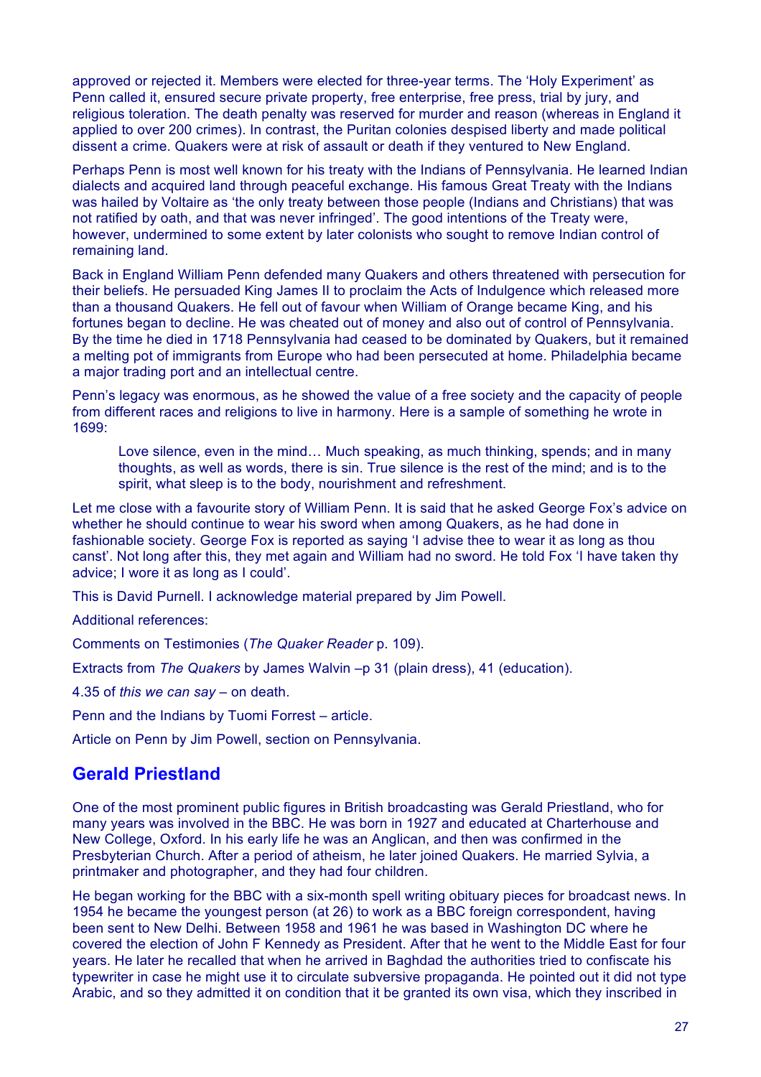approved or rejected it. Members were elected for three-year terms. The 'Holy Experiment' as Penn called it, ensured secure private property, free enterprise, free press, trial by jury, and religious toleration. The death penalty was reserved for murder and reason (whereas in England it applied to over 200 crimes). In contrast, the Puritan colonies despised liberty and made political dissent a crime. Quakers were at risk of assault or death if they ventured to New England.

Perhaps Penn is most well known for his treaty with the Indians of Pennsylvania. He learned Indian dialects and acquired land through peaceful exchange. His famous Great Treaty with the Indians was hailed by Voltaire as 'the only treaty between those people (Indians and Christians) that was not ratified by oath, and that was never infringed'. The good intentions of the Treaty were, however, undermined to some extent by later colonists who sought to remove Indian control of remaining land.

Back in England William Penn defended many Quakers and others threatened with persecution for their beliefs. He persuaded King James II to proclaim the Acts of Indulgence which released more than a thousand Quakers. He fell out of favour when William of Orange became King, and his fortunes began to decline. He was cheated out of money and also out of control of Pennsylvania. By the time he died in 1718 Pennsylvania had ceased to be dominated by Quakers, but it remained a melting pot of immigrants from Europe who had been persecuted at home. Philadelphia became a major trading port and an intellectual centre.

Penn's legacy was enormous, as he showed the value of a free society and the capacity of people from different races and religions to live in harmony. Here is a sample of something he wrote in 1699:

Love silence, even in the mind… Much speaking, as much thinking, spends; and in many thoughts, as well as words, there is sin. True silence is the rest of the mind; and is to the spirit, what sleep is to the body, nourishment and refreshment.

Let me close with a favourite story of William Penn. It is said that he asked George Fox's advice on whether he should continue to wear his sword when among Quakers, as he had done in fashionable society. George Fox is reported as saying 'I advise thee to wear it as long as thou canst'. Not long after this, they met again and William had no sword. He told Fox 'I have taken thy advice; I wore it as long as I could'.

This is David Purnell. I acknowledge material prepared by Jim Powell.

Additional references:

Comments on Testimonies (*The Quaker Reader* p. 109).

Extracts from *The Quakers* by James Walvin –p 31 (plain dress), 41 (education).

4.35 of *this we can say* – on death.

Penn and the Indians by Tuomi Forrest – article.

Article on Penn by Jim Powell, section on Pennsylvania.

#### **Gerald Priestland**

One of the most prominent public figures in British broadcasting was Gerald Priestland, who for many years was involved in the BBC. He was born in 1927 and educated at Charterhouse and New College, Oxford. In his early life he was an Anglican, and then was confirmed in the Presbyterian Church. After a period of atheism, he later joined Quakers. He married Sylvia, a printmaker and photographer, and they had four children.

He began working for the BBC with a six-month spell writing obituary pieces for broadcast news. In 1954 he became the youngest person (at 26) to work as a BBC foreign correspondent, having been sent to New Delhi. Between 1958 and 1961 he was based in Washington DC where he covered the election of John F Kennedy as President. After that he went to the Middle East for four years. He later he recalled that when he arrived in Baghdad the authorities tried to confiscate his typewriter in case he might use it to circulate subversive propaganda. He pointed out it did not type Arabic, and so they admitted it on condition that it be granted its own visa, which they inscribed in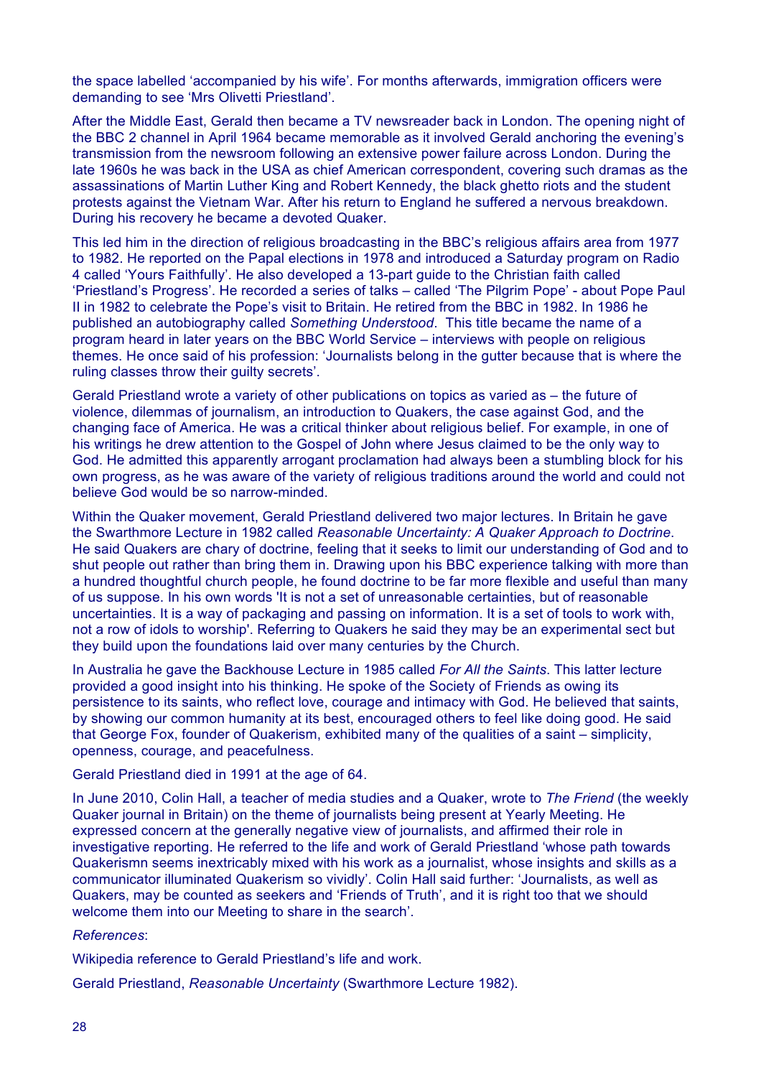the space labelled 'accompanied by his wife'. For months afterwards, immigration officers were demanding to see 'Mrs Olivetti Priestland'.

After the Middle East, Gerald then became a TV newsreader back in London. The opening night of the BBC 2 channel in April 1964 became memorable as it involved Gerald anchoring the evening's transmission from the newsroom following an extensive power failure across London. During the late 1960s he was back in the USA as chief American correspondent, covering such dramas as the assassinations of Martin Luther King and Robert Kennedy, the black ghetto riots and the student protests against the Vietnam War. After his return to England he suffered a nervous breakdown. During his recovery he became a devoted Quaker.

This led him in the direction of religious broadcasting in the BBC's religious affairs area from 1977 to 1982. He reported on the Papal elections in 1978 and introduced a Saturday program on Radio 4 called 'Yours Faithfully'. He also developed a 13-part guide to the Christian faith called 'Priestland's Progress'. He recorded a series of talks – called 'The Pilgrim Pope' - about Pope Paul II in 1982 to celebrate the Pope's visit to Britain. He retired from the BBC in 1982. In 1986 he published an autobiography called *Something Understood*. This title became the name of a program heard in later years on the BBC World Service – interviews with people on religious themes. He once said of his profession: 'Journalists belong in the gutter because that is where the ruling classes throw their guilty secrets'.

Gerald Priestland wrote a variety of other publications on topics as varied as – the future of violence, dilemmas of journalism, an introduction to Quakers, the case against God, and the changing face of America. He was a critical thinker about religious belief. For example, in one of his writings he drew attention to the Gospel of John where Jesus claimed to be the only way to God. He admitted this apparently arrogant proclamation had always been a stumbling block for his own progress, as he was aware of the variety of religious traditions around the world and could not believe God would be so narrow-minded.

Within the Quaker movement, Gerald Priestland delivered two major lectures. In Britain he gave the Swarthmore Lecture in 1982 called *Reasonable Uncertainty: A Quaker Approach to Doctrine*. He said Quakers are chary of doctrine, feeling that it seeks to limit our understanding of God and to shut people out rather than bring them in. Drawing upon his BBC experience talking with more than a hundred thoughtful church people, he found doctrine to be far more flexible and useful than many of us suppose. In his own words 'It is not a set of unreasonable certainties, but of reasonable uncertainties. It is a way of packaging and passing on information. It is a set of tools to work with, not a row of idols to worship'. Referring to Quakers he said they may be an experimental sect but they build upon the foundations laid over many centuries by the Church.

In Australia he gave the Backhouse Lecture in 1985 called *For All the Saints*. This latter lecture provided a good insight into his thinking. He spoke of the Society of Friends as owing its persistence to its saints, who reflect love, courage and intimacy with God. He believed that saints, by showing our common humanity at its best, encouraged others to feel like doing good. He said that George Fox, founder of Quakerism, exhibited many of the qualities of a saint – simplicity, openness, courage, and peacefulness.

Gerald Priestland died in 1991 at the age of 64.

In June 2010, Colin Hall, a teacher of media studies and a Quaker, wrote to *The Friend* (the weekly Quaker journal in Britain) on the theme of journalists being present at Yearly Meeting. He expressed concern at the generally negative view of journalists, and affirmed their role in investigative reporting. He referred to the life and work of Gerald Priestland 'whose path towards Quakerismn seems inextricably mixed with his work as a journalist, whose insights and skills as a communicator illuminated Quakerism so vividly'. Colin Hall said further: 'Journalists, as well as Quakers, may be counted as seekers and 'Friends of Truth', and it is right too that we should welcome them into our Meeting to share in the search'.

#### *References*:

Wikipedia reference to Gerald Priestland's life and work.

Gerald Priestland, *Reasonable Uncertainty* (Swarthmore Lecture 1982).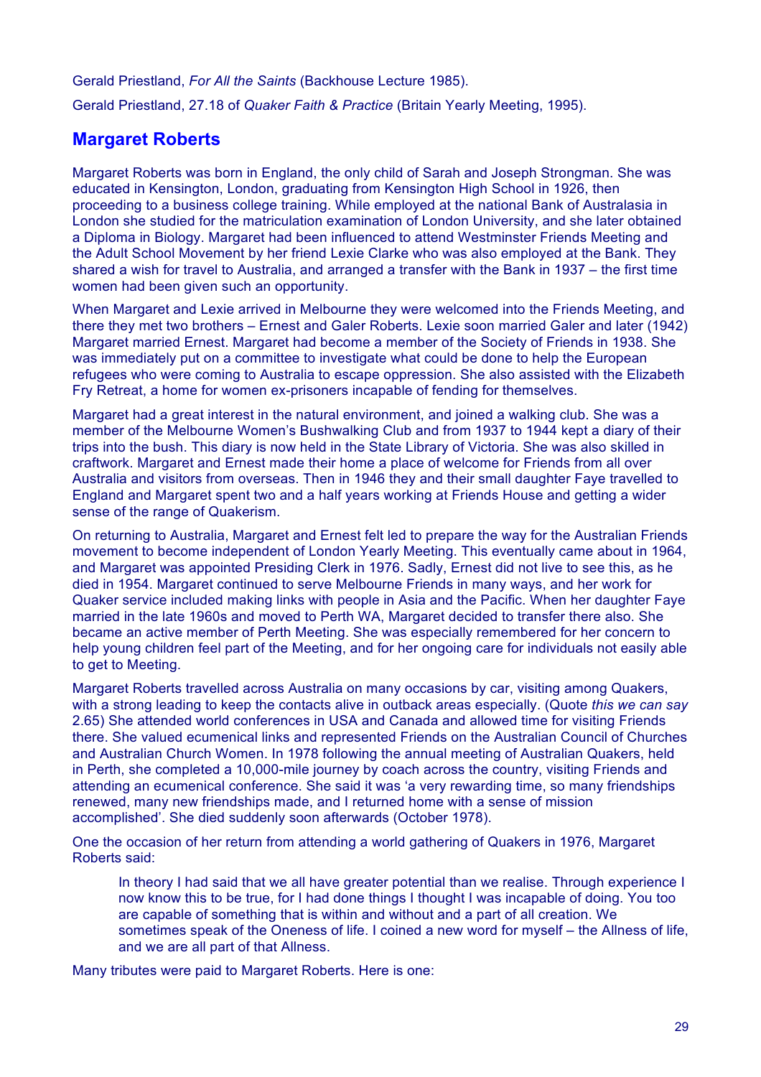Gerald Priestland, *For All the Saints* (Backhouse Lecture 1985).

Gerald Priestland, 27.18 of *Quaker Faith & Practice* (Britain Yearly Meeting, 1995).

# **Margaret Roberts**

Margaret Roberts was born in England, the only child of Sarah and Joseph Strongman. She was educated in Kensington, London, graduating from Kensington High School in 1926, then proceeding to a business college training. While employed at the national Bank of Australasia in London she studied for the matriculation examination of London University, and she later obtained a Diploma in Biology. Margaret had been influenced to attend Westminster Friends Meeting and the Adult School Movement by her friend Lexie Clarke who was also employed at the Bank. They shared a wish for travel to Australia, and arranged a transfer with the Bank in 1937 – the first time women had been given such an opportunity.

When Margaret and Lexie arrived in Melbourne they were welcomed into the Friends Meeting, and there they met two brothers – Ernest and Galer Roberts. Lexie soon married Galer and later (1942) Margaret married Ernest. Margaret had become a member of the Society of Friends in 1938. She was immediately put on a committee to investigate what could be done to help the European refugees who were coming to Australia to escape oppression. She also assisted with the Elizabeth Fry Retreat, a home for women ex-prisoners incapable of fending for themselves.

Margaret had a great interest in the natural environment, and joined a walking club. She was a member of the Melbourne Women's Bushwalking Club and from 1937 to 1944 kept a diary of their trips into the bush. This diary is now held in the State Library of Victoria. She was also skilled in craftwork. Margaret and Ernest made their home a place of welcome for Friends from all over Australia and visitors from overseas. Then in 1946 they and their small daughter Faye travelled to England and Margaret spent two and a half years working at Friends House and getting a wider sense of the range of Quakerism.

On returning to Australia, Margaret and Ernest felt led to prepare the way for the Australian Friends movement to become independent of London Yearly Meeting. This eventually came about in 1964, and Margaret was appointed Presiding Clerk in 1976. Sadly, Ernest did not live to see this, as he died in 1954. Margaret continued to serve Melbourne Friends in many ways, and her work for Quaker service included making links with people in Asia and the Pacific. When her daughter Faye married in the late 1960s and moved to Perth WA, Margaret decided to transfer there also. She became an active member of Perth Meeting. She was especially remembered for her concern to help young children feel part of the Meeting, and for her ongoing care for individuals not easily able to get to Meeting.

Margaret Roberts travelled across Australia on many occasions by car, visiting among Quakers, with a strong leading to keep the contacts alive in outback areas especially. (Quote *this we can say* 2.65) She attended world conferences in USA and Canada and allowed time for visiting Friends there. She valued ecumenical links and represented Friends on the Australian Council of Churches and Australian Church Women. In 1978 following the annual meeting of Australian Quakers, held in Perth, she completed a 10,000-mile journey by coach across the country, visiting Friends and attending an ecumenical conference. She said it was 'a very rewarding time, so many friendships renewed, many new friendships made, and I returned home with a sense of mission accomplished'. She died suddenly soon afterwards (October 1978).

One the occasion of her return from attending a world gathering of Quakers in 1976, Margaret Roberts said:

In theory I had said that we all have greater potential than we realise. Through experience I now know this to be true, for I had done things I thought I was incapable of doing. You too are capable of something that is within and without and a part of all creation. We sometimes speak of the Oneness of life. I coined a new word for myself – the Allness of life, and we are all part of that Allness.

Many tributes were paid to Margaret Roberts. Here is one: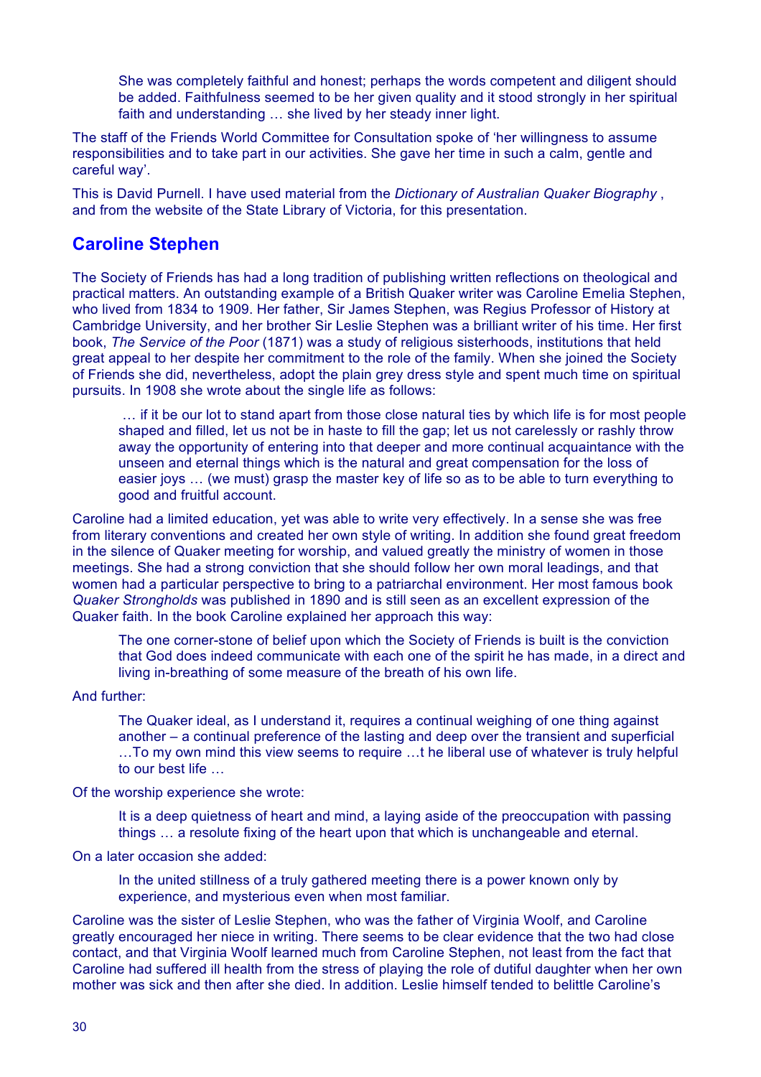She was completely faithful and honest; perhaps the words competent and diligent should be added. Faithfulness seemed to be her given quality and it stood strongly in her spiritual faith and understanding … she lived by her steady inner light.

The staff of the Friends World Committee for Consultation spoke of 'her willingness to assume responsibilities and to take part in our activities. She gave her time in such a calm, gentle and careful way'.

This is David Purnell. I have used material from the *Dictionary of Australian Quaker Biography* , and from the website of the State Library of Victoria, for this presentation.

### **Caroline Stephen**

The Society of Friends has had a long tradition of publishing written reflections on theological and practical matters. An outstanding example of a British Quaker writer was Caroline Emelia Stephen, who lived from 1834 to 1909. Her father, Sir James Stephen, was Regius Professor of History at Cambridge University, and her brother Sir Leslie Stephen was a brilliant writer of his time. Her first book, *The Service of the Poor* (1871) was a study of religious sisterhoods, institutions that held great appeal to her despite her commitment to the role of the family. When she joined the Society of Friends she did, nevertheless, adopt the plain grey dress style and spent much time on spiritual pursuits. In 1908 she wrote about the single life as follows:

… if it be our lot to stand apart from those close natural ties by which life is for most people shaped and filled, let us not be in haste to fill the gap; let us not carelessly or rashly throw away the opportunity of entering into that deeper and more continual acquaintance with the unseen and eternal things which is the natural and great compensation for the loss of easier joys … (we must) grasp the master key of life so as to be able to turn everything to good and fruitful account.

Caroline had a limited education, yet was able to write very effectively. In a sense she was free from literary conventions and created her own style of writing. In addition she found great freedom in the silence of Quaker meeting for worship, and valued greatly the ministry of women in those meetings. She had a strong conviction that she should follow her own moral leadings, and that women had a particular perspective to bring to a patriarchal environment. Her most famous book *Quaker Strongholds* was published in 1890 and is still seen as an excellent expression of the Quaker faith. In the book Caroline explained her approach this way:

The one corner-stone of belief upon which the Society of Friends is built is the conviction that God does indeed communicate with each one of the spirit he has made, in a direct and living in-breathing of some measure of the breath of his own life.

And further:

The Quaker ideal, as I understand it, requires a continual weighing of one thing against another – a continual preference of the lasting and deep over the transient and superficial …To my own mind this view seems to require …t he liberal use of whatever is truly helpful to our best life …

Of the worship experience she wrote:

It is a deep quietness of heart and mind, a laying aside of the preoccupation with passing things … a resolute fixing of the heart upon that which is unchangeable and eternal.

On a later occasion she added:

In the united stillness of a truly gathered meeting there is a power known only by experience, and mysterious even when most familiar.

Caroline was the sister of Leslie Stephen, who was the father of Virginia Woolf, and Caroline greatly encouraged her niece in writing. There seems to be clear evidence that the two had close contact, and that Virginia Woolf learned much from Caroline Stephen, not least from the fact that Caroline had suffered ill health from the stress of playing the role of dutiful daughter when her own mother was sick and then after she died. In addition. Leslie himself tended to belittle Caroline's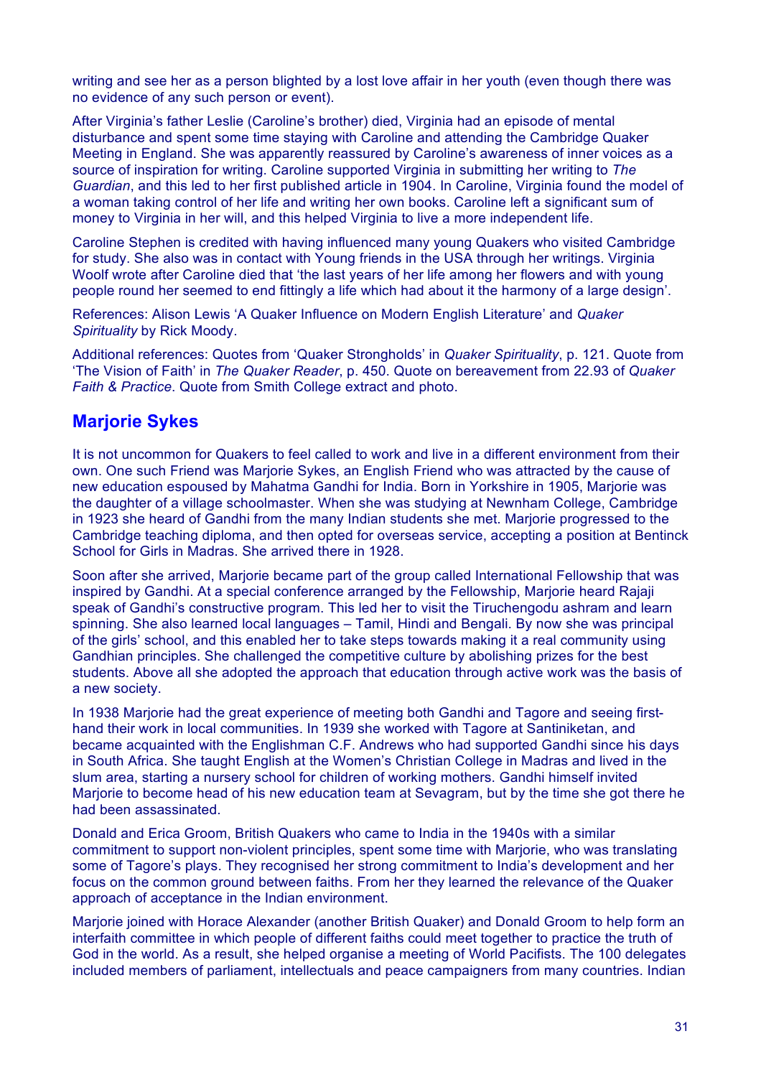writing and see her as a person blighted by a lost love affair in her youth (even though there was no evidence of any such person or event).

After Virginia's father Leslie (Caroline's brother) died, Virginia had an episode of mental disturbance and spent some time staying with Caroline and attending the Cambridge Quaker Meeting in England. She was apparently reassured by Caroline's awareness of inner voices as a source of inspiration for writing. Caroline supported Virginia in submitting her writing to *The Guardian*, and this led to her first published article in 1904. In Caroline, Virginia found the model of a woman taking control of her life and writing her own books. Caroline left a significant sum of money to Virginia in her will, and this helped Virginia to live a more independent life.

Caroline Stephen is credited with having influenced many young Quakers who visited Cambridge for study. She also was in contact with Young friends in the USA through her writings. Virginia Woolf wrote after Caroline died that 'the last years of her life among her flowers and with young people round her seemed to end fittingly a life which had about it the harmony of a large design'.

References: Alison Lewis 'A Quaker Influence on Modern English Literature' and *Quaker Spirituality* by Rick Moody.

Additional references: Quotes from 'Quaker Strongholds' in *Quaker Spirituality*, p. 121. Quote from 'The Vision of Faith' in *The Quaker Reader*, p. 450. Quote on bereavement from 22.93 of *Quaker Faith & Practice*. Quote from Smith College extract and photo.

### **Marjorie Sykes**

It is not uncommon for Quakers to feel called to work and live in a different environment from their own. One such Friend was Marjorie Sykes, an English Friend who was attracted by the cause of new education espoused by Mahatma Gandhi for India. Born in Yorkshire in 1905, Marjorie was the daughter of a village schoolmaster. When she was studying at Newnham College, Cambridge in 1923 she heard of Gandhi from the many Indian students she met. Marjorie progressed to the Cambridge teaching diploma, and then opted for overseas service, accepting a position at Bentinck School for Girls in Madras. She arrived there in 1928.

Soon after she arrived, Marjorie became part of the group called International Fellowship that was inspired by Gandhi. At a special conference arranged by the Fellowship, Marjorie heard Rajaji speak of Gandhi's constructive program. This led her to visit the Tiruchengodu ashram and learn spinning. She also learned local languages – Tamil, Hindi and Bengali. By now she was principal of the girls' school, and this enabled her to take steps towards making it a real community using Gandhian principles. She challenged the competitive culture by abolishing prizes for the best students. Above all she adopted the approach that education through active work was the basis of a new society.

In 1938 Marjorie had the great experience of meeting both Gandhi and Tagore and seeing firsthand their work in local communities. In 1939 she worked with Tagore at Santiniketan, and became acquainted with the Englishman C.F. Andrews who had supported Gandhi since his days in South Africa. She taught English at the Women's Christian College in Madras and lived in the slum area, starting a nursery school for children of working mothers. Gandhi himself invited Marjorie to become head of his new education team at Sevagram, but by the time she got there he had been assassinated.

Donald and Erica Groom, British Quakers who came to India in the 1940s with a similar commitment to support non-violent principles, spent some time with Marjorie, who was translating some of Tagore's plays. They recognised her strong commitment to India's development and her focus on the common ground between faiths. From her they learned the relevance of the Quaker approach of acceptance in the Indian environment.

Marjorie joined with Horace Alexander (another British Quaker) and Donald Groom to help form an interfaith committee in which people of different faiths could meet together to practice the truth of God in the world. As a result, she helped organise a meeting of World Pacifists. The 100 delegates included members of parliament, intellectuals and peace campaigners from many countries. Indian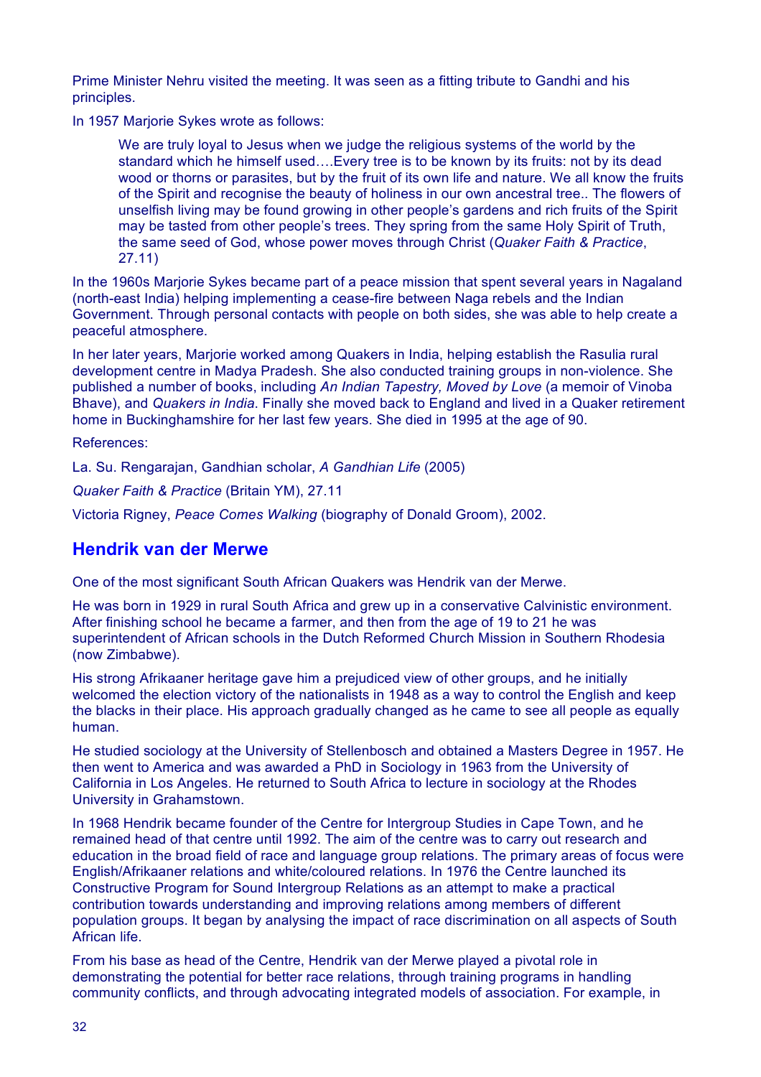Prime Minister Nehru visited the meeting. It was seen as a fitting tribute to Gandhi and his principles.

In 1957 Marjorie Sykes wrote as follows:

We are truly loyal to Jesus when we judge the religious systems of the world by the standard which he himself used….Every tree is to be known by its fruits: not by its dead wood or thorns or parasites, but by the fruit of its own life and nature. We all know the fruits of the Spirit and recognise the beauty of holiness in our own ancestral tree.. The flowers of unselfish living may be found growing in other people's gardens and rich fruits of the Spirit may be tasted from other people's trees. They spring from the same Holy Spirit of Truth, the same seed of God, whose power moves through Christ (*Quaker Faith & Practice*, 27.11)

In the 1960s Marjorie Sykes became part of a peace mission that spent several years in Nagaland (north-east India) helping implementing a cease-fire between Naga rebels and the Indian Government. Through personal contacts with people on both sides, she was able to help create a peaceful atmosphere.

In her later years, Marjorie worked among Quakers in India, helping establish the Rasulia rural development centre in Madya Pradesh. She also conducted training groups in non-violence. She published a number of books, including *An Indian Tapestry, Moved by Love* (a memoir of Vinoba Bhave), and *Quakers in India*. Finally she moved back to England and lived in a Quaker retirement home in Buckinghamshire for her last few years. She died in 1995 at the age of 90.

References:

La. Su. Rengarajan, Gandhian scholar, *A Gandhian Life* (2005)

*Quaker Faith & Practice* (Britain YM), 27.11

Victoria Rigney, *Peace Comes Walking* (biography of Donald Groom), 2002.

#### **Hendrik van der Merwe**

One of the most significant South African Quakers was Hendrik van der Merwe.

He was born in 1929 in rural South Africa and grew up in a conservative Calvinistic environment. After finishing school he became a farmer, and then from the age of 19 to 21 he was superintendent of African schools in the Dutch Reformed Church Mission in Southern Rhodesia (now Zimbabwe).

His strong Afrikaaner heritage gave him a prejudiced view of other groups, and he initially welcomed the election victory of the nationalists in 1948 as a way to control the English and keep the blacks in their place. His approach gradually changed as he came to see all people as equally human.

He studied sociology at the University of Stellenbosch and obtained a Masters Degree in 1957. He then went to America and was awarded a PhD in Sociology in 1963 from the University of California in Los Angeles. He returned to South Africa to lecture in sociology at the Rhodes University in Grahamstown.

In 1968 Hendrik became founder of the Centre for Intergroup Studies in Cape Town, and he remained head of that centre until 1992. The aim of the centre was to carry out research and education in the broad field of race and language group relations. The primary areas of focus were English/Afrikaaner relations and white/coloured relations. In 1976 the Centre launched its Constructive Program for Sound Intergroup Relations as an attempt to make a practical contribution towards understanding and improving relations among members of different population groups. It began by analysing the impact of race discrimination on all aspects of South African life.

From his base as head of the Centre, Hendrik van der Merwe played a pivotal role in demonstrating the potential for better race relations, through training programs in handling community conflicts, and through advocating integrated models of association. For example, in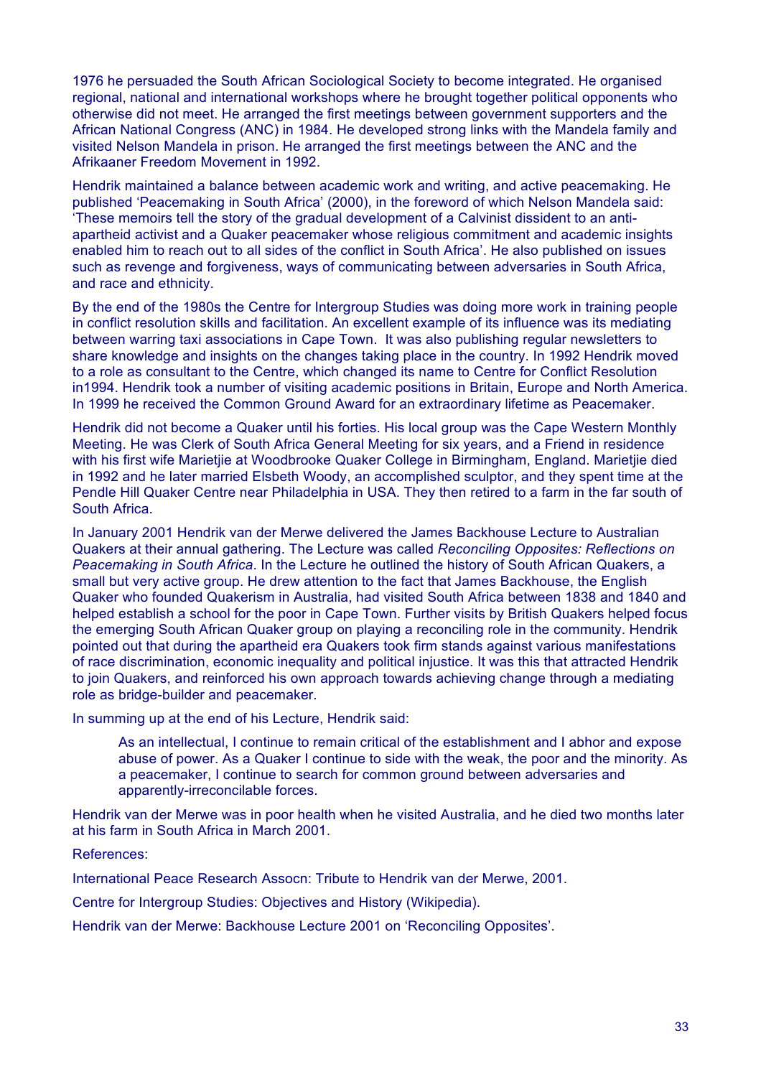1976 he persuaded the South African Sociological Society to become integrated. He organised regional, national and international workshops where he brought together political opponents who otherwise did not meet. He arranged the first meetings between government supporters and the African National Congress (ANC) in 1984. He developed strong links with the Mandela family and visited Nelson Mandela in prison. He arranged the first meetings between the ANC and the Afrikaaner Freedom Movement in 1992.

Hendrik maintained a balance between academic work and writing, and active peacemaking. He published 'Peacemaking in South Africa' (2000), in the foreword of which Nelson Mandela said: 'These memoirs tell the story of the gradual development of a Calvinist dissident to an antiapartheid activist and a Quaker peacemaker whose religious commitment and academic insights enabled him to reach out to all sides of the conflict in South Africa'. He also published on issues such as revenge and forgiveness, ways of communicating between adversaries in South Africa, and race and ethnicity.

By the end of the 1980s the Centre for Intergroup Studies was doing more work in training people in conflict resolution skills and facilitation. An excellent example of its influence was its mediating between warring taxi associations in Cape Town. It was also publishing regular newsletters to share knowledge and insights on the changes taking place in the country. In 1992 Hendrik moved to a role as consultant to the Centre, which changed its name to Centre for Conflict Resolution in1994. Hendrik took a number of visiting academic positions in Britain, Europe and North America. In 1999 he received the Common Ground Award for an extraordinary lifetime as Peacemaker.

Hendrik did not become a Quaker until his forties. His local group was the Cape Western Monthly Meeting. He was Clerk of South Africa General Meeting for six years, and a Friend in residence with his first wife Marietjie at Woodbrooke Quaker College in Birmingham, England. Marietjie died in 1992 and he later married Elsbeth Woody, an accomplished sculptor, and they spent time at the Pendle Hill Quaker Centre near Philadelphia in USA. They then retired to a farm in the far south of South Africa.

In January 2001 Hendrik van der Merwe delivered the James Backhouse Lecture to Australian Quakers at their annual gathering. The Lecture was called *Reconciling Opposites: Reflections on Peacemaking in South Africa*. In the Lecture he outlined the history of South African Quakers, a small but very active group. He drew attention to the fact that James Backhouse, the English Quaker who founded Quakerism in Australia, had visited South Africa between 1838 and 1840 and helped establish a school for the poor in Cape Town. Further visits by British Quakers helped focus the emerging South African Quaker group on playing a reconciling role in the community. Hendrik pointed out that during the apartheid era Quakers took firm stands against various manifestations of race discrimination, economic inequality and political injustice. It was this that attracted Hendrik to join Quakers, and reinforced his own approach towards achieving change through a mediating role as bridge-builder and peacemaker.

In summing up at the end of his Lecture, Hendrik said:

As an intellectual, I continue to remain critical of the establishment and I abhor and expose abuse of power. As a Quaker I continue to side with the weak, the poor and the minority. As a peacemaker, I continue to search for common ground between adversaries and apparently-irreconcilable forces.

Hendrik van der Merwe was in poor health when he visited Australia, and he died two months later at his farm in South Africa in March 2001.

References:

International Peace Research Assocn: Tribute to Hendrik van der Merwe, 2001.

Centre for Intergroup Studies: Objectives and History (Wikipedia).

Hendrik van der Merwe: Backhouse Lecture 2001 on 'Reconciling Opposites'.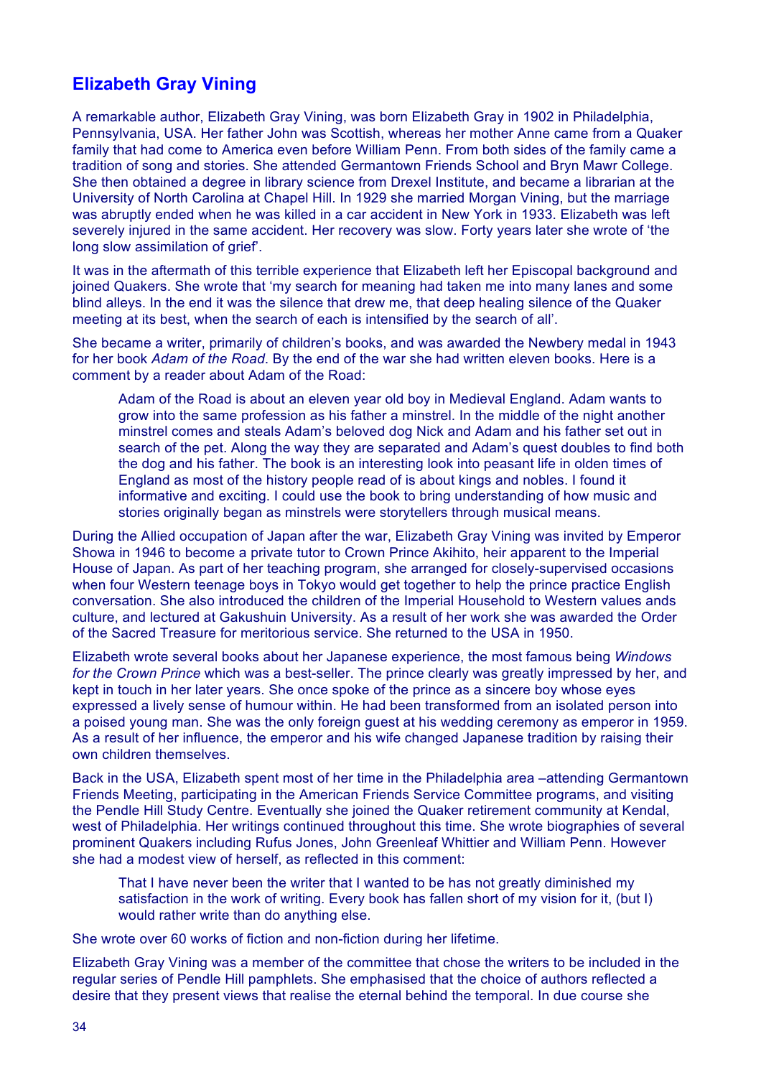# **Elizabeth Gray Vining**

A remarkable author, Elizabeth Gray Vining, was born Elizabeth Gray in 1902 in Philadelphia, Pennsylvania, USA. Her father John was Scottish, whereas her mother Anne came from a Quaker family that had come to America even before William Penn. From both sides of the family came a tradition of song and stories. She attended Germantown Friends School and Bryn Mawr College. She then obtained a degree in library science from Drexel Institute, and became a librarian at the University of North Carolina at Chapel Hill. In 1929 she married Morgan Vining, but the marriage was abruptly ended when he was killed in a car accident in New York in 1933. Elizabeth was left severely injured in the same accident. Her recovery was slow. Forty years later she wrote of 'the long slow assimilation of grief'.

It was in the aftermath of this terrible experience that Elizabeth left her Episcopal background and joined Quakers. She wrote that 'my search for meaning had taken me into many lanes and some blind alleys. In the end it was the silence that drew me, that deep healing silence of the Quaker meeting at its best, when the search of each is intensified by the search of all'.

She became a writer, primarily of children's books, and was awarded the Newbery medal in 1943 for her book *Adam of the Road*. By the end of the war she had written eleven books. Here is a comment by a reader about Adam of the Road:

Adam of the Road is about an eleven year old boy in Medieval England. Adam wants to grow into the same profession as his father a minstrel. In the middle of the night another minstrel comes and steals Adam's beloved dog Nick and Adam and his father set out in search of the pet. Along the way they are separated and Adam's quest doubles to find both the dog and his father. The book is an interesting look into peasant life in olden times of England as most of the history people read of is about kings and nobles. I found it informative and exciting. I could use the book to bring understanding of how music and stories originally began as minstrels were storytellers through musical means.

During the Allied occupation of Japan after the war, Elizabeth Gray Vining was invited by Emperor Showa in 1946 to become a private tutor to Crown Prince Akihito, heir apparent to the Imperial House of Japan. As part of her teaching program, she arranged for closely-supervised occasions when four Western teenage boys in Tokyo would get together to help the prince practice English conversation. She also introduced the children of the Imperial Household to Western values ands culture, and lectured at Gakushuin University. As a result of her work she was awarded the Order of the Sacred Treasure for meritorious service. She returned to the USA in 1950.

Elizabeth wrote several books about her Japanese experience, the most famous being *Windows for the Crown Prince* which was a best-seller. The prince clearly was greatly impressed by her, and kept in touch in her later years. She once spoke of the prince as a sincere boy whose eyes expressed a lively sense of humour within. He had been transformed from an isolated person into a poised young man. She was the only foreign guest at his wedding ceremony as emperor in 1959. As a result of her influence, the emperor and his wife changed Japanese tradition by raising their own children themselves.

Back in the USA, Elizabeth spent most of her time in the Philadelphia area –attending Germantown Friends Meeting, participating in the American Friends Service Committee programs, and visiting the Pendle Hill Study Centre. Eventually she joined the Quaker retirement community at Kendal, west of Philadelphia. Her writings continued throughout this time. She wrote biographies of several prominent Quakers including Rufus Jones, John Greenleaf Whittier and William Penn. However she had a modest view of herself, as reflected in this comment:

That I have never been the writer that I wanted to be has not greatly diminished my satisfaction in the work of writing. Every book has fallen short of my vision for it, (but I) would rather write than do anything else.

She wrote over 60 works of fiction and non-fiction during her lifetime.

Elizabeth Gray Vining was a member of the committee that chose the writers to be included in the regular series of Pendle Hill pamphlets. She emphasised that the choice of authors reflected a desire that they present views that realise the eternal behind the temporal. In due course she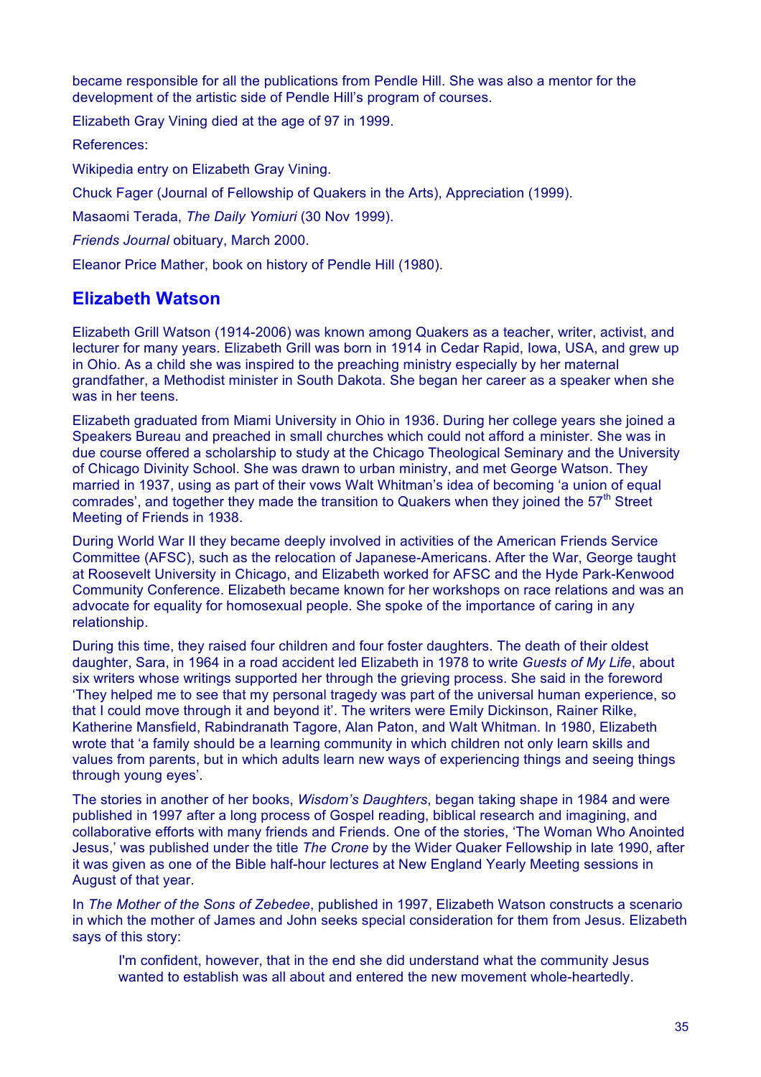became responsible for all the publications from Pendle Hill. She was also a mentor for the development of the artistic side of Pendle Hill's program of courses.

Elizabeth Gray Vining died at the age of 97 in 1999.

References:

Wikipedia entry on Elizabeth Gray Vining.

Chuck Fager (Journal of Fellowship of Quakers in the Arts), Appreciation (1999).

Masaomi Terada, *The Daily Yomiuri* (30 Nov 1999).

*Friends Journal* obituary, March 2000.

Eleanor Price Mather, book on history of Pendle Hill (1980).

# **Elizabeth Watson**

Elizabeth Grill Watson (1914-2006) was known among Quakers as a teacher, writer, activist, and lecturer for many years. Elizabeth Grill was born in 1914 in Cedar Rapid, Iowa, USA, and grew up in Ohio. As a child she was inspired to the preaching ministry especially by her maternal grandfather, a Methodist minister in South Dakota. She began her career as a speaker when she was in her teens.

Elizabeth graduated from Miami University in Ohio in 1936. During her college years she joined a Speakers Bureau and preached in small churches which could not afford a minister. She was in due course offered a scholarship to study at the Chicago Theological Seminary and the University of Chicago Divinity School. She was drawn to urban ministry, and met George Watson. They married in 1937, using as part of their vows Walt Whitman's idea of becoming 'a union of equal comrades', and together they made the transition to Quakers when they joined the 57<sup>th</sup> Street Meeting of Friends in 1938.

During World War II they became deeply involved in activities of the American Friends Service Committee (AFSC), such as the relocation of Japanese-Americans. After the War, George taught at Roosevelt University in Chicago, and Elizabeth worked for AFSC and the Hyde Park-Kenwood Community Conference. Elizabeth became known for her workshops on race relations and was an advocate for equality for homosexual people. She spoke of the importance of caring in any relationship.

During this time, they raised four children and four foster daughters. The death of their oldest daughter, Sara, in 1964 in a road accident led Elizabeth in 1978 to write *Guests of My Life*, about six writers whose writings supported her through the grieving process. She said in the foreword 'They helped me to see that my personal tragedy was part of the universal human experience, so that I could move through it and beyond it'. The writers were Emily Dickinson, Rainer Rilke, Katherine Mansfield, Rabindranath Tagore, Alan Paton, and Walt Whitman. In 1980, Elizabeth wrote that 'a family should be a learning community in which children not only learn skills and values from parents, but in which adults learn new ways of experiencing things and seeing things through young eyes'.

The stories in another of her books, *Wisdom's Daughters*, began taking shape in 1984 and were published in 1997 after a long process of Gospel reading, biblical research and imagining, and collaborative efforts with many friends and Friends. One of the stories, 'The Woman Who Anointed Jesus,' was published under the title *The Crone* by the Wider Quaker Fellowship in late 1990, after it was given as one of the Bible half-hour lectures at New England Yearly Meeting sessions in August of that year.

In *The Mother of the Sons of Zebedee*, published in 1997, Elizabeth Watson constructs a scenario in which the mother of James and John seeks special consideration for them from Jesus. Elizabeth says of this story:

I'm confident, however, that in the end she did understand what the community Jesus wanted to establish was all about and entered the new movement whole-heartedly.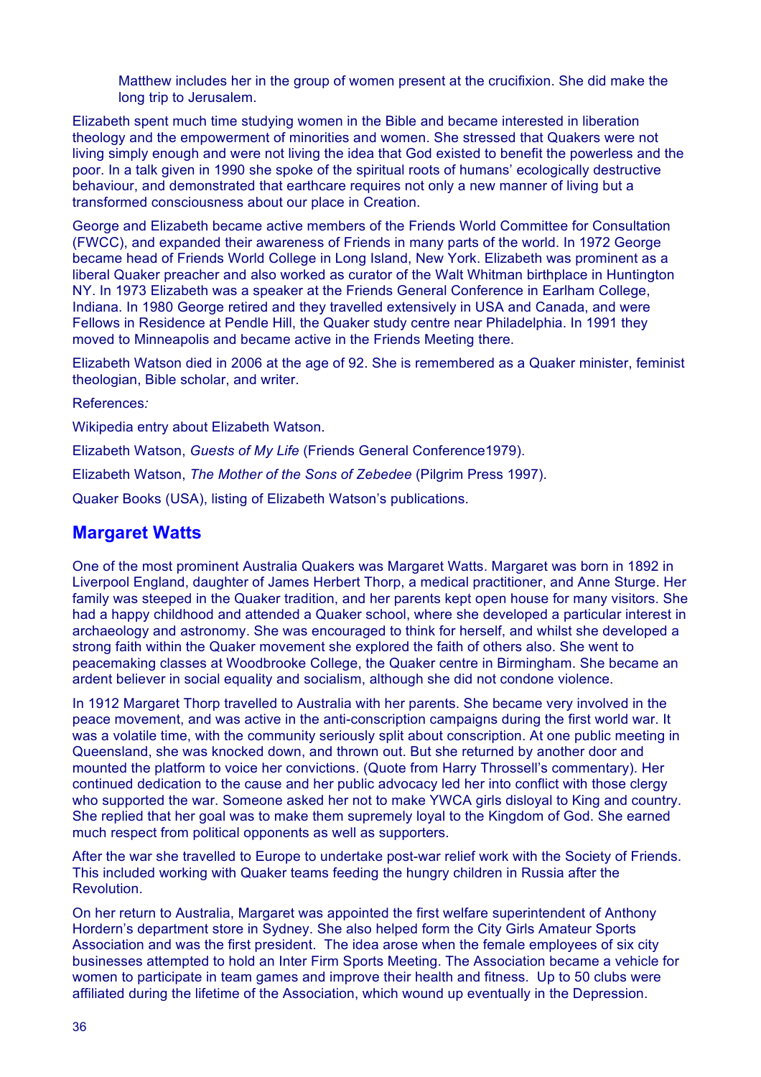Matthew includes her in the group of women present at the crucifixion. She did make the long trip to Jerusalem.

Elizabeth spent much time studying women in the Bible and became interested in liberation theology and the empowerment of minorities and women. She stressed that Quakers were not living simply enough and were not living the idea that God existed to benefit the powerless and the poor. In a talk given in 1990 she spoke of the spiritual roots of humans' ecologically destructive behaviour, and demonstrated that earthcare requires not only a new manner of living but a transformed consciousness about our place in Creation.

George and Elizabeth became active members of the Friends World Committee for Consultation (FWCC), and expanded their awareness of Friends in many parts of the world. In 1972 George became head of Friends World College in Long Island, New York. Elizabeth was prominent as a liberal Quaker preacher and also worked as curator of the Walt Whitman birthplace in Huntington NY. In 1973 Elizabeth was a speaker at the Friends General Conference in Earlham College, Indiana. In 1980 George retired and they travelled extensively in USA and Canada, and were Fellows in Residence at Pendle Hill, the Quaker study centre near Philadelphia. In 1991 they moved to Minneapolis and became active in the Friends Meeting there.

Elizabeth Watson died in 2006 at the age of 92. She is remembered as a Quaker minister, feminist theologian, Bible scholar, and writer.

References*:*

Wikipedia entry about Elizabeth Watson.

Elizabeth Watson, *Guests of My Life* (Friends General Conference1979).

Elizabeth Watson, *The Mother of the Sons of Zebedee* (Pilgrim Press 1997).

Quaker Books (USA), listing of Elizabeth Watson's publications.

#### **Margaret Watts**

One of the most prominent Australia Quakers was Margaret Watts. Margaret was born in 1892 in Liverpool England, daughter of James Herbert Thorp, a medical practitioner, and Anne Sturge. Her family was steeped in the Quaker tradition, and her parents kept open house for many visitors. She had a happy childhood and attended a Quaker school, where she developed a particular interest in archaeology and astronomy. She was encouraged to think for herself, and whilst she developed a strong faith within the Quaker movement she explored the faith of others also. She went to peacemaking classes at Woodbrooke College, the Quaker centre in Birmingham. She became an ardent believer in social equality and socialism, although she did not condone violence.

In 1912 Margaret Thorp travelled to Australia with her parents. She became very involved in the peace movement, and was active in the anti-conscription campaigns during the first world war. It was a volatile time, with the community seriously split about conscription. At one public meeting in Queensland, she was knocked down, and thrown out. But she returned by another door and mounted the platform to voice her convictions. (Quote from Harry Throssell's commentary). Her continued dedication to the cause and her public advocacy led her into conflict with those clergy who supported the war. Someone asked her not to make YWCA girls disloyal to King and country. She replied that her goal was to make them supremely loyal to the Kingdom of God. She earned much respect from political opponents as well as supporters.

After the war she travelled to Europe to undertake post-war relief work with the Society of Friends. This included working with Quaker teams feeding the hungry children in Russia after the Revolution.

On her return to Australia, Margaret was appointed the first welfare superintendent of Anthony Hordern's department store in Sydney. She also helped form the City Girls Amateur Sports Association and was the first president. The idea arose when the female employees of six city businesses attempted to hold an Inter Firm Sports Meeting. The Association became a vehicle for women to participate in team games and improve their health and fitness. Up to 50 clubs were affiliated during the lifetime of the Association, which wound up eventually in the Depression.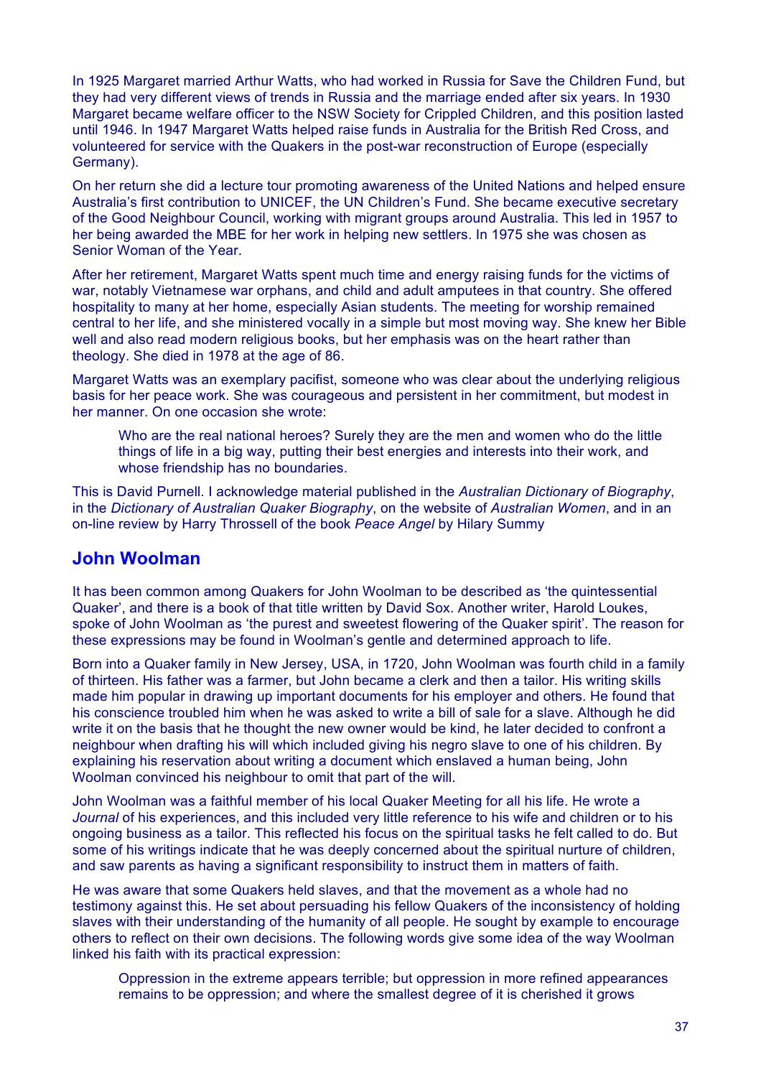In 1925 Margaret married Arthur Watts, who had worked in Russia for Save the Children Fund, but they had very different views of trends in Russia and the marriage ended after six years. In 1930 Margaret became welfare officer to the NSW Society for Crippled Children, and this position lasted until 1946. In 1947 Margaret Watts helped raise funds in Australia for the British Red Cross, and volunteered for service with the Quakers in the post-war reconstruction of Europe (especially Germany).

On her return she did a lecture tour promoting awareness of the United Nations and helped ensure Australia's first contribution to UNICEF, the UN Children's Fund. She became executive secretary of the Good Neighbour Council, working with migrant groups around Australia. This led in 1957 to her being awarded the MBE for her work in helping new settlers. In 1975 she was chosen as Senior Woman of the Year.

After her retirement, Margaret Watts spent much time and energy raising funds for the victims of war, notably Vietnamese war orphans, and child and adult amputees in that country. She offered hospitality to many at her home, especially Asian students. The meeting for worship remained central to her life, and she ministered vocally in a simple but most moving way. She knew her Bible well and also read modern religious books, but her emphasis was on the heart rather than theology. She died in 1978 at the age of 86.

Margaret Watts was an exemplary pacifist, someone who was clear about the underlying religious basis for her peace work. She was courageous and persistent in her commitment, but modest in her manner. On one occasion she wrote:

Who are the real national heroes? Surely they are the men and women who do the little things of life in a big way, putting their best energies and interests into their work, and whose friendship has no boundaries.

This is David Purnell. I acknowledge material published in the *Australian Dictionary of Biography*, in the *Dictionary of Australian Quaker Biography*, on the website of *Australian Women*, and in an on-line review by Harry Throssell of the book *Peace Angel* by Hilary Summy

### **John Woolman**

It has been common among Quakers for John Woolman to be described as 'the quintessential Quaker', and there is a book of that title written by David Sox. Another writer, Harold Loukes, spoke of John Woolman as 'the purest and sweetest flowering of the Quaker spirit'. The reason for these expressions may be found in Woolman's gentle and determined approach to life.

Born into a Quaker family in New Jersey, USA, in 1720, John Woolman was fourth child in a family of thirteen. His father was a farmer, but John became a clerk and then a tailor. His writing skills made him popular in drawing up important documents for his employer and others. He found that his conscience troubled him when he was asked to write a bill of sale for a slave. Although he did write it on the basis that he thought the new owner would be kind, he later decided to confront a neighbour when drafting his will which included giving his negro slave to one of his children. By explaining his reservation about writing a document which enslaved a human being, John Woolman convinced his neighbour to omit that part of the will.

John Woolman was a faithful member of his local Quaker Meeting for all his life. He wrote a *Journal* of his experiences, and this included very little reference to his wife and children or to his ongoing business as a tailor. This reflected his focus on the spiritual tasks he felt called to do. But some of his writings indicate that he was deeply concerned about the spiritual nurture of children, and saw parents as having a significant responsibility to instruct them in matters of faith.

He was aware that some Quakers held slaves, and that the movement as a whole had no testimony against this. He set about persuading his fellow Quakers of the inconsistency of holding slaves with their understanding of the humanity of all people. He sought by example to encourage others to reflect on their own decisions. The following words give some idea of the way Woolman linked his faith with its practical expression:

Oppression in the extreme appears terrible; but oppression in more refined appearances remains to be oppression; and where the smallest degree of it is cherished it grows